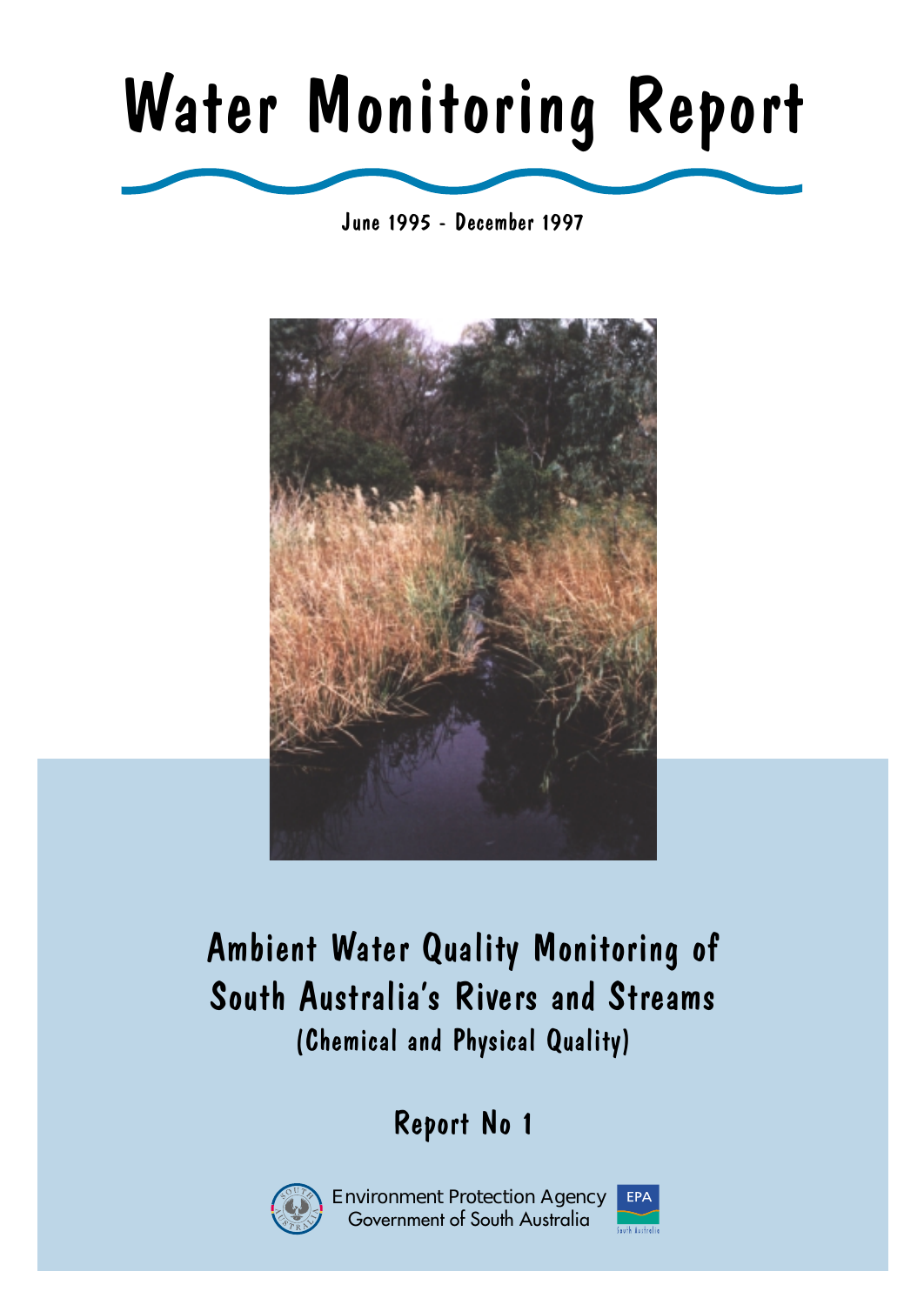# Water Monitoring Report

June 1995 - December 1997



# (Chemical and Physical Quality) Ambient Water Quality Monitoring of South Australia's Rivers and Streams

# Report No 1



Environment Protection Agency Government of South Australia

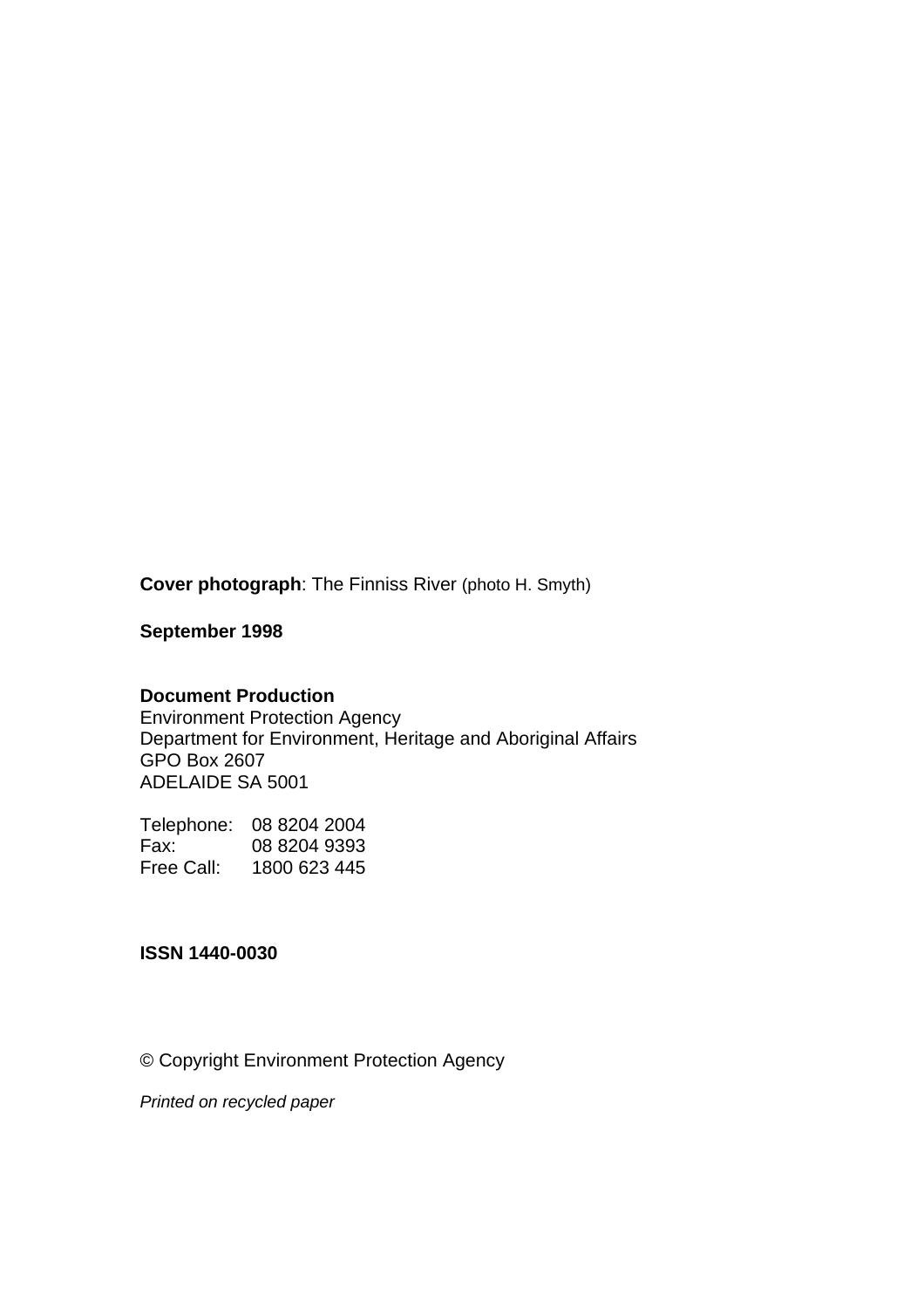**Cover photograph**: The Finniss River (photo H. Smyth)

**September 1998** 

#### **Document Production**

Environment Protection Agency Department for Environment, Heritage and Aboriginal Affairs GPO Box 2607 ADELAIDE SA 5001

Telephone: 08 8204 2004 Fax: 08 8204 9393 Free Call: 1800 623 445

#### **ISSN 1440-0030**

© Copyright Environment Protection Agency

*Printed on recycled paper*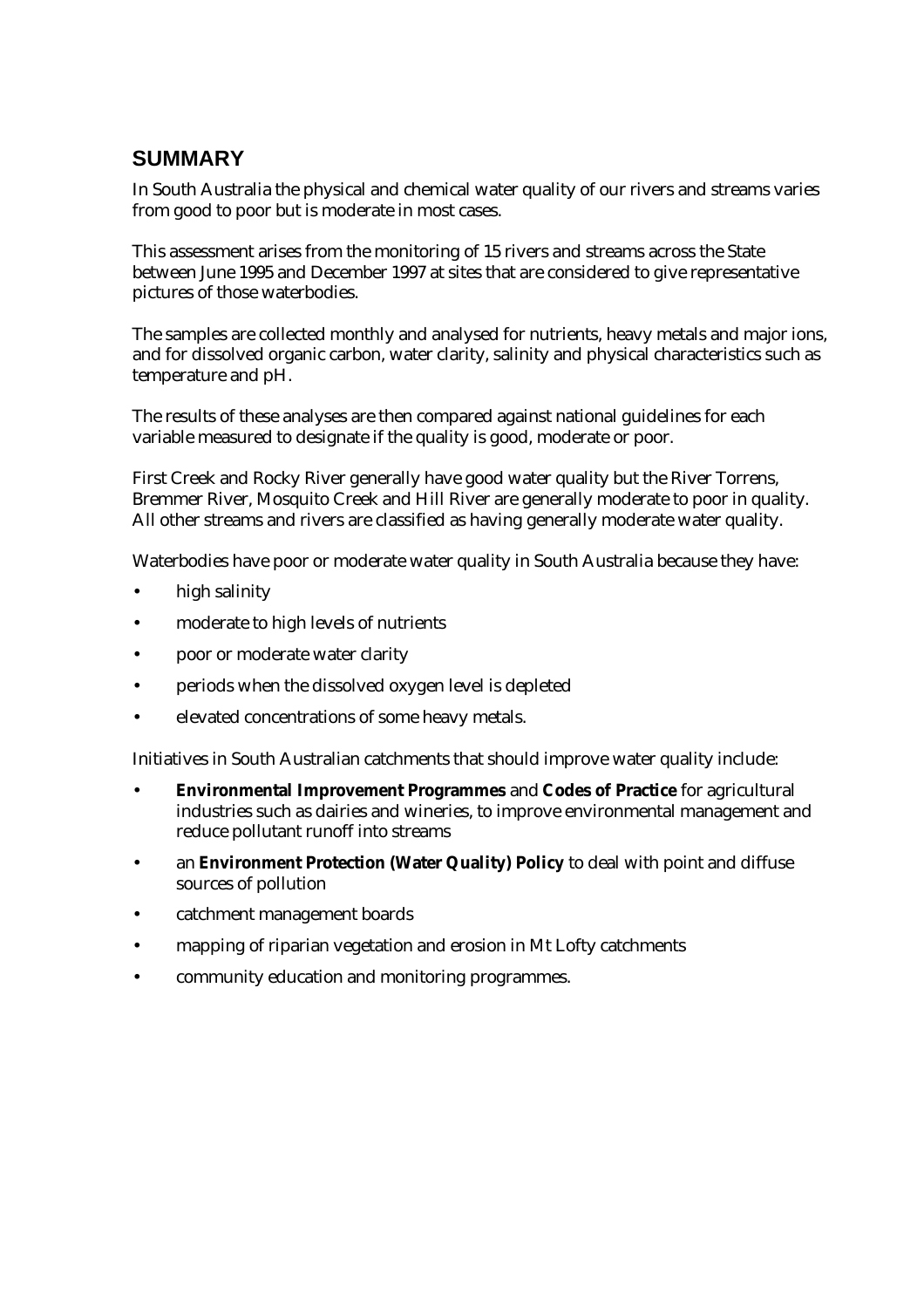## **SUMMARY**

In South Australia the physical and chemical water quality of our rivers and streams varies from good to poor but is moderate in most cases.

This assessment arises from the monitoring of 15 rivers and streams across the State between June 1995 and December 1997 at sites that are considered to give representative pictures of those waterbodies.

The samples are collected monthly and analysed for nutrients, heavy metals and major ions, and for dissolved organic carbon, water clarity, salinity and physical characteristics such as temperature and pH.

The results of these analyses are then compared against national guidelines for each variable measured to designate if the quality is good, moderate or poor.

First Creek and Rocky River generally have good water quality but the River Torrens, Bremmer River, Mosquito Creek and Hill River are generally moderate to poor in quality. All other streams and rivers are classified as having generally moderate water quality.

Waterbodies have poor or moderate water quality in South Australia because they have:

- high salinity
- moderate to high levels of nutrients
- poor or moderate water clarity
- periods when the dissolved oxygen level is depleted
- elevated concentrations of some heavy metals.

Initiatives in South Australian catchments that should improve water quality include:

- **Environmental Improvement Programmes** and **Codes of Practice** for agricultural industries such as dairies and wineries, to improve environmental management and reduce pollutant runoff into streams
- an **Environment Protection (Water Quality) Policy** to deal with point and diffuse sources of pollution
- catchment management boards
- mapping of riparian vegetation and erosion in Mt Lofty catchments
- community education and monitoring programmes.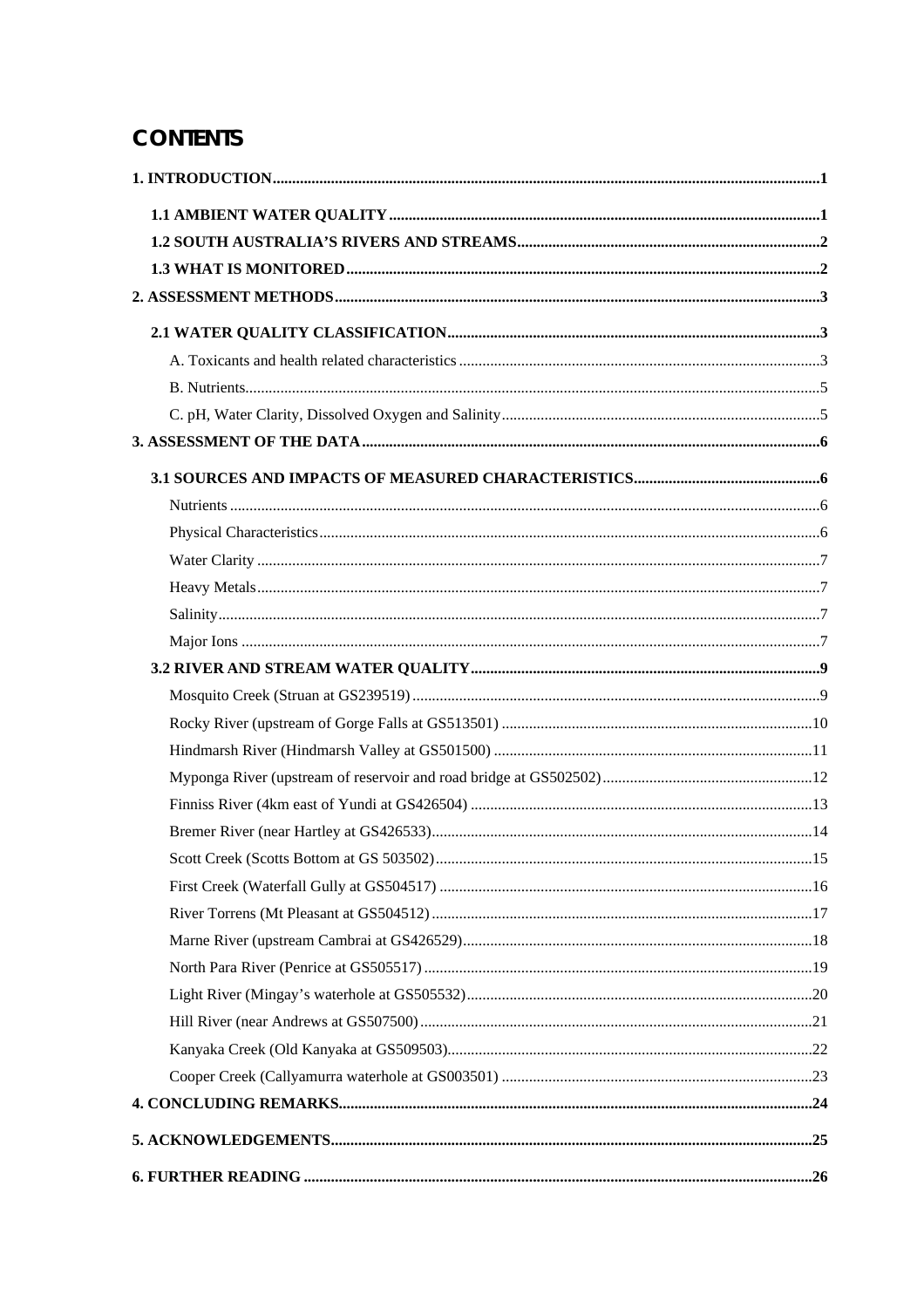# **CONTENTS**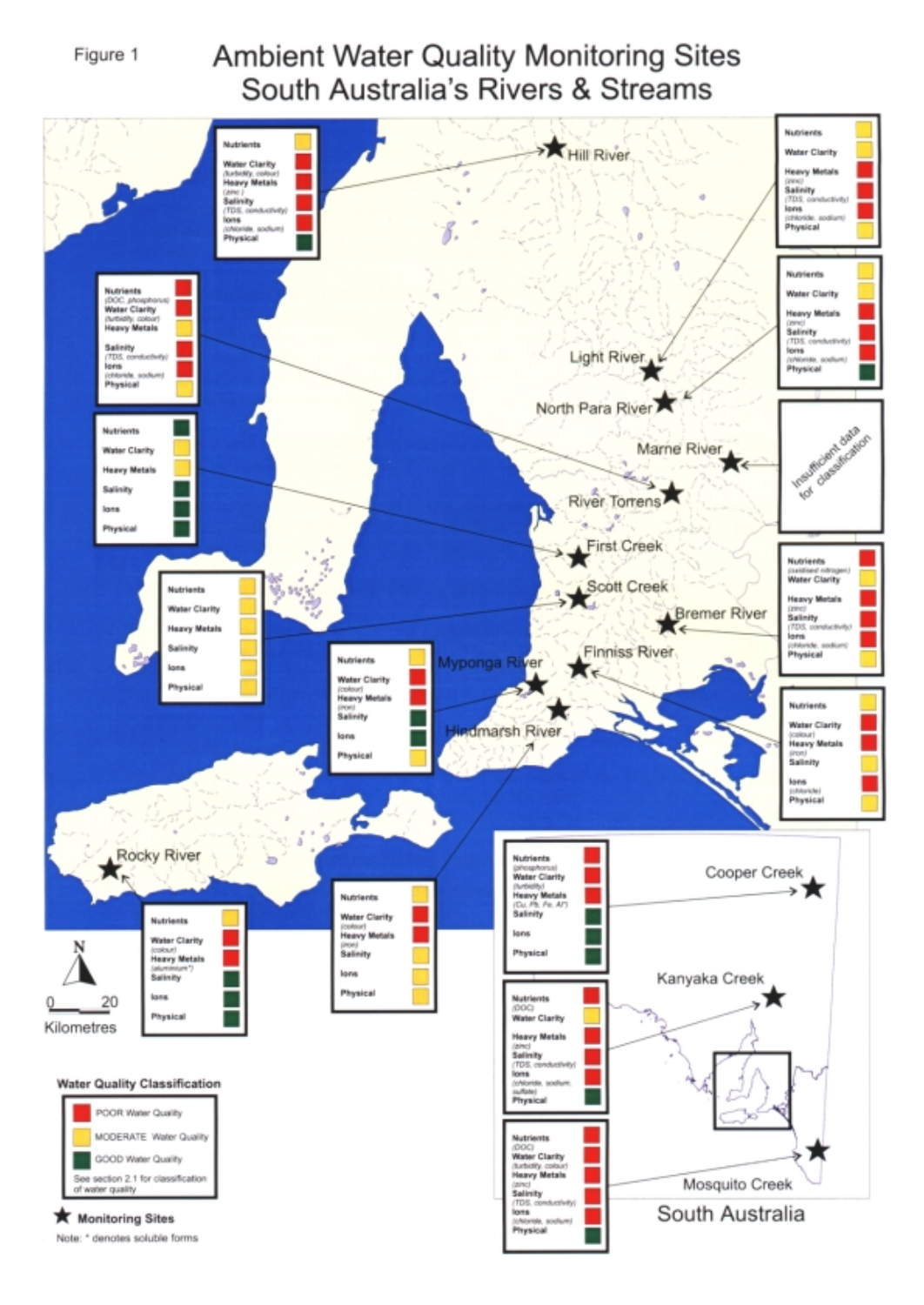

# **Ambient Water Quality Monitoring Sites** South Australia's Rivers & Streams

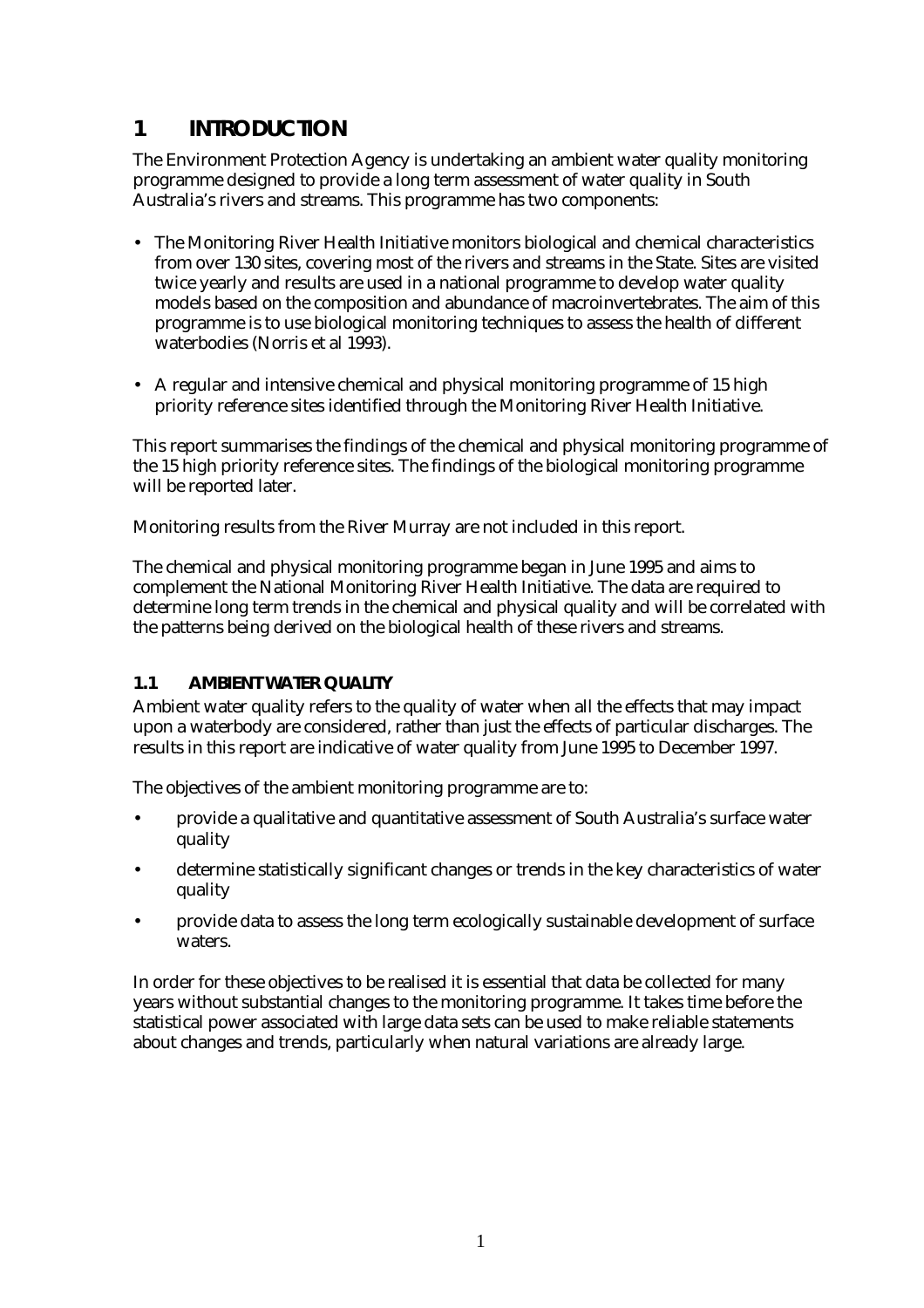### <span id="page-5-0"></span>**1 INTRODUCTION**

The Environment Protection Agency is undertaking an ambient water quality monitoring programme designed to provide a long term assessment of water quality in South Australia's rivers and streams. This programme has two components:

- The Monitoring River Health Initiative monitors biological and chemical characteristics from over 130 sites, covering most of the rivers and streams in the State. Sites are visited twice yearly and results are used in a national programme to develop water quality models based on the composition and abundance of macroinvertebrates. The aim of this programme is to use biological monitoring techniques to assess the health of different waterbodies (Norris et al 1993).
- A regular and intensive chemical and physical monitoring programme of 15 high priority reference sites identified through the Monitoring River Health Initiative.

This report summarises the findings of the chemical and physical monitoring programme of the 15 high priority reference sites. The findings of the biological monitoring programme will be reported later.

Monitoring results from the River Murray are not included in this report.

The chemical and physical monitoring programme began in June 1995 and aims to complement the National Monitoring River Health Initiative. The data are required to determine long term trends in the chemical and physical quality and will be correlated with the patterns being derived on the biological health of these rivers and streams.

#### **1.1 AMBIENT WATER QUALITY**

Ambient water quality refers to the quality of water when all the effects that may impact upon a waterbody are considered, rather than just the effects of particular discharges. The results in this report are indicative of water quality from June 1995 to December 1997.

The objectives of the ambient monitoring programme are to:

- provide a qualitative and quantitative assessment of South Australia's surface water quality
- determine statistically significant changes or trends in the key characteristics of water quality
- provide data to assess the long term ecologically sustainable development of surface waters.

In order for these objectives to be realised it is essential that data be collected for many years without substantial changes to the monitoring programme. It takes time before the statistical power associated with large data sets can be used to make reliable statements about changes and trends, particularly when natural variations are already large.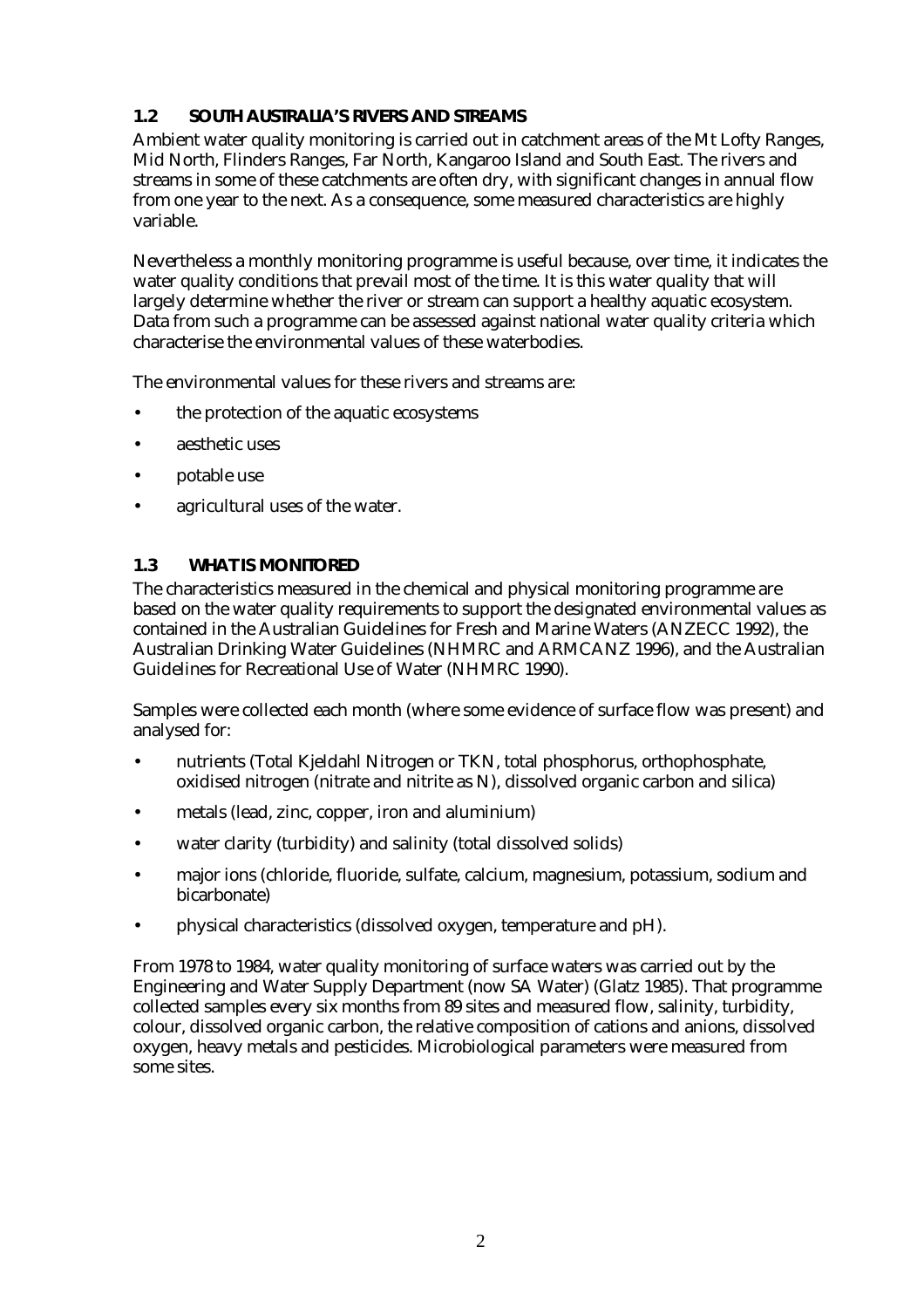#### <span id="page-6-0"></span>**1.2 SOUTH AUSTRALIA'S RIVERS AND STREAMS**

Ambient water quality monitoring is carried out in catchment areas of the Mt Lofty Ranges, Mid North, Flinders Ranges, Far North, Kangaroo Island and South East. The rivers and streams in some of these catchments are often dry, with significant changes in annual flow from one year to the next. As a consequence, some measured characteristics are highly variable.

Nevertheless a monthly monitoring programme is useful because, over time, it indicates the water quality conditions that prevail most of the time. It is this water quality that will largely determine whether the river or stream can support a healthy aquatic ecosystem. Data from such a programme can be assessed against national water quality criteria which characterise the environmental values of these waterbodies.

The environmental values for these rivers and streams are:

- the protection of the aquatic ecosystems
- aesthetic uses
- potable use
- agricultural uses of the water.

#### **1.3 WHAT IS MONITORED**

The characteristics measured in the chemical and physical monitoring programme are based on the water quality requirements to support the designated environmental values as contained in the Australian Guidelines for Fresh and Marine Waters (ANZECC 1992), the Australian Drinking Water Guidelines (NHMRC and ARMCANZ 1996), and the Australian Guidelines for Recreational Use of Water (NHMRC 1990).

Samples were collected each month (where some evidence of surface flow was present) and analysed for:

- nutrients (Total Kjeldahl Nitrogen or TKN, total phosphorus, orthophosphate, oxidised nitrogen (nitrate and nitrite as N), dissolved organic carbon and silica)
- metals (lead, zinc, copper, iron and aluminium)
- water clarity (turbidity) and salinity (total dissolved solids)
- major ions (chloride, fluoride, sulfate, calcium, magnesium, potassium, sodium and bicarbonate)
- physical characteristics (dissolved oxygen, temperature and pH).

From 1978 to 1984, water quality monitoring of surface waters was carried out by the Engineering and Water Supply Department (now SA Water) (Glatz 1985). That programme collected samples every six months from 89 sites and measured flow, salinity, turbidity, colour, dissolved organic carbon, the relative composition of cations and anions, dissolved oxygen, heavy metals and pesticides. Microbiological parameters were measured from some sites.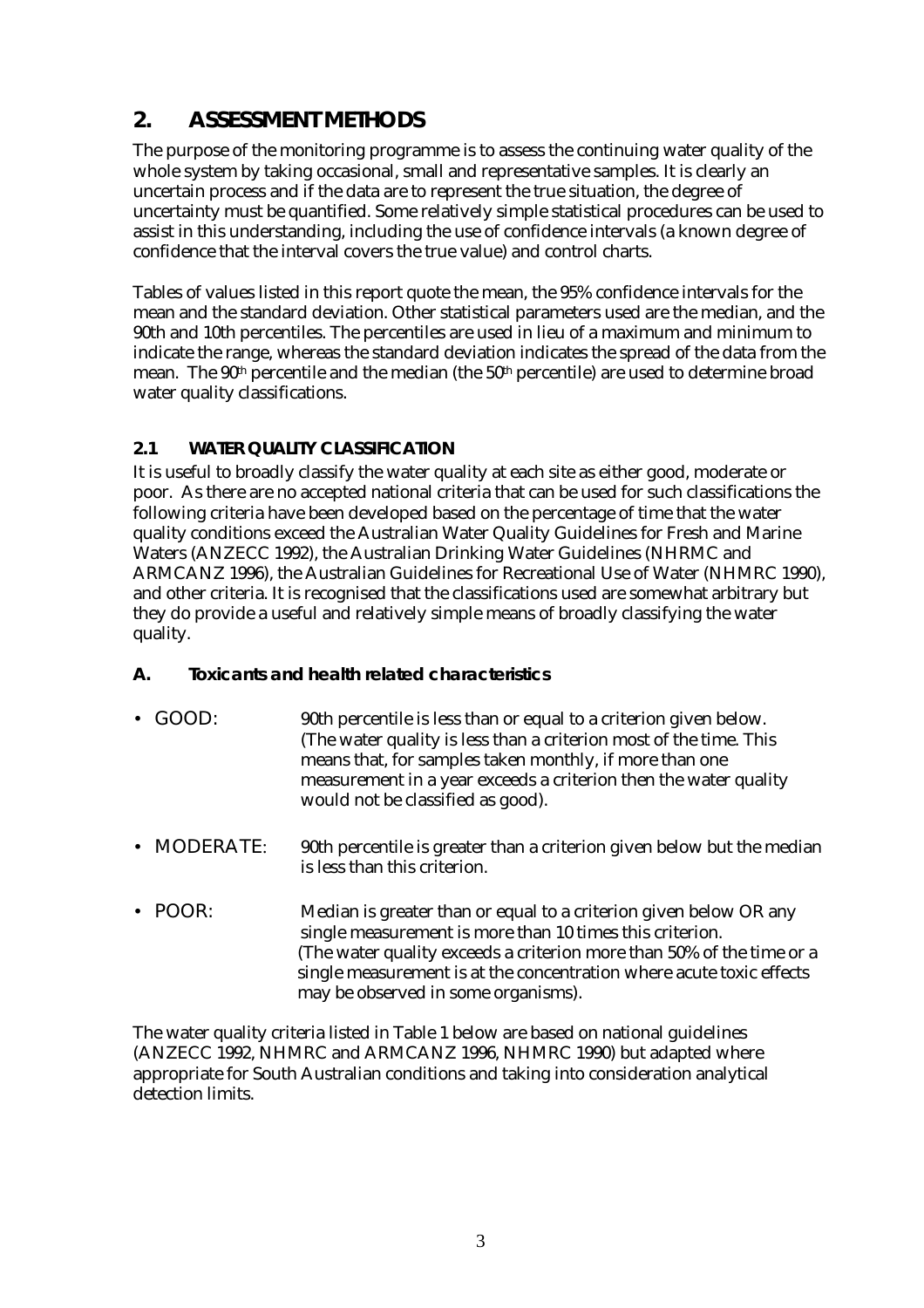## <span id="page-7-0"></span>**2. ASSESSMENT METHODS**

The purpose of the monitoring programme is to assess the continuing water quality of the whole system by taking occasional, small and representative samples. It is clearly an uncertain process and if the data are to represent the true situation, the degree of uncertainty must be quantified. Some relatively simple statistical procedures can be used to assist in this understanding, including the use of confidence intervals (a known degree of confidence that the interval covers the true value) and control charts.

Tables of values listed in this report quote the mean, the 95% confidence intervals for the mean and the standard deviation. Other statistical parameters used are the median, and the 90th and 10th percentiles. The percentiles are used in lieu of a maximum and minimum to indicate the range, whereas the standard deviation indicates the spread of the data from the mean. The  $90<sup>th</sup>$  percentile and the median (the  $50<sup>th</sup>$  percentile) are used to determine broad water quality classifications.

#### **2.1 WATER QUALITY CLASSIFICATION**

It is useful to broadly classify the water quality at each site as either good, moderate or poor. As there are no accepted national criteria that can be used for such classifications the following criteria have been developed based on the percentage of time that the water quality conditions exceed the Australian Water Quality Guidelines for Fresh and Marine Waters (ANZECC 1992), the Australian Drinking Water Guidelines (NHRMC and ARMCANZ 1996), the Australian Guidelines for Recreational Use of Water (NHMRC 1990), and other criteria. It is recognised that the classifications used are somewhat arbitrary but they do provide a useful and relatively simple means of broadly classifying the water quality.

- **A. Toxicants and health related characteristics**
- GOOD: 90th percentile is less than or equal to a criterion given below. (The water quality is less than a criterion most of the time. This means that, for samples taken monthly, if more than one measurement in a year exceeds a criterion then the water quality would not be classified as good).
- MODERATE: 90th percentile is greater than a criterion given below but the median is less than this criterion.
- POOR: Median is greater than or equal to a criterion given below OR any single measurement is more than 10 times this criterion. (The water quality exceeds a criterion more than 50% of the time or a single measurement is at the concentration where acute toxic effects may be observed in some organisms).

The water quality criteria listed in Table 1 below are based on national guidelines (ANZECC 1992, NHMRC and ARMCANZ 1996, NHMRC 1990) but adapted where appropriate for South Australian conditions and taking into consideration analytical detection limits.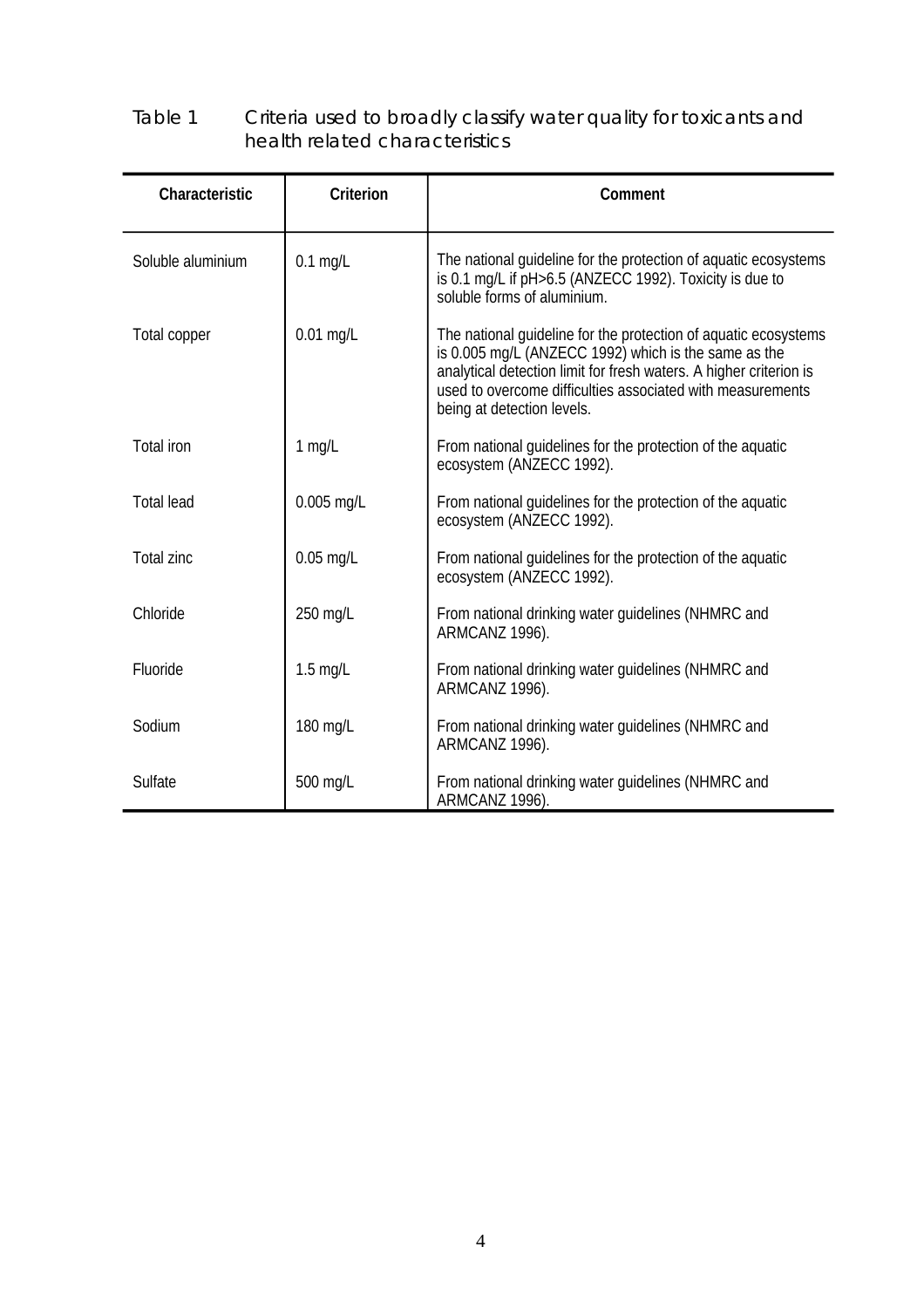#### Table 1 Criteria used to broadly classify water quality for toxicants and health related characteristics

| Characteristic    | <b>Criterion</b> | Comment                                                                                                                                                                                                                                                                                   |
|-------------------|------------------|-------------------------------------------------------------------------------------------------------------------------------------------------------------------------------------------------------------------------------------------------------------------------------------------|
| Soluble aluminium | $0.1$ mg/L       | The national quideline for the protection of aquatic ecosystems<br>is 0.1 mg/L if pH>6.5 (ANZECC 1992). Toxicity is due to<br>soluble forms of aluminium.                                                                                                                                 |
| Total copper      | $0.01$ mg/L      | The national guideline for the protection of aquatic ecosystems<br>is 0.005 mg/L (ANZECC 1992) which is the same as the<br>analytical detection limit for fresh waters. A higher criterion is<br>used to overcome difficulties associated with measurements<br>being at detection levels. |
| Total iron        | $1$ mg/L         | From national guidelines for the protection of the aquatic<br>ecosystem (ANZECC 1992).                                                                                                                                                                                                    |
| <b>Total lead</b> | 0.005 mg/L       | From national guidelines for the protection of the aquatic<br>ecosystem (ANZECC 1992).                                                                                                                                                                                                    |
| Total zinc        | $0.05$ mg/L      | From national quidelines for the protection of the aquatic<br>ecosystem (ANZECC 1992).                                                                                                                                                                                                    |
| Chloride          | 250 mg/L         | From national drinking water guidelines (NHMRC and<br>ARMCANZ 1996).                                                                                                                                                                                                                      |
| Fluoride          | $1.5$ mg/L       | From national drinking water guidelines (NHMRC and<br>ARMCANZ 1996).                                                                                                                                                                                                                      |
| Sodium            | 180 mg/L         | From national drinking water guidelines (NHMRC and<br>ARMCANZ 1996).                                                                                                                                                                                                                      |
| Sulfate           | 500 mg/L         | From national drinking water guidelines (NHMRC and<br>ARMCANZ 1996).                                                                                                                                                                                                                      |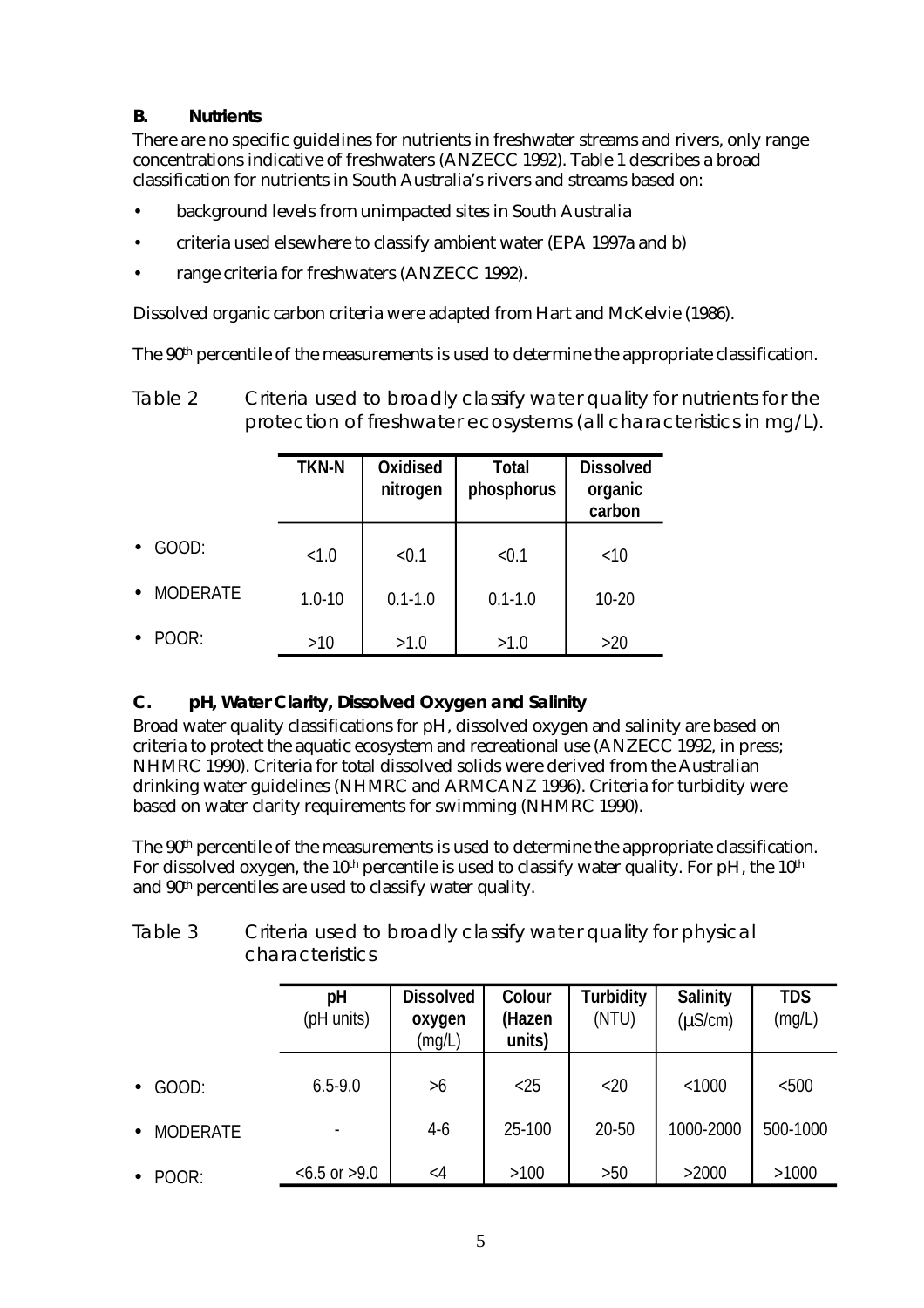#### **B. Nutrients**

There are no specific guidelines for nutrients in freshwater streams and rivers, only range concentrations indicative of freshwaters (ANZECC 1992). Table 1 describes a broad classification for nutrients in South Australia's rivers and streams based on:

- background levels from unimpacted sites in South Australia
- criteria used elsewhere to classify ambient water (EPA 1997a and b)
- range criteria for freshwaters (ANZECC 1992).

Dissolved organic carbon criteria were adapted from Hart and McKelvie (1986).

The 90<sup>th</sup> percentile of the measurements is used to determine the appropriate classification.

Table 2 Criteria used to broadly classify water quality for nutrients for the protection of freshwater ecosystems (all characteristics in mg/L).

|                 | <b>TKN-N</b> | Oxidised<br><b>Total</b><br>phosphorus<br>nitrogen |             | <b>Dissolved</b><br>organic<br>carbon |
|-----------------|--------------|----------------------------------------------------|-------------|---------------------------------------|
| GOOD:           | < 1.0        | < 0.1                                              | < 0.1       | <10                                   |
| <b>MODERATE</b> | $1.0 - 10$   | $0.1 - 1.0$                                        | $0.1 - 1.0$ | $10 - 20$                             |
| POOR:           | >10          | >1.0                                               | >1.0        | >20                                   |

#### **C. pH, Water Clarity, Dissolved Oxygen and Salinity**

Broad water quality classifications for pH, dissolved oxygen and salinity are based on criteria to protect the aquatic ecosystem and recreational use (ANZECC 1992, in press; NHMRC 1990). Criteria for total dissolved solids were derived from the Australian drinking water guidelines (NHMRC and ARMCANZ 1996). Criteria for turbidity were based on water clarity requirements for swimming (NHMRC 1990).

The 90<sup>th</sup> percentile of the measurements is used to determine the appropriate classification. For dissolved oxygen, the  $10<sup>th</sup>$  percentile is used to classify water quality. For pH, the  $10<sup>th</sup>$ and 90<sup>th</sup> percentiles are used to classify water quality.

| Table 3 | Criteria used to broadly classify water quality for physical |
|---------|--------------------------------------------------------------|
|         | <i>characteristics</i>                                       |

|                              | рH<br>(pH units)   | <b>Dissolved</b><br>oxygen<br>(mg/L) | Colour<br>(Hazen<br>units) | <b>Turbidity</b><br>(NTU) | <b>Salinity</b><br>$(\mu S/cm)$ | <b>TDS</b><br>(mg/L) |
|------------------------------|--------------------|--------------------------------------|----------------------------|---------------------------|---------------------------------|----------------------|
| GOOD:<br>$\bullet$           | $6.5 - 9.0$        | >6                                   | $<$ 25                     | <20                       | < 1000                          | < 500                |
| <b>MODERATE</b><br>$\bullet$ |                    | $4-6$                                | 25-100                     | 20-50                     | 1000-2000                       | 500-1000             |
| POOR:<br>$\bullet$           | $< 6.5$ or $> 9.0$ | $\langle 4$                          | >100                       | >50                       | >2000                           | >1000                |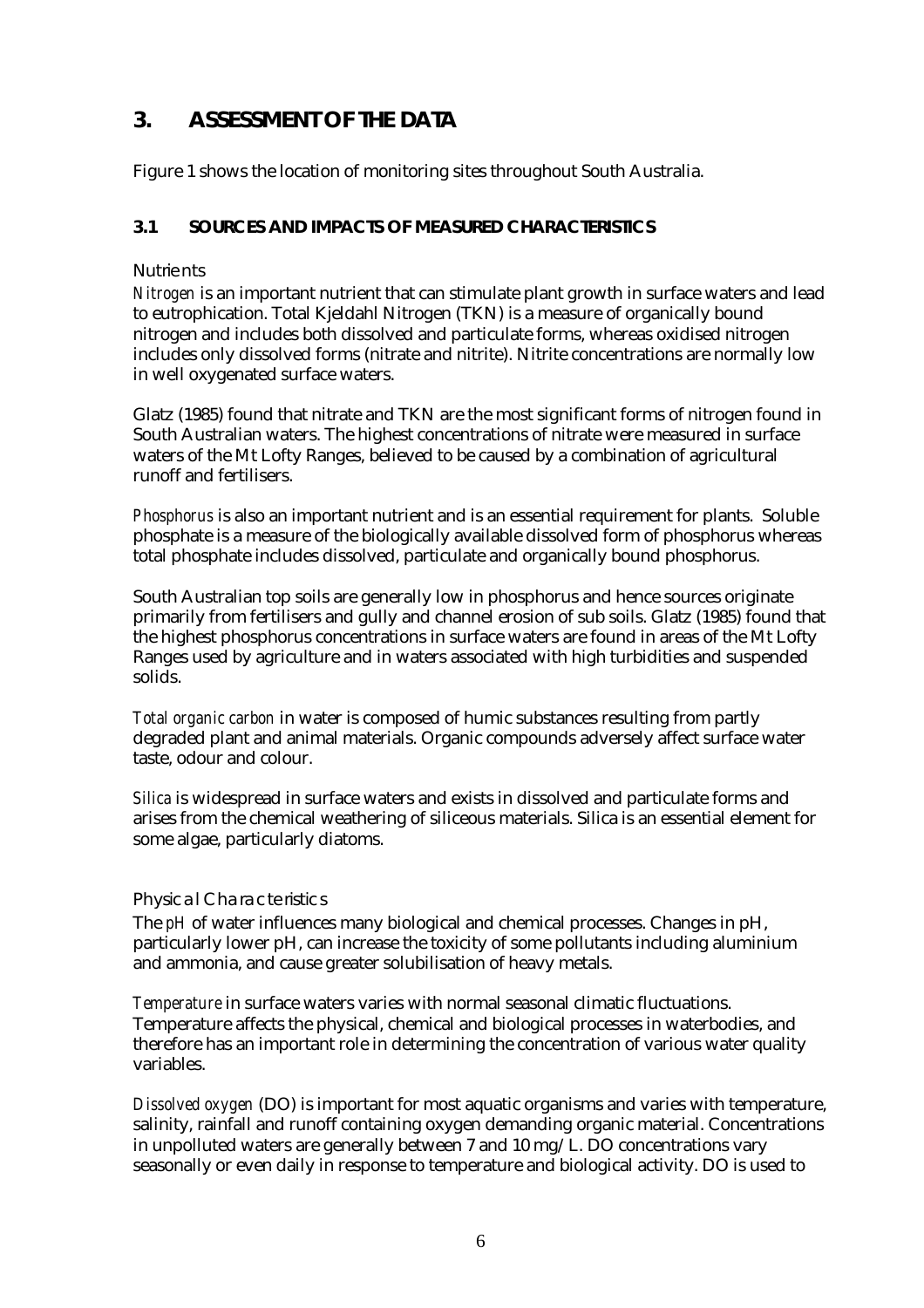# <span id="page-10-0"></span>**3. ASSESSMENT OF THE DATA**

Figure 1 shows the location of monitoring sites throughout South Australia.

#### **3.1 SOURCES AND IMPACTS OF MEASURED CHARACTERISTICS**

#### **Nutrients**

*Nitrogen* is an important nutrient that can stimulate plant growth in surface waters and lead to eutrophication. Total Kjeldahl Nitrogen (TKN) is a measure of organically bound nitrogen and includes both dissolved and particulate forms, whereas oxidised nitrogen includes only dissolved forms (nitrate and nitrite). Nitrite concentrations are normally low in well oxygenated surface waters.

Glatz (1985) found that nitrate and TKN are the most significant forms of nitrogen found in South Australian waters. The highest concentrations of nitrate were measured in surface waters of the Mt Lofty Ranges, believed to be caused by a combination of agricultural runoff and fertilisers.

*Phosphorus* is also an important nutrient and is an essential requirement for plants. Soluble phosphate is a measure of the biologically available dissolved form of phosphorus whereas total phosphate includes dissolved, particulate and organically bound phosphorus.

South Australian top soils are generally low in phosphorus and hence sources originate primarily from fertilisers and gully and channel erosion of sub soils. Glatz (1985) found that the highest phosphorus concentrations in surface waters are found in areas of the Mt Lofty Ranges used by agriculture and in waters associated with high turbidities and suspended solids.

*Total organic carbon* in water is composed of humic substances resulting from partly degraded plant and animal materials. Organic compounds adversely affect surface water taste, odour and colour.

*Silica* is widespread in surface waters and exists in dissolved and particulate forms and arises from the chemical weathering of siliceous materials. Silica is an essential element for some algae, particularly diatoms.

#### Physical Characteristics

The *pH* of water influences many biological and chemical processes. Changes in pH, particularly lower pH, can increase the toxicity of some pollutants including aluminium and ammonia, and cause greater solubilisation of heavy metals.

*Temperature* in surface waters varies with normal seasonal climatic fluctuations. Temperature affects the physical, chemical and biological processes in waterbodies, and therefore has an important role in determining the concentration of various water quality variables.

*Dissolved oxygen* (DO) is important for most aquatic organisms and varies with temperature, salinity, rainfall and runoff containing oxygen demanding organic material. Concentrations in unpolluted waters are generally between 7 and 10 mg/L. DO concentrations vary seasonally or even daily in response to temperature and biological activity. DO is used to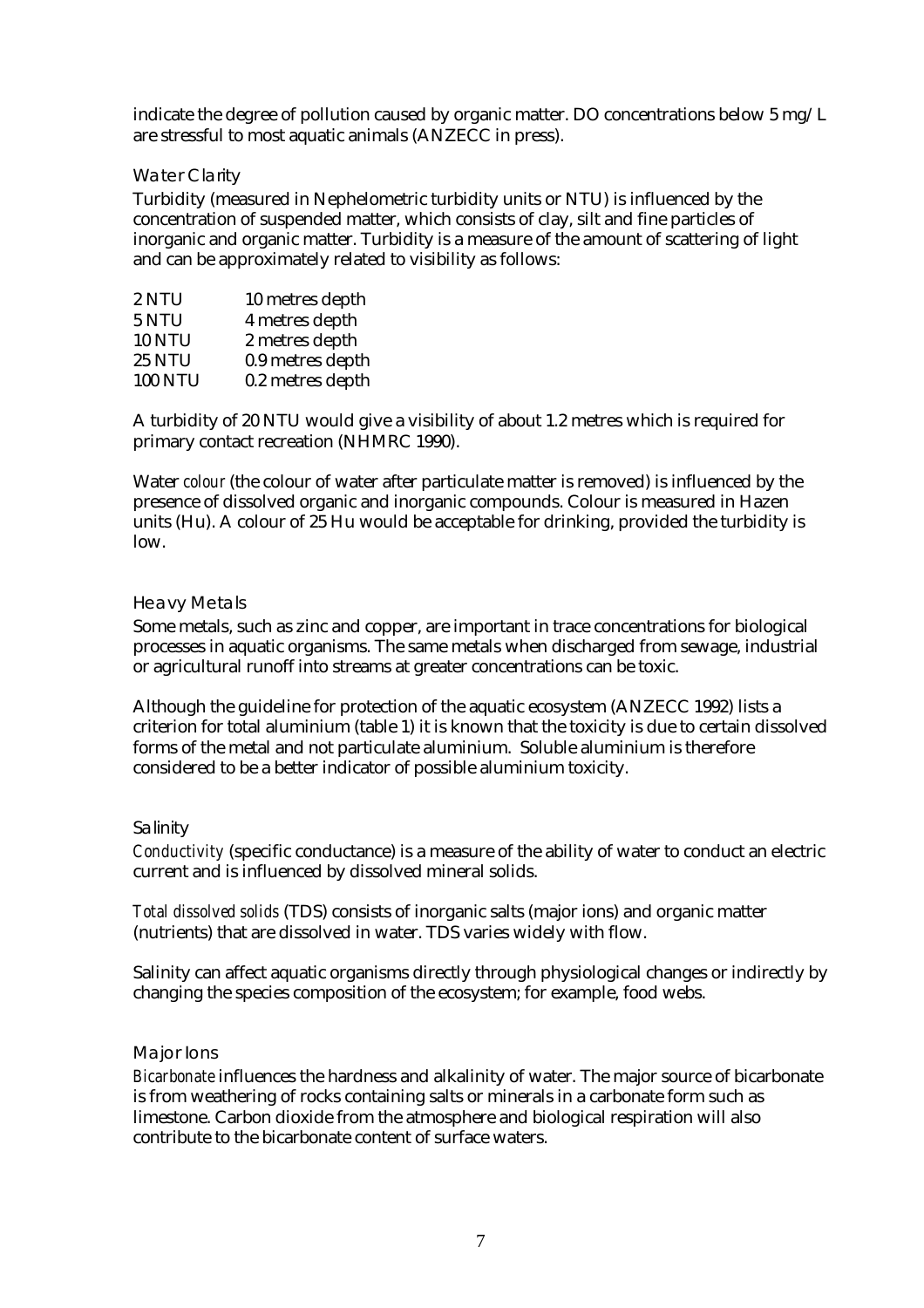indicate the degree of pollution caused by organic matter. DO concentrations below 5 mg/L are stressful to most aquatic animals (ANZECC in press).

#### Water Clarity

Turbidity (measured in Nephelometric turbidity units or NTU) is influenced by the concentration of suspended matter, which consists of clay, silt and fine particles of inorganic and organic matter. Turbidity is a measure of the amount of scattering of light and can be approximately related to visibility as follows:

| 10 metres depth  |
|------------------|
| 4 metres depth   |
| 2 metres depth   |
| 0.9 metres depth |
| 0.2 metres depth |
|                  |

A turbidity of 20 NTU would give a visibility of about 1.2 metres which is required for primary contact recreation (NHMRC 1990).

Water *colour* (the colour of water after particulate matter is removed) is influenced by the presence of dissolved organic and inorganic compounds. Colour is measured in Hazen units (Hu). A colour of 25 Hu would be acceptable for drinking, provided the turbidity is low.

#### Heavy Metals

Some metals, such as zinc and copper, are important in trace concentrations for biological processes in aquatic organisms. The same metals when discharged from sewage, industrial or agricultural runoff into streams at greater concentrations can be toxic.

Although the guideline for protection of the aquatic ecosystem (ANZECC 1992) lists a criterion for total aluminium (table 1) it is known that the toxicity is due to certain dissolved forms of the metal and not particulate aluminium. Soluble aluminium is therefore considered to be a better indicator of possible aluminium toxicity.

#### Salinity

*Conductivity* (specific conductance) is a measure of the ability of water to conduct an electric current and is influenced by dissolved mineral solids.

*Total dissolved solids* (TDS) consists of inorganic salts (major ions) and organic matter (nutrients) that are dissolved in water. TDS varies widely with flow.

Salinity can affect aquatic organisms directly through physiological changes or indirectly by changing the species composition of the ecosystem; for example, food webs.

#### Major Ions

*Bicarbonate* influences the hardness and alkalinity of water. The major source of bicarbonate is from weathering of rocks containing salts or minerals in a carbonate form such as limestone. Carbon dioxide from the atmosphere and biological respiration will also contribute to the bicarbonate content of surface waters.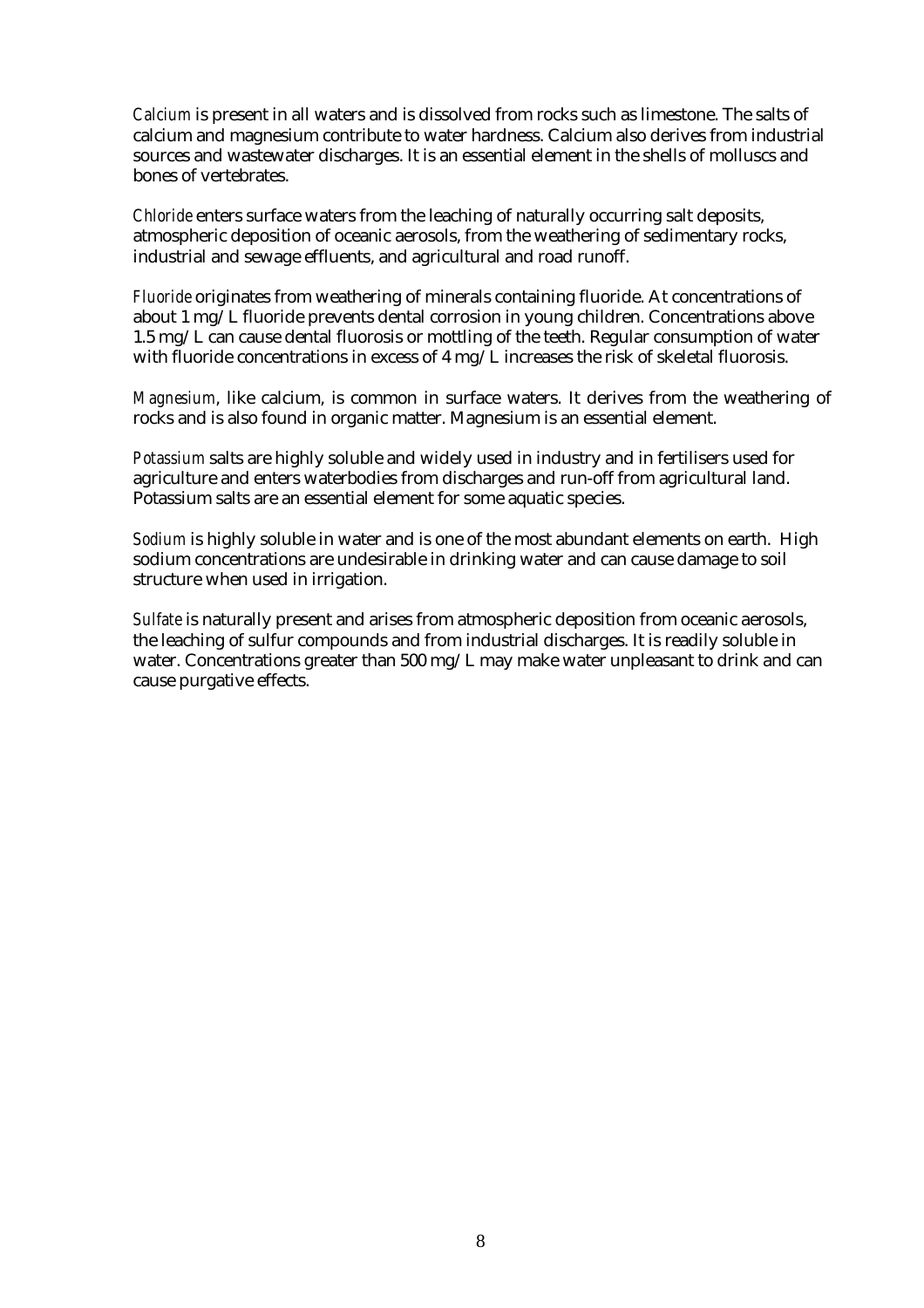*Calcium* is present in all waters and is dissolved from rocks such as limestone. The salts of calcium and magnesium contribute to water hardness. Calcium also derives from industrial sources and wastewater discharges. It is an essential element in the shells of molluscs and bones of vertebrates.

*Chloride* enters surface waters from the leaching of naturally occurring salt deposits, atmospheric deposition of oceanic aerosols, from the weathering of sedimentary rocks, industrial and sewage effluents, and agricultural and road runoff.

*Fluoride* originates from weathering of minerals containing fluoride. At concentrations of about 1 mg/L fluoride prevents dental corrosion in young children. Concentrations above 1.5 mg/L can cause dental fluorosis or mottling of the teeth. Regular consumption of water with fluoride concentrations in excess of  $4 \text{ mg/L}$  increases the risk of skeletal fluorosis.

*Magnesium*, like calcium, is common in surface waters. It derives from the weathering of rocks and is also found in organic matter. Magnesium is an essential element.

*Potassium* salts are highly soluble and widely used in industry and in fertilisers used for agriculture and enters waterbodies from discharges and run-off from agricultural land. Potassium salts are an essential element for some aquatic species.

*Sodium* is highly soluble in water and is one of the most abundant elements on earth. High sodium concentrations are undesirable in drinking water and can cause damage to soil structure when used in irrigation.

*Sulfate* is naturally present and arises from atmospheric deposition from oceanic aerosols, the leaching of sulfur compounds and from industrial discharges. It is readily soluble in water. Concentrations greater than 500 mg/L may make water unpleasant to drink and can cause purgative effects.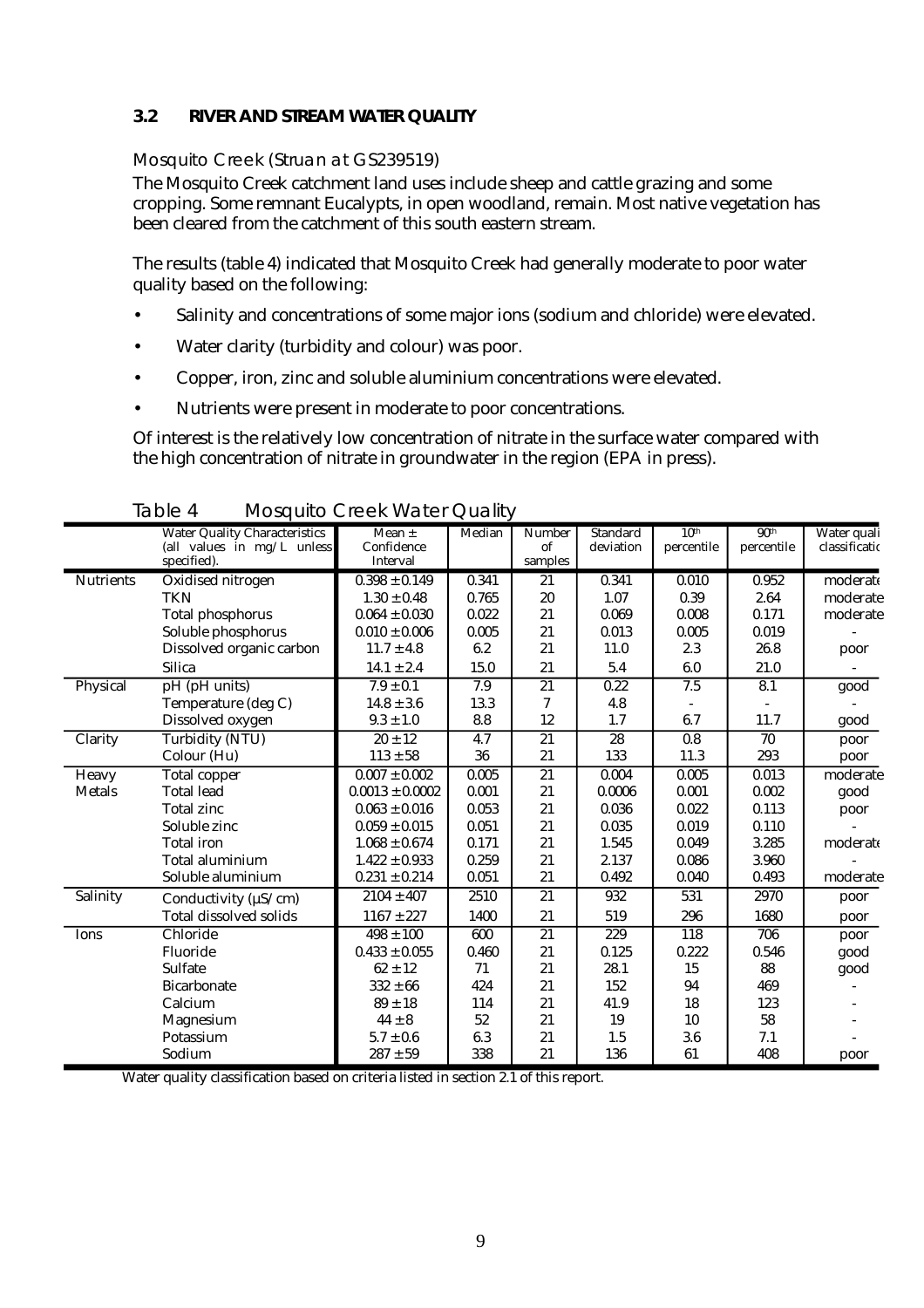#### <span id="page-13-0"></span>**3.2 RIVER AND STREAM WATER QUALITY**

#### Mosquito Creek (Struan at GS239519)

The Mosquito Creek catchment land uses include sheep and cattle grazing and some cropping. Some remnant Eucalypts, in open woodland, remain. Most native vegetation has been cleared from the catchment of this south eastern stream.

The results (table 4) indicated that Mosquito Creek had generally moderate to poor water quality based on the following:

- Salinity and concentrations of some major ions (sodium and chloride) were elevated.
- Water clarity (turbidity and colour) was poor.
- Copper, iron, zinc and soluble aluminium concentrations were elevated.
- Nutrients were present in moderate to poor concentrations.

Of interest is the relatively low concentration of nitrate in the surface water compared with the high concentration of nitrate in groundwater in the region (EPA in press).

|                  | <b>Water Quality Characteristics</b><br>(all values in $mg/L$ unless | Mean $\pm$<br>Confidence | Median           | Number<br>of    | <b>Standard</b><br>deviation | 10 <sup>th</sup><br>percentile | 90 <sup>th</sup><br>percentile | Water quali<br>classificatio |
|------------------|----------------------------------------------------------------------|--------------------------|------------------|-----------------|------------------------------|--------------------------------|--------------------------------|------------------------------|
|                  | specified).                                                          | Interval                 |                  | samples         |                              |                                |                                |                              |
| <b>Nutrients</b> | Oxidised nitrogen                                                    | $0.398 \pm 0.149$        | 0.341            | 21              | 0.341                        | 0.010                          | 0.952                          | moderate                     |
|                  | <b>TKN</b>                                                           | $1.30 \pm 0.48$          | 0.765            | 20              | 1.07                         | 0.39                           | 2.64                           | moderate                     |
|                  | <b>Total phosphorus</b>                                              | $0.064 \pm 0.030$        | 0.022            | 21              | 0.069                        | 0.008                          | 0.171                          | moderate                     |
|                  | Soluble phosphorus                                                   | $0.010 \pm 0.006$        | 0.005            | 21              | 0.013                        | 0.005                          | 0.019                          |                              |
|                  | Dissolved organic carbon                                             | $11.7 \pm 4.8$           | 6.2              | 21              | 11.0                         | 2.3                            | 26.8                           | poor                         |
|                  | <b>Silica</b>                                                        | $14.1 \pm 2.4$           | 15.0             | 21              | 5.4                          | 6.0                            | 21.0                           |                              |
| Physical         | pH (pH units)                                                        | $7.9 \pm 0.1$            | 7.9              | $\overline{21}$ | $\overline{0.22}$            | 7.5                            | 8.1                            | good                         |
|                  | Temperature (deg C)                                                  | $14.8 \pm 3.6$           | 13.3             | 7               | 4.8                          |                                |                                |                              |
|                  | Dissolved oxygen                                                     | $9.3 \pm 1.0$            | 8.8              | 12              | 1.7                          | 6.7                            | 11.7                           | good                         |
| Clarity          | <b>Turbidity (NTU)</b>                                               | $20 \pm 12$              | $\overline{4.7}$ | $\overline{21}$ | $\overline{28}$              | 0.8                            | 70                             | poor                         |
|                  | Colour (Hu)                                                          | $113 \pm 58$             | 36               | 21              | 133                          | 11.3                           | 293                            | poor                         |
| Heavy            | Total copper                                                         | $0.007 \pm 0.002$        | 0.005            | 21              | 0.004                        | 0.005                          | 0.013                          | moderate                     |
| <b>Metals</b>    | <b>Total lead</b>                                                    | $0.0013 \pm 0.0002$      | 0.001            | 21              | 0.0006                       | 0.001                          | 0.002                          | good                         |
|                  | <b>Total zinc</b>                                                    | $0.063 \pm 0.016$        | 0.053            | 21              | 0.036                        | 0.022                          | 0.113                          | poor                         |
|                  | Soluble zinc                                                         | $0.059 \pm 0.015$        | 0.051            | 21              | 0.035                        | 0.019                          | 0.110                          |                              |
|                  | <b>Total</b> iron                                                    | $1.068 \pm 0.674$        | 0.171            | 21              | 1.545                        | 0.049                          | 3.285                          | moderate                     |
|                  | Total aluminium                                                      | $1.422 \pm 0.933$        | 0.259            | 21              | 2.137                        | 0.086                          | 3.960                          |                              |
|                  | Soluble aluminium                                                    | $0.231 \pm 0.214$        | 0.051            | 21              | 0.492                        | 0.040                          | 0.493                          | moderate                     |
| Salinity         | Conductivity ( $\mu$ S/cm)                                           | $2104 \pm 407$           | 2510             | 21              | 932                          | 531                            | 2970                           | poor                         |
|                  | <b>Total dissolved solids</b>                                        | $1167 \pm 227$           | 1400             | 21              | 519                          | 296                            | 1680                           | poor                         |
| Ions             | Chloride                                                             | $498 \pm 100$            | 600              | 21              | 229                          | 118                            | 706                            | poor                         |
|                  | Fluoride                                                             | $0.433 \pm 0.055$        | 0.460            | 21              | 0.125                        | 0.222                          | 0.546                          | good                         |
|                  | <b>Sulfate</b>                                                       | $62 \pm 12$              | 71               | 21              | 28.1                         | 15                             | 88                             | good                         |
|                  | <b>Bicarbonate</b>                                                   | $332 \pm 66$             | 424              | 21              | 152                          | 94                             | 469                            |                              |
|                  | Calcium                                                              | $89 \pm 18$              | 114              | 21              | 41.9                         | 18                             | 123                            |                              |
|                  | Magnesium                                                            | $44 \pm 8$               | 52               | 21              | 19                           | 10                             | 58                             |                              |
|                  | Potassium                                                            | $5.7 \pm 0.6$            | 6.3              | 21              | 1.5                          | 3.6                            | 7.1                            |                              |
|                  | Sodium                                                               | $287 \pm 59$             | 338              | 21              | 136                          | 61                             | 408                            | poor                         |

Table 4 Mosquito Creek Water Quality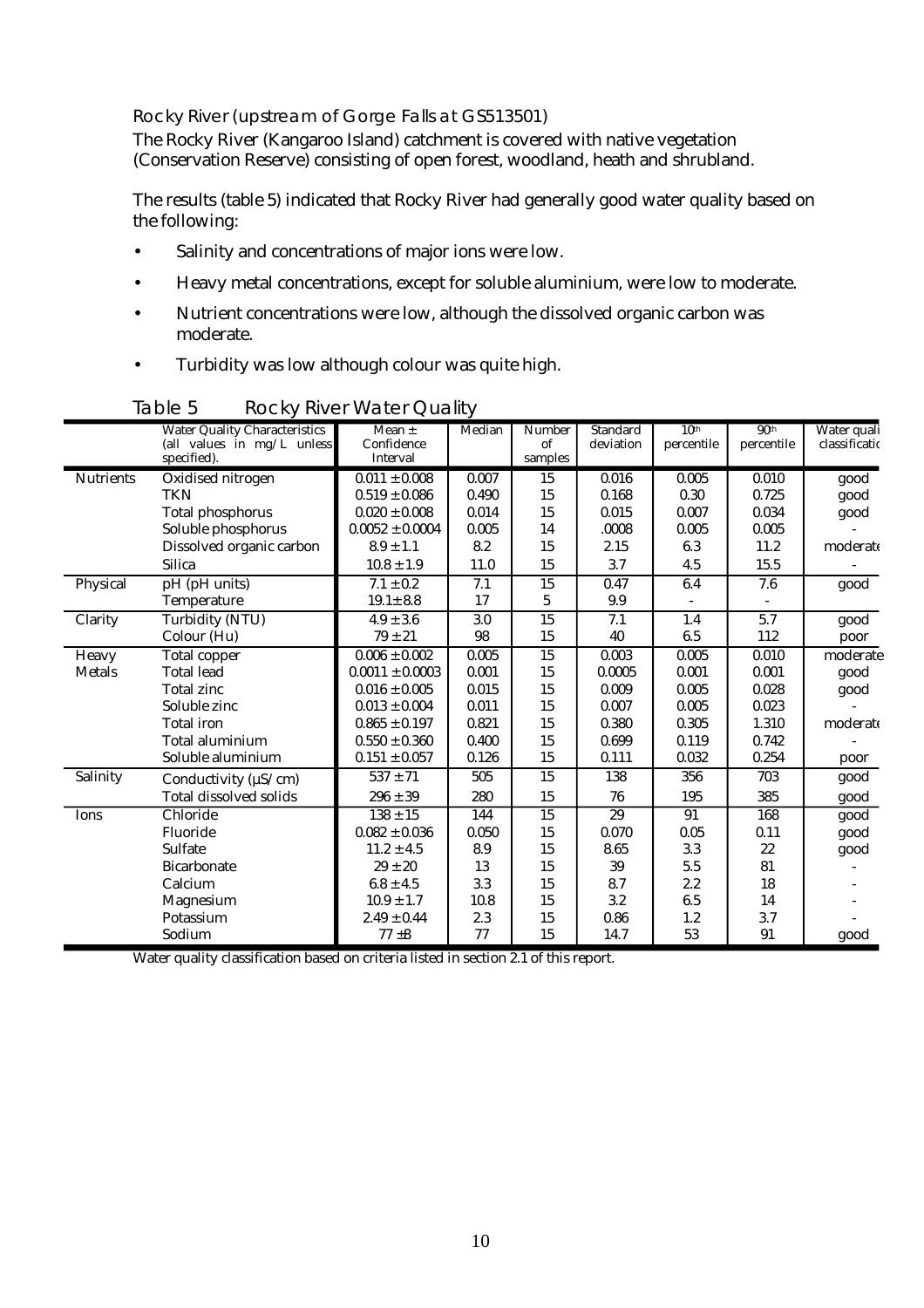#### Rocky River (upstream of Gorge Falls at GS513501)

The Rocky River (Kangaroo Island) catchment is covered with native vegetation (Conservation Reserve) consisting of open forest, woodland, heath and shrubland.

The results (table 5) indicated that Rocky River had generally good water quality based on the following:

- Salinity and concentrations of major ions were low.
- Heavy metal concentrations, except for soluble aluminium, were low to moderate.
- Nutrient concentrations were low, although the dissolved organic carbon was moderate.
- Turbidity was low although colour was quite high.

|                  | <b>Water Quality Characteristics</b>        | $\overline{\text{Mean}}$ $\pm$ | Median | <b>Number</b>   | <b>Standard</b> | 10 <sup>th</sup> | 90 <sup>th</sup> | Water quali   |
|------------------|---------------------------------------------|--------------------------------|--------|-----------------|-----------------|------------------|------------------|---------------|
|                  | (all values in $mg/L$ unless<br>specified). | Confidence<br>Interval         |        | of<br>samples   | deviation       | percentile       | percentile       | classificatio |
| <b>Nutrients</b> | Oxidised nitrogen                           | $0.011 \pm 0.008$              | 0.007  | 15              | 0.016           | 0.005            | 0.010            | good          |
|                  | <b>TKN</b>                                  | $0.519 \pm 0.086$              | 0.490  | 15              | 0.168           | 0.30             | 0.725            | good          |
|                  | <b>Total phosphorus</b>                     | $0.020 \pm 0.008$              | 0.014  | 15              | 0.015           | 0.007            | 0.034            | good          |
|                  | Soluble phosphorus                          | $0.0052 \pm 0.0004$            | 0.005  | 14              | .0008           | 0.005            | 0.005            |               |
|                  | Dissolved organic carbon                    | $8.9 \pm 1.1$                  | 8.2    | 15              | 2.15            | 6.3              | 11.2             | moderate      |
|                  | <b>Silica</b>                               | $10.8 \pm 1.9$                 | 11.0   | 15              | 3.7             | 4.5              | 15.5             |               |
| Physical         | pH (pH units)                               | $7.1 \pm 0.2$                  | 7.1    | $\overline{15}$ | 0.47            | 6.4              | 7.6              | good          |
|                  | Temperature                                 | $19.1 \pm 8.8$                 | 17     | 5               | 9.9             |                  |                  |               |
| Clarity          | <b>Turbidity (NTU)</b>                      | $4.9 \pm 3.6$                  | 3.0    | $\overline{15}$ | 7.1             | 1.4              | 5.7              | good          |
|                  | Colour (Hu)                                 | $79 \pm 21$                    | 98     | 15              | 40              | 6.5              | 112              | poor          |
| <b>Heavy</b>     | <b>Total copper</b>                         | $0.006 \pm 0.002$              | 0.005  | $\overline{15}$ | 0.003           | 0.005            | 0.010            | moderate      |
| <b>Metals</b>    | <b>Total lead</b>                           | $0.0011 \pm 0.0003$            | 0.001  | 15              | 0.0005          | 0.001            | 0.001            | good          |
|                  | <b>Total zinc</b>                           | $0.016 \pm 0.005$              | 0.015  | 15              | 0.009           | 0.005            | 0.028            | good          |
|                  | Soluble zinc                                | $0.013 \pm 0.004$              | 0.011  | 15              | 0.007           | 0.005            | 0.023            |               |
|                  | <b>Total iron</b>                           | $0.865 \pm 0.197$              | 0.821  | 15              | 0.380           | 0.305            | 1.310            | moderate      |
|                  | Total aluminium                             | $0.550 \pm 0.360$              | 0.400  | 15              | 0.699           | 0.119            | 0.742            |               |
|                  | Soluble aluminium                           | $0.151 \pm 0.057$              | 0.126  | 15              | 0.111           | 0.032            | 0.254            | poor          |
| Salinity         | Conductivity ( $\mu$ S/cm)                  | $\overline{537} \pm 71$        | 505    | $\overline{15}$ | 138             | 356              | 703              | good          |
|                  | <b>Total dissolved solids</b>               | $296 \pm 39$                   | 280    | 15              | 76              | 195              | 385              | good          |
| Ions             | Chloride                                    | $138 \pm 15$                   | 144    | 15              | 29              | 91               | 168              | good          |
|                  | Fluoride                                    | $0.082 \pm 0.036$              | 0.050  | 15              | 0.070           | 0.05             | 0.11             | good          |
|                  | <b>Sulfate</b>                              | $11.2 \pm 4.5$                 | 8.9    | 15              | 8.65            | 3.3              | 22               | good          |
|                  | <b>Bicarbonate</b>                          | $29 \pm 20$                    | 13     | 15              | 39              | 5.5              | 81               |               |
|                  | Calcium                                     | $6.8 \pm 4.5$                  | 3.3    | 15              | 8.7             | 2.2              | 18               |               |
|                  | Magnesium                                   | $10.9 \pm 1.7$                 | 10.8   | 15              | 3.2             | 6.5              | 14               |               |
|                  | Potassium                                   | $2.49 \pm 0.44$                | 2.3    | 15              | 0.86            | 1.2              | 3.7              |               |
|                  | Sodium                                      | $77 + 8$                       | 77     | 15              | 14.7            | 53               | 91               | good          |

Table 5 Rocky River Water Quality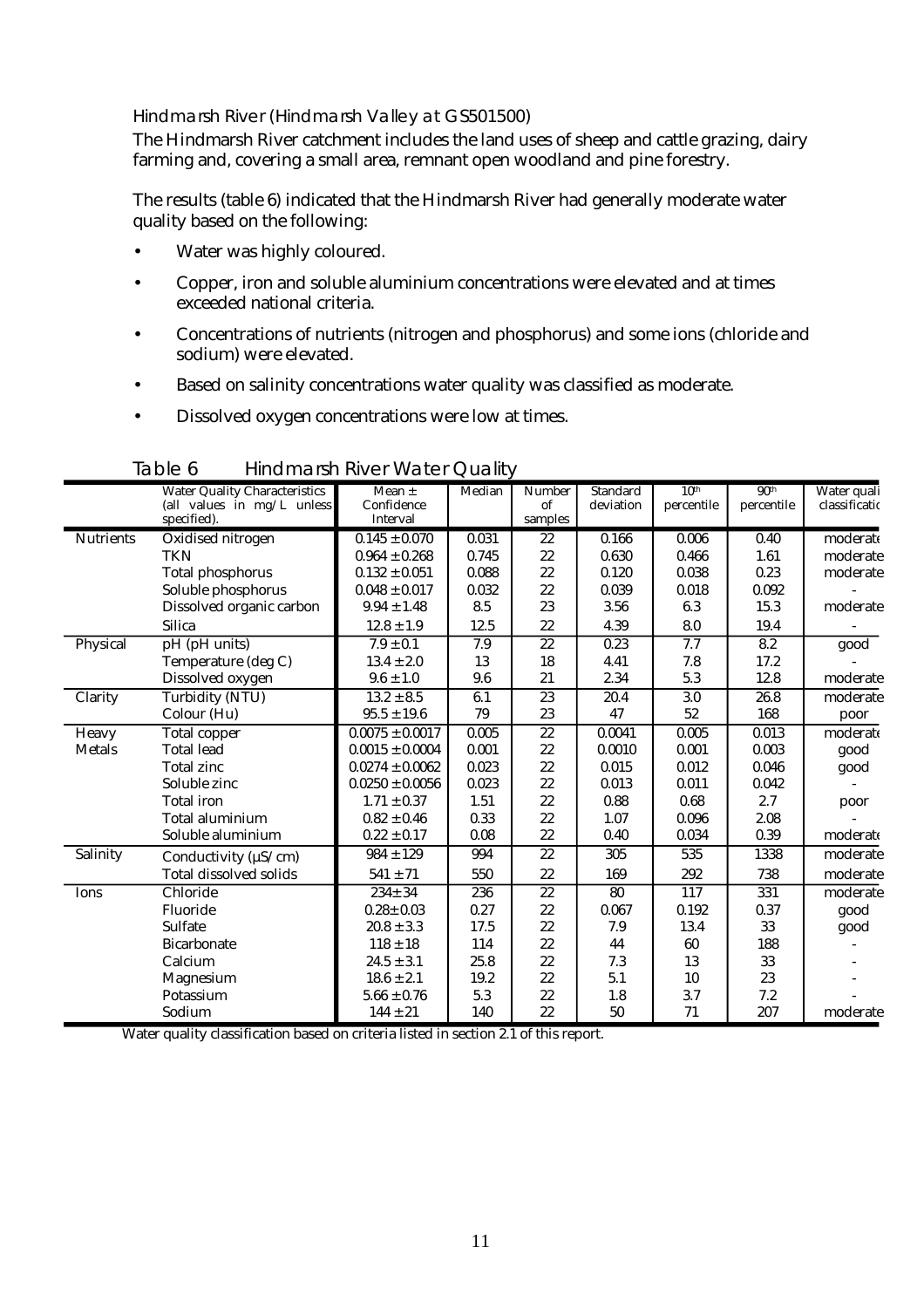#### Hindmarsh River (Hindmarsh Valley at GS501500)

The Hindmarsh River catchment includes the land uses of sheep and cattle grazing, dairy farming and, covering a small area, remnant open woodland and pine forestry.

The results (table 6) indicated that the Hindmarsh River had generally moderate water quality based on the following:

- Water was highly coloured.
- Copper, iron and soluble aluminium concentrations were elevated and at times exceeded national criteria.
- Concentrations of nutrients (nitrogen and phosphorus) and some ions (chloride and sodium) were elevated.
- Based on salinity concentrations water quality was classified as moderate.
- Dissolved oxygen concentrations were low at times.

|                  | <b>Water Quality Characteristics</b> | Mean $\pm$          | Median | <b>Number</b>   | <b>Standard</b> | 10 <sup>th</sup> | 90 <sup>th</sup> | Water quali   |
|------------------|--------------------------------------|---------------------|--------|-----------------|-----------------|------------------|------------------|---------------|
|                  | (all values in mg/L unless           | Confidence          |        | of              | deviation       | percentile       | percentile       | classificatio |
|                  | specified).                          | Interval            |        | samples         |                 |                  |                  |               |
| <b>Nutrients</b> | Oxidised nitrogen                    | $0.145 \pm 0.070$   | 0.031  | $\overline{22}$ | 0.166           | 0.006            | 0.40             | moderate      |
|                  | <b>TKN</b>                           | $0.964 \pm 0.268$   | 0.745  | 22              | 0.630           | 0.466            | 1.61             | moderate      |
|                  | <b>Total phosphorus</b>              | $0.132 \pm 0.051$   | 0.088  | 22              | 0.120           | 0.038            | 0.23             | moderate      |
|                  | Soluble phosphorus                   | $0.048 \pm 0.017$   | 0.032  | 22              | 0.039           | 0.018            | 0.092            |               |
|                  | Dissolved organic carbon             | $9.94 \pm 1.48$     | 8.5    | 23              | 3.56            | 6.3              | 15.3             | moderate      |
|                  | <b>Silica</b>                        | $12.8 \pm 1.9$      | 12.5   | 22              | 4.39            | 8.0              | 19.4             |               |
| Physical         | pH (pH units)                        | $7.9 \pm 0.1$       | 7.9    | $\overline{22}$ | 0.23            | 7.7              | 8.2              | good          |
|                  | Temperature (deg C)                  | $13.4 \pm 2.0$      | 13     | 18              | 4.41            | 7.8              | 17.2             |               |
|                  | Dissolved oxygen                     | $9.6 \pm 1.0$       | 9.6    | 21              | 2.34            | 5.3              | 12.8             | moderate      |
| Clarity          | <b>Turbidity (NTU)</b>               | $13.2 \pm 8.5$      | 6.1    | $\overline{23}$ | 20.4            | 3.0              | 26.8             | moderate      |
|                  | Colour (Hu)                          | $95.5 \pm 19.6$     | 79     | 23              | 47              | 52               | 168              | poor          |
| Heavy            | Total copper                         | $0.0075 \pm 0.0017$ | 0.005  | $\overline{22}$ | 0.0041          | 0.005            | 0.013            | moderate      |
| <b>Metals</b>    | <b>Total lead</b>                    | $0.0015 \pm 0.0004$ | 0.001  | 22              | 0.0010          | 0.001            | 0.003            | good          |
|                  | <b>Total zinc</b>                    | $0.0274 \pm 0.0062$ | 0.023  | 22              | 0.015           | 0.012            | 0.046            | good          |
|                  | Soluble zinc                         | $0.0250 \pm 0.0056$ | 0.023  | 22              | 0.013           | 0.011            | 0.042            |               |
|                  | <b>Total iron</b>                    | $1.71 \pm 0.37$     | 1.51   | 22              | 0.88            | 0.68             | 2.7              | poor          |
|                  | Total aluminium                      | $0.82 \pm 0.46$     | 0.33   | 22              | 1.07            | 0.096            | 2.08             |               |
|                  | Soluble aluminium                    | $0.22 \pm 0.17$     | 0.08   | 22              | 0.40            | 0.034            | 0.39             | moderate      |
| Salinity         | Conductivity ( $\mu$ S/cm)           | $984 \pm 129$       | 994    | 22              | 305             | 535              | 1338             | moderate      |
|                  | <b>Total dissolved solids</b>        | $541 \pm 71$        | 550    | 22              | 169             | 292              | 738              | moderate      |
| Ions             | Chloride                             | $234 \pm 34$        | 236    | $\overline{22}$ | 80              | 117              | 331              | moderate      |
|                  | Fluoride                             | $0.28 \pm 0.03$     | 0.27   | 22              | 0.067           | 0.192            | 0.37             | good          |
|                  | <b>Sulfate</b>                       | $20.8 \pm 3.3$      | 17.5   | 22              | 7.9             | 13.4             | 33               | good          |
|                  | <b>Bicarbonate</b>                   | $118 \pm 18$        | 114    | 22              | 44              | 60               | 188              |               |
|                  | Calcium                              | $24.5 \pm 3.1$      | 25.8   | 22              | 7.3             | 13               | 33               |               |
|                  | <b>Magnesium</b>                     | $18.6 \pm 2.1$      | 19.2   | 22              | 5.1             | 10               | 23               |               |
|                  | Potassium                            | $5.66 \pm 0.76$     | 5.3    | $22\,$          | 1.8             | 3.7              | 7.2              |               |
|                  | Sodium                               | $144 \pm 21$        | 140    | 22              | 50              | 71               | 207              | moderate      |

Table 6 Hindmarsh River Water Quality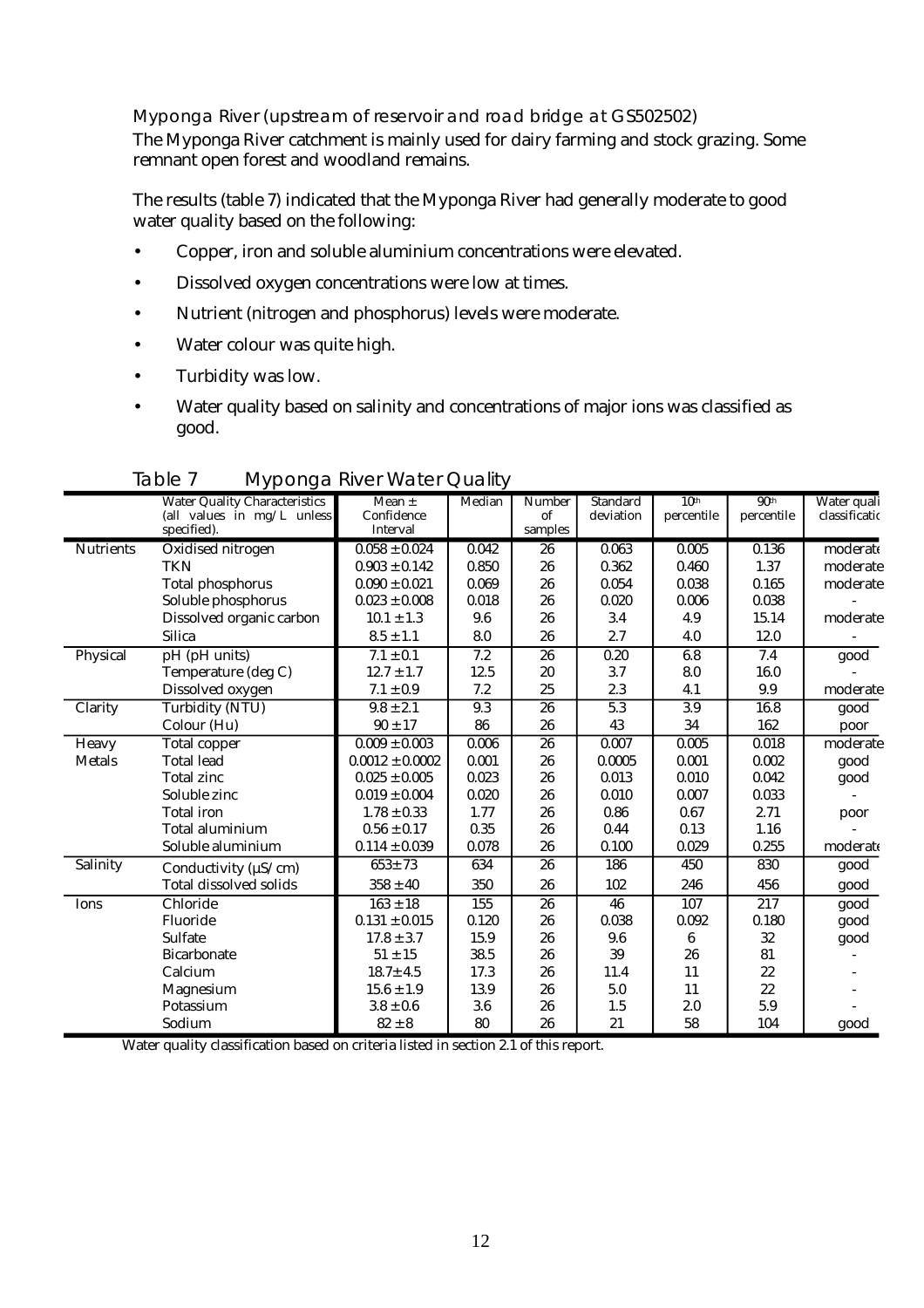Myponga River (upstream of reservoir and road bridge at GS502502)

The Myponga River catchment is mainly used for dairy farming and stock grazing. Some remnant open forest and woodland remains.

The results (table 7) indicated that the Myponga River had generally moderate to good water quality based on the following:

- Copper, iron and soluble aluminium concentrations were elevated.
- Dissolved oxygen concentrations were low at times.
- Nutrient (nitrogen and phosphorus) levels were moderate.
- Water colour was quite high.
- Turbidity was low.
- Water quality based on salinity and concentrations of major ions was classified as good.

|                  | <u>ັ່ງ</u><br><b>Water Quality Characteristics</b> | Mean $\pm$          | Median | <b>Number</b>   | <b>Standard</b> | 10 <sup>th</sup> | 90 <sup>th</sup> | Water quali   |
|------------------|----------------------------------------------------|---------------------|--------|-----------------|-----------------|------------------|------------------|---------------|
|                  | (all values in mg/L unless                         | Confidence          |        | of              | deviation       | percentile       | percentile       | classificatio |
|                  | specified).                                        | Interval            |        | samples         |                 |                  |                  |               |
| <b>Nutrients</b> | Oxidised nitrogen                                  | $0.058 \pm 0.024$   | 0.042  | 26              | 0.063           | 0.005            | 0.136            | moderate      |
|                  | <b>TKN</b>                                         | $0.903 \pm 0.142$   | 0.850  | 26              | 0.362           | 0.460            | 1.37             | moderate      |
|                  | <b>Total phosphorus</b>                            | $0.090 \pm 0.021$   | 0.069  | 26              | 0.054           | 0.038            | 0.165            | moderate      |
|                  | Soluble phosphorus                                 | $0.023 \pm 0.008$   | 0.018  | 26              | 0.020           | 0.006            | 0.038            |               |
|                  | Dissolved organic carbon                           | $10.1 \pm 1.3$      | 9.6    | 26              | 3.4             | 4.9              | 15.14            | moderate      |
|                  | <b>Silica</b>                                      | $8.5 \pm 1.1$       | 8.0    | 26              | 2.7             | 4.0              | 12.0             |               |
| Physical         | pH (pH units)                                      | $7.1 \pm 0.1$       | 7.2    | 26              | 0.20            | 6.8              | 7.4              | good          |
|                  | Temperature (deg C)                                | $12.7 \pm 1.7$      | 12.5   | 20              | 3.7             | 8.0              | 16.0             |               |
|                  | Dissolved oxygen                                   | $7.1 \pm 0.9$       | 7.2    | 25              | 2.3             | 4.1              | 9.9              | moderate      |
| Clarity          | Turbidity (NTU)                                    | $9.8 \pm 2.1$       | 9.3    | 26              | 5.3             | 3.9              | 16.8             | good          |
|                  | Colour (Hu)                                        | $90 \pm 17$         | 86     | 26              | 43              | 34               | 162              | poor          |
| Heavy            | <b>Total copper</b>                                | $0.009 \pm 0.003$   | 0.006  | $\overline{26}$ | 0.007           | 0.005            | 0.018            | moderate      |
| <b>Metals</b>    | <b>Total lead</b>                                  | $0.0012 \pm 0.0002$ | 0.001  | 26              | 0.0005          | 0.001            | 0.002            | good          |
|                  | <b>Total zinc</b>                                  | $0.025 \pm 0.005$   | 0.023  | 26              | 0.013           | 0.010            | 0.042            | good          |
|                  | Soluble zinc                                       | $0.019 \pm 0.004$   | 0.020  | 26              | 0.010           | 0.007            | 0.033            |               |
|                  | <b>Total</b> iron                                  | $1.78 \pm 0.33$     | 1.77   | 26              | 0.86            | 0.67             | 2.71             | poor          |
|                  | Total aluminium                                    | $0.56 \pm 0.17$     | 0.35   | 26              | 0.44            | 0.13             | 1.16             |               |
|                  | Soluble aluminium                                  | $0.114 \pm 0.039$   | 0.078  | 26              | 0.100           | 0.029            | 0.255            | moderate      |
| Salinity         | Conductivity ( $\mu$ S/cm)                         | $653 + 73$          | 634    | 26              | 186             | 450              | 830              | good          |
|                  | <b>Total dissolved solids</b>                      | $358 \pm 40$        | 350    | 26              | 102             | 246              | 456              | good          |
| Ions             | Chloride                                           | $163 \pm 18$        | 155    | 26              | 46              | 107              | 217              | good          |
|                  | Fluoride                                           | $0.131 \pm 0.015$   | 0.120  | 26              | 0.038           | 0.092            | 0.180            | good          |
|                  | Sulfate                                            | $17.8 \pm 3.7$      | 15.9   | 26              | 9.6             | 6                | 32               | good          |
|                  | <b>Bicarbonate</b>                                 | $51 \pm 15$         | 38.5   | 26              | 39              | 26               | 81               |               |
|                  | Calcium                                            | $18.7 \pm 4.5$      | 17.3   | 26              | 11.4            | 11               | 22               |               |
|                  | Magnesium                                          | $15.6 \pm 1.9$      | 13.9   | 26              | 5.0             | 11               | 22               |               |
|                  | Potassium                                          | $3.8 \pm 0.6$       | 3.6    | 26              | 1.5             | 2.0              | 5.9              |               |
|                  | Sodium                                             | $82 \pm 8$          | 80     | 26              | 21              | 58               | 104              | good          |

Table 7 Myponga River Water Quality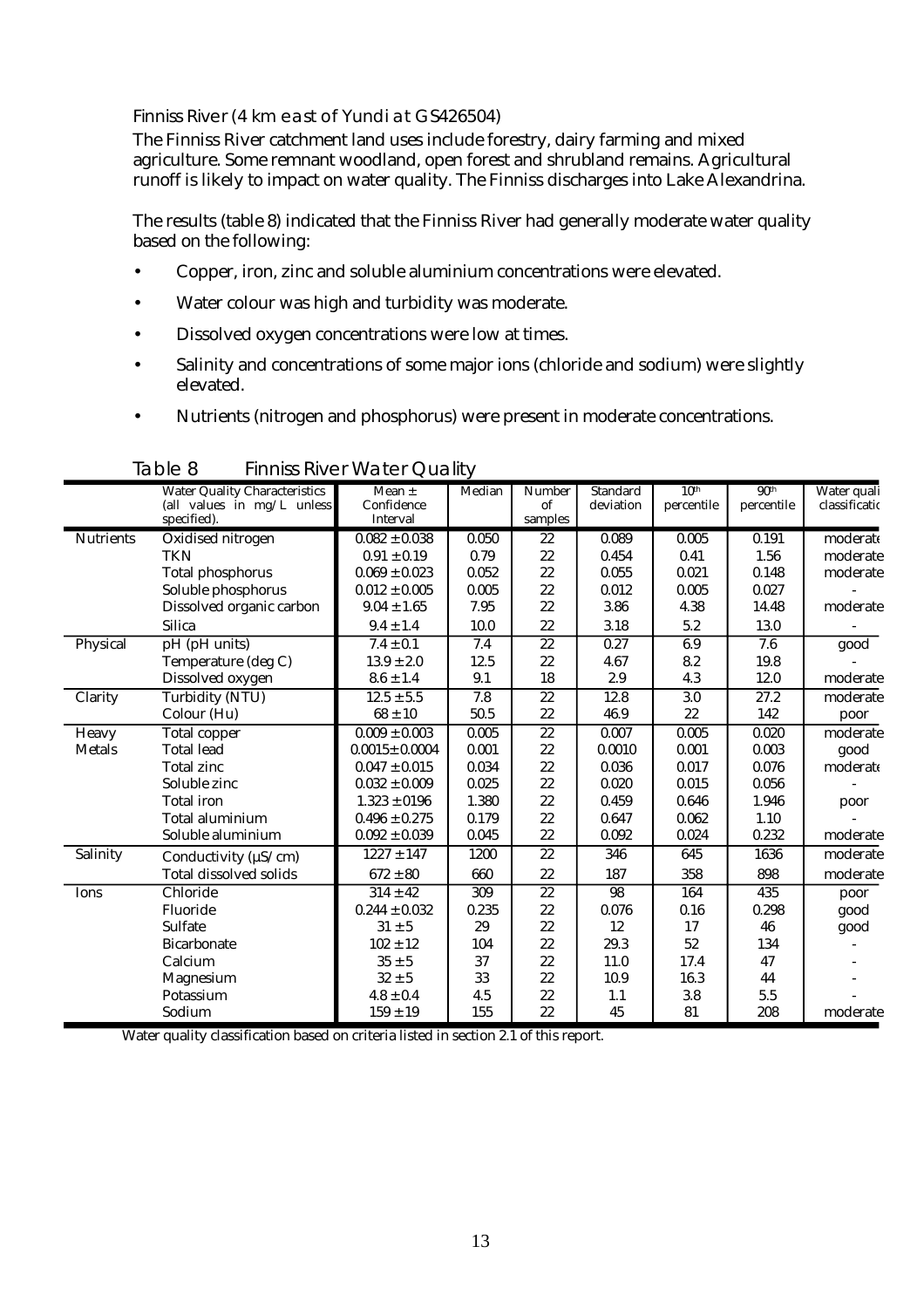#### Finniss River (4 km east of Yundi at GS426504)

The Finniss River catchment land uses include forestry, dairy farming and mixed agriculture. Some remnant woodland, open forest and shrubland remains. Agricultural runoff is likely to impact on water quality. The Finniss discharges into Lake Alexandrina.

The results (table 8) indicated that the Finniss River had generally moderate water quality based on the following:

- Copper, iron, zinc and soluble aluminium concentrations were elevated.
- Water colour was high and turbidity was moderate.
- Dissolved oxygen concentrations were low at times.
- Salinity and concentrations of some major ions (chloride and sodium) were slightly elevated.
- Nutrients (nitrogen and phosphorus) were present in moderate concentrations.

|                  | <b>Water Quality Characteristics</b> | Mean $\pm$          | Median | Number          | Standard        | 10 <sup>th</sup> | 90 <sup>th</sup> | Water quali   |
|------------------|--------------------------------------|---------------------|--------|-----------------|-----------------|------------------|------------------|---------------|
|                  | (all values in mg/L unless           | Confidence          |        | of              | deviation       | percentile       | percentile       | classificatio |
|                  | specified).                          | Interval            |        | samples         |                 |                  |                  |               |
| <b>Nutrients</b> | Oxidised nitrogen                    | $0.082 \pm 0.038$   | 0.050  | 22              | 0.089           | 0.005            | 0.191            | moderate      |
|                  | <b>TKN</b>                           | $0.91 \pm 0.19$     | 0.79   | 22              | 0.454           | 0.41             | 1.56             | moderate      |
|                  | <b>Total phosphorus</b>              | $0.069 \pm 0.023$   | 0.052  | 22              | 0.055           | 0.021            | 0.148            | moderate      |
|                  | Soluble phosphorus                   | $0.012 \pm 0.005$   | 0.005  | 22              | 0.012           | 0.005            | 0.027            |               |
|                  | Dissolved organic carbon             | $9.04 \pm 1.65$     | 7.95   | 22              | 3.86            | 4.38             | 14.48            | moderate      |
|                  | <b>Silica</b>                        | $9.4 \pm 1.4$       | 10.0   | 22              | 3.18            | 5.2              | 13.0             |               |
| Physical         | pH (pH units)                        | $7.4 \pm 0.1$       | 7.4    | $\overline{22}$ | 0.27            | 6.9              | 7.6              | good          |
|                  | Temperature (deg C)                  | $13.9 \pm 2.0$      | 12.5   | 22              | 4.67            | 8.2              | 19.8             |               |
|                  | Dissolved oxygen                     | $8.6 \pm 1.4$       | 9.1    | 18              | 2.9             | 4.3              | 12.0             | moderate      |
| Clarity          | <b>Turbidity (NTU)</b>               | $12.5 \pm 5.5$      | 7.8    | $\overline{22}$ | 12.8            | 3.0              | 27.2             | moderate      |
|                  | Colour (Hu)                          | $68 \pm 10$         | 50.5   | 22              | 46.9            | 22               | 142              | poor          |
| Heavy            | <b>Total</b> copper                  | $0.009 \pm 0.003$   | 0.005  | $\overline{22}$ | 0.007           | 0.005            | 0.020            | moderate      |
| <b>Metals</b>    | <b>Total lead</b>                    | $0.0015 \pm 0.0004$ | 0.001  | 22              | 0.0010          | 0.001            | 0.003            | good          |
|                  | <b>Total zinc</b>                    | $0.047 \pm 0.015$   | 0.034  | 22              | 0.036           | 0.017            | 0.076            | moderate      |
|                  | Soluble zinc                         | $0.032 \pm 0.009$   | 0.025  | 22              | 0.020           | 0.015            | 0.056            |               |
|                  | <b>Total</b> iron                    | $1.323 \pm 0196$    | 1.380  | 22              | 0.459           | 0.646            | 1.946            | poor          |
|                  | Total aluminium                      | $0.496\pm0.275$     | 0.179  | 22              | 0.647           | 0.062            | 1.10             |               |
|                  | Soluble aluminium                    | $0.092 \pm 0.039$   | 0.045  | 22              | 0.092           | 0.024            | 0.232            | moderate      |
| Salinity         | Conductivity ( $\mu$ S/cm)           | $1227 \pm 147$      | 1200   | 22              | 346             | 645              | 1636             | moderate      |
|                  | <b>Total dissolved solids</b>        | $672 \pm 80$        | 660    | 22              | 187             | 358              | 898              | moderate      |
| Ions             | Chloride                             | $314 \pm 42$        | 309    | $\overline{22}$ | $\overline{98}$ | 164              | 435              | poor          |
|                  | Fluoride                             | $0.244 \pm 0.032$   | 0.235  | 22              | 0.076           | 0.16             | 0.298            | good          |
|                  | <b>Sulfate</b>                       | $31 \pm 5$          | 29     | 22              | 12              | 17               | 46               | good          |
|                  | <b>Bicarbonate</b>                   | $102 \pm 12$        | 104    | 22              | 29.3            | 52               | 134              |               |
|                  | Calcium                              | $35\pm5$            | 37     | 22              | 11.0            | 17.4             | 47               |               |
|                  | Magnesium                            | $32 \pm 5$          | 33     | 22              | 10.9            | 16.3             | 44               |               |
|                  | Potassium                            | $4.8\pm0.4$         | 4.5    | 22              | 1.1             | 3.8              | 5.5              |               |
|                  | Sodium                               | $159 \pm 19$        | 155    | 22              | 45              | 81               | 208              | moderate      |

Table 8 Finniss River Water Quality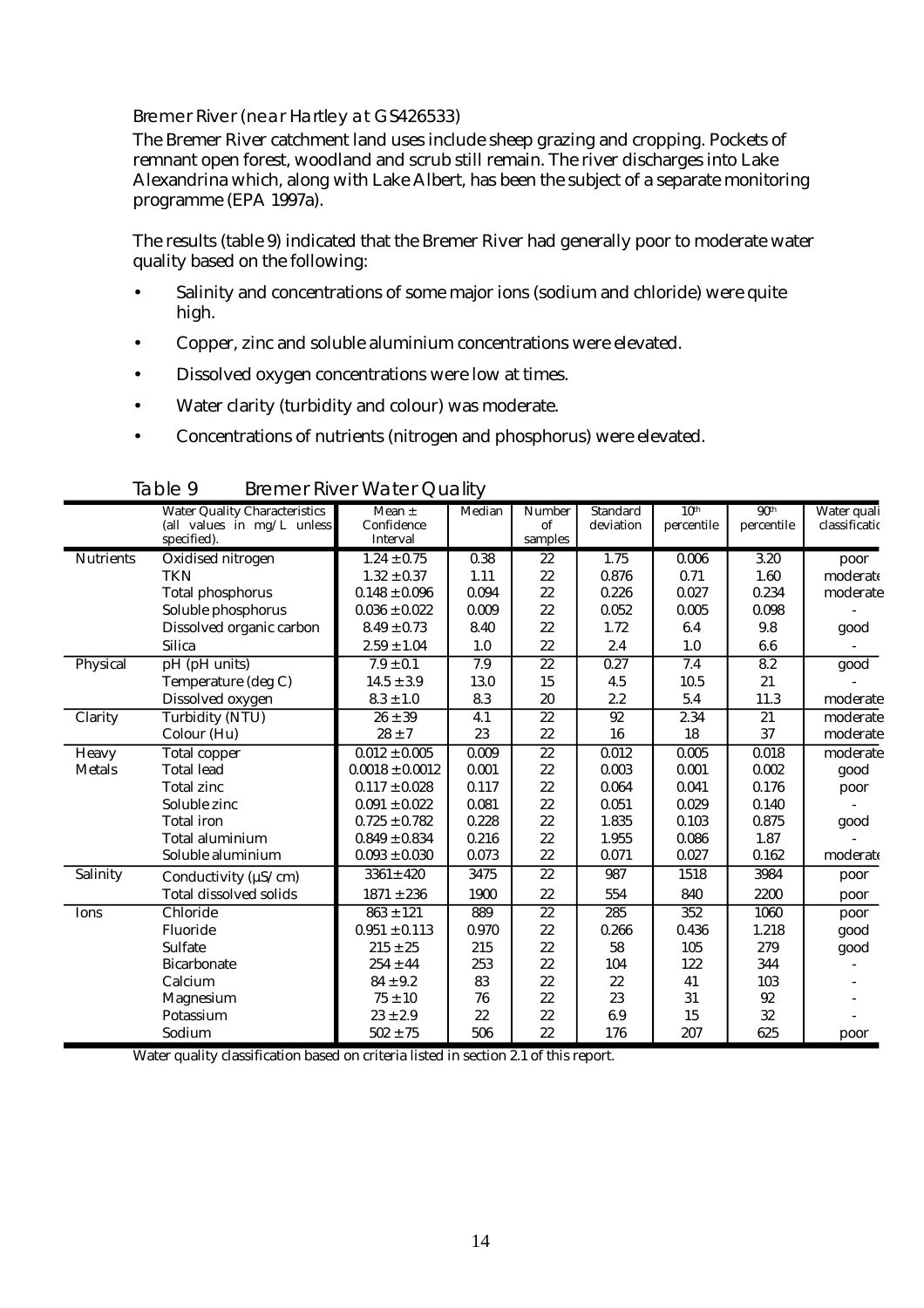#### Bremer River (near Hartley at GS426533)

The Bremer River catchment land uses include sheep grazing and cropping. Pockets of remnant open forest, woodland and scrub still remain. The river discharges into Lake Alexandrina which, along with Lake Albert, has been the subject of a separate monitoring programme (EPA 1997a).

The results (table 9) indicated that the Bremer River had generally poor to moderate water quality based on the following:

- Salinity and concentrations of some major ions (sodium and chloride) were quite high.
- Copper, zinc and soluble aluminium concentrations were elevated.
- Dissolved oxygen concentrations were low at times.
- Water clarity (turbidity and colour) was moderate.
- Concentrations of nutrients (nitrogen and phosphorus) were elevated.

|                  | <b>Water Quality Characteristics</b> | Mean $\pm$          | Median | Number          | <b>Standard</b> | 10 <sup>th</sup> | 90 <sup>th</sup> | Water quali   |
|------------------|--------------------------------------|---------------------|--------|-----------------|-----------------|------------------|------------------|---------------|
|                  | (all values in $mg/L$ unless         | Confidence          |        | of              | deviation       | percentile       | percentile       | classificatio |
|                  | specified).                          | Interval            |        | samples         |                 |                  |                  |               |
| <b>Nutrients</b> | Oxidised nitrogen                    | $1.24 \pm 0.75$     | 0.38   | 22              | 1.75            | 0.006            | 3.20             | poor          |
|                  | <b>TKN</b>                           | $1.32 \pm 0.37$     | 1.11   | 22              | 0.876           | 0.71             | 1.60             | moderate      |
|                  | <b>Total phosphorus</b>              | $0.148 \pm 0.096$   | 0.094  | 22              | 0.226           | 0.027            | 0.234            | moderate      |
|                  | Soluble phosphorus                   | $0.036 \pm 0.022$   | 0.009  | 22              | 0.052           | 0.005            | 0.098            |               |
|                  | Dissolved organic carbon             | $8.49 \pm 0.73$     | 8.40   | 22              | 1.72            | 6.4              | 9.8              | good          |
|                  | <b>Silica</b>                        | $2.59\pm1.04$       | 1.0    | 22              | 2.4             | 1.0              | 6.6              |               |
| Physical         | pH (pH units)                        | $7.9 \pm 0.1$       | 7.9    | $\overline{22}$ | 0.27            | 7.4              | 8.2              | good          |
|                  | Temperature (deg C)                  | $14.5 \pm 3.9$      | 13.0   | 15              | 4.5             | 10.5             | 21               |               |
|                  | Dissolved oxygen                     | $8.3 \pm 1.0$       | 8.3    | 20              | 2.2             | 5.4              | 11.3             | moderate      |
| Clarity          | <b>Turbidity (NTU)</b>               | $26 \pm 39$         | 4.1    | $\overline{22}$ | $\overline{92}$ | 2.34             | $\overline{21}$  | moderate      |
|                  | Colour (Hu)                          | $28 \pm 7$          | 23     | 22              | 16              | 18               | 37               | moderate      |
| <b>Heavy</b>     | Total copper                         | $0.012 \pm 0.005$   | 0.009  | $\overline{22}$ | 0.012           | 0.005            | 0.018            | moderate      |
| <b>Metals</b>    | <b>Total lead</b>                    | $0.0018 \pm 0.0012$ | 0.001  | 22              | 0.003           | 0.001            | 0.002            | good          |
|                  | <b>Total zinc</b>                    | $0.117 \pm 0.028$   | 0.117  | 22              | 0.064           | 0.041            | 0.176            | poor          |
|                  | Soluble zinc                         | $0.091 \pm 0.022$   | 0.081  | 22              | 0.051           | 0.029            | 0.140            |               |
|                  | <b>Total iron</b>                    | $0.725 \pm 0.782$   | 0.228  | 22              | 1.835           | 0.103            | 0.875            | good          |
|                  | Total aluminium                      | $0.849 \pm 0.834$   | 0.216  | 22              | 1.955           | 0.086            | 1.87             |               |
|                  | Soluble aluminium                    | $0.093 \pm 0.030$   | 0.073  | 22              | 0.071           | 0.027            | 0.162            | moderate      |
| Salinity         | Conductivity ( $\mu$ S/cm)           | $3361 \pm 420$      | 3475   | 22              | 987             | 1518             | 3984             | poor          |
|                  | <b>Total dissolved solids</b>        | $1871 \pm 236$      | 1900   | 22              | 554             | 840              | 2200             | poor          |
| Ions             | Chloride                             | $863 \pm 121$       | 889    | $\overline{22}$ | 285             | 352              | 1060             | poor          |
|                  | Fluoride                             | $0.951 \pm 0.113$   | 0.970  | 22              | 0.266           | 0.436            | 1.218            | good          |
|                  | Sulfate                              | $215 \pm 25$        | 215    | 22              | 58              | 105              | 279              | good          |
|                  | <b>Bicarbonate</b>                   | $254 \pm 44$        | 253    | 22              | 104             | 122              | 344              |               |
|                  | Calcium                              | $84 \pm 9.2$        | 83     | 22              | 22              | 41               | 103              |               |
|                  | <b>Magnesium</b>                     | $75 \pm 10$         | 76     | 22              | 23              | 31               | 92               |               |
|                  | Potassium                            | $23 \pm 2.9$        | 22     | 22              | 6.9             | 15               | 32               |               |
|                  | Sodium                               | $502 \pm 75$        | 506    | 22              | 176             | 207              | 625              | poor          |

Table 9 Bremer River Water Quality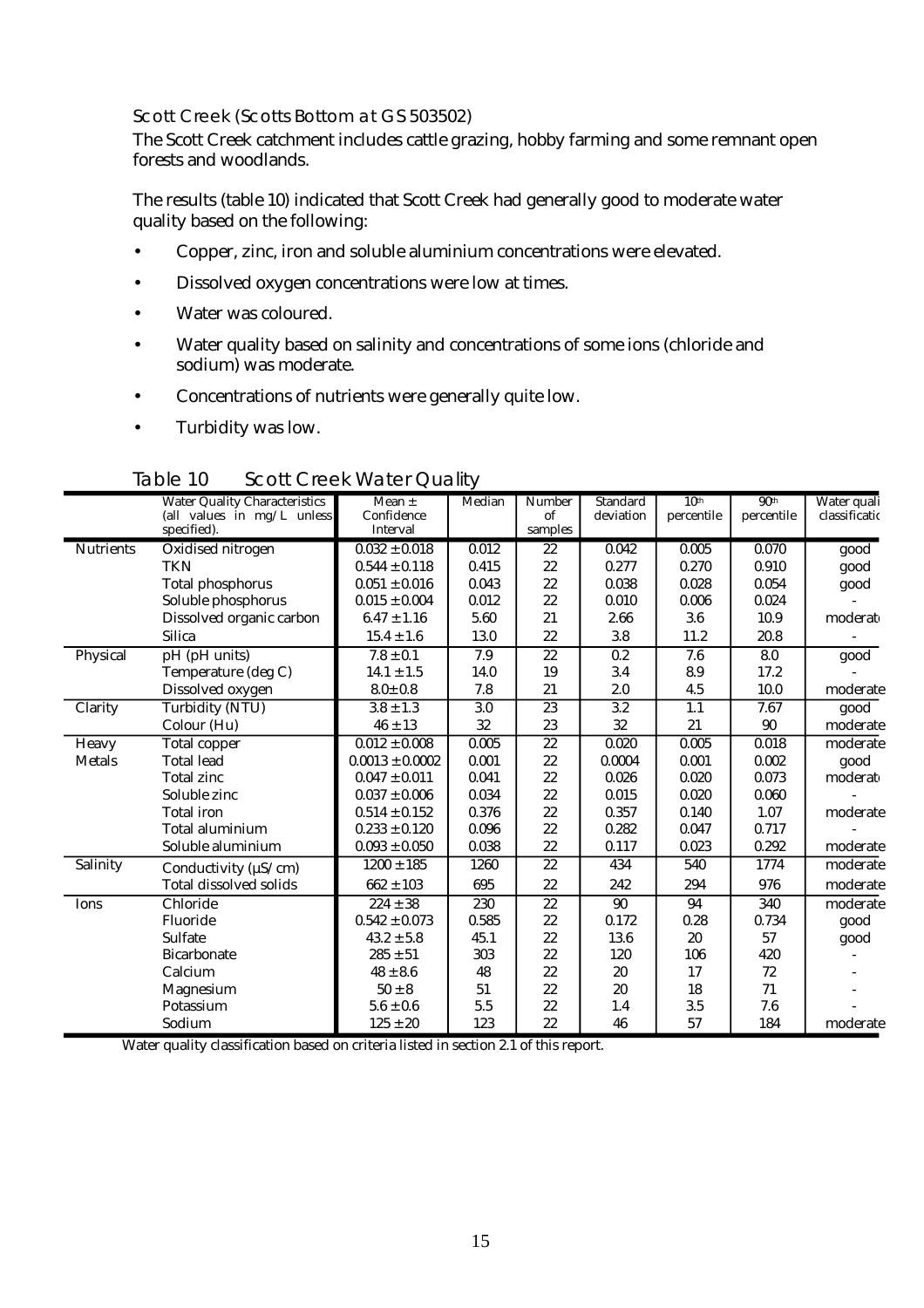#### Scott Creek (Scotts Bottom at GS 503502)

The Scott Creek catchment includes cattle grazing, hobby farming and some remnant open forests and woodlands.

The results (table 10) indicated that Scott Creek had generally good to moderate water quality based on the following:

- Copper, zinc, iron and soluble aluminium concentrations were elevated.
- Dissolved oxygen concentrations were low at times.
- Water was coloured.
- Water quality based on salinity and concentrations of some ions (chloride and sodium) was moderate.
- Concentrations of nutrients were generally quite low.
- Turbidity was low.

|                  | <b>Water Quality Characteristics</b> | Mean $\pm$          | Median | Number          | Standard  | 10 <sup>th</sup> | 90 <sup>th</sup> | Water quali   |
|------------------|--------------------------------------|---------------------|--------|-----------------|-----------|------------------|------------------|---------------|
|                  | (all values in mg/L unless           | Confidence          |        | of              | deviation | percentile       | percentile       | classificatio |
|                  | specified).                          | Interval            |        | samples         |           |                  |                  |               |
| <b>Nutrients</b> | Oxidised nitrogen                    | $0.032 \pm 0.018$   | 0.012  | 22              | 0.042     | 0.005            | 0.070            | good          |
|                  | <b>TKN</b>                           | $0.544 \pm 0.118$   | 0.415  | 22              | 0.277     | 0.270            | 0.910            | good          |
|                  | <b>Total phosphorus</b>              | $0.051\pm0.016$     | 0.043  | 22              | 0.038     | 0.028            | 0.054            | good          |
|                  | Soluble phosphorus                   | $0.015 \pm 0.004$   | 0.012  | 22              | 0.010     | 0.006            | 0.024            |               |
|                  | Dissolved organic carbon             | $6.47 \pm 1.16$     | 5.60   | 21              | 2.66      | 3.6              | 10.9             | moderat       |
|                  | <b>Silica</b>                        | $15.4 \pm 1.6$      | 13.0   | 22              | 3.8       | 11.2             | 20.8             |               |
| Physical         | pH (pH units)                        | $7.8 \pm 0.1$       | 7.9    | 22              | 0.2       | 7.6              | 8.0              | good          |
|                  | Temperature (deg C)                  | $14.1 \pm 1.5$      | 14.0   | 19              | 3.4       | 8.9              | 17.2             |               |
|                  | Dissolved oxygen                     | $8.0 \pm 0.8$       | 7.8    | 21              | 2.0       | 4.5              | 10.0             | moderate      |
| Clarity          | <b>Turbidity (NTU)</b>               | $3.8 \pm 1.3$       | 3.0    | 23              | 3.2       | 1.1              | 7.67             | good          |
|                  | Colour (Hu)                          | $46 \pm 13$         | 32     | 23              | 32        | 21               | 90               | moderate      |
| Heavy            | Total copper                         | $0.012 \pm 0.008$   | 0.005  | $\overline{22}$ | 0.020     | 0.005            | 0.018            | moderate      |
| <b>Metals</b>    | <b>Total lead</b>                    | $0.0013 \pm 0.0002$ | 0.001  | 22              | 0.0004    | 0.001            | 0.002            | good          |
|                  | <b>Total zinc</b>                    | $0.047 \pm 0.011$   | 0.041  | 22              | 0.026     | 0.020            | 0.073            | moderat       |
|                  | Soluble zinc                         | $0.037 \pm 0.006$   | 0.034  | 22              | 0.015     | 0.020            | 0.060            |               |
|                  | <b>Total</b> iron                    | $0.514 \pm 0.152$   | 0.376  | 22              | 0.357     | 0.140            | 1.07             | moderate      |
|                  | Total aluminium                      | $0.233 \pm 0.120$   | 0.096  | 22              | 0.282     | 0.047            | 0.717            |               |
|                  | Soluble aluminium                    | $0.093 \pm 0.050$   | 0.038  | 22              | 0.117     | 0.023            | 0.292            | moderate      |
| Salinity         | Conductivity ( $\mu$ S/cm)           | $1200 \pm 185$      | 1260   | 22              | 434       | 540              | 1774             | moderate      |
|                  | <b>Total dissolved solids</b>        | $662 \pm 103$       | 695    | 22              | 242       | 294              | 976              | moderate      |
| Ions             | Chloride                             | $224 \pm 38$        | 230    | $\overline{22}$ | 90        | 94               | 340              | moderate      |
|                  | Fluoride                             | $0.542 \pm 0.073$   | 0.585  | 22              | 0.172     | 0.28             | 0.734            | good          |
|                  | <b>Sulfate</b>                       | $43.2 \pm 5.8$      | 45.1   | 22              | 13.6      | 20               | 57               | good          |
|                  | <b>Bicarbonate</b>                   | $285 \pm 51$        | 303    | 22              | 120       | 106              | 420              |               |
|                  | Calcium                              | $48 \pm 8.6$        | 48     | 22              | 20        | 17               | 72               |               |
|                  | Magnesium                            | $50\pm8$            | 51     | 22              | 20        | 18               | 71               |               |
|                  | Potassium                            | $5.6 \pm 0.6$       | 5.5    | 22              | 1.4       | 3.5              | 7.6              |               |
|                  | Sodium                               | $125 \pm 20$        | 123    | 22              | 46        | 57               | 184              | moderate      |

#### Table 10 Scott Creek Water Quality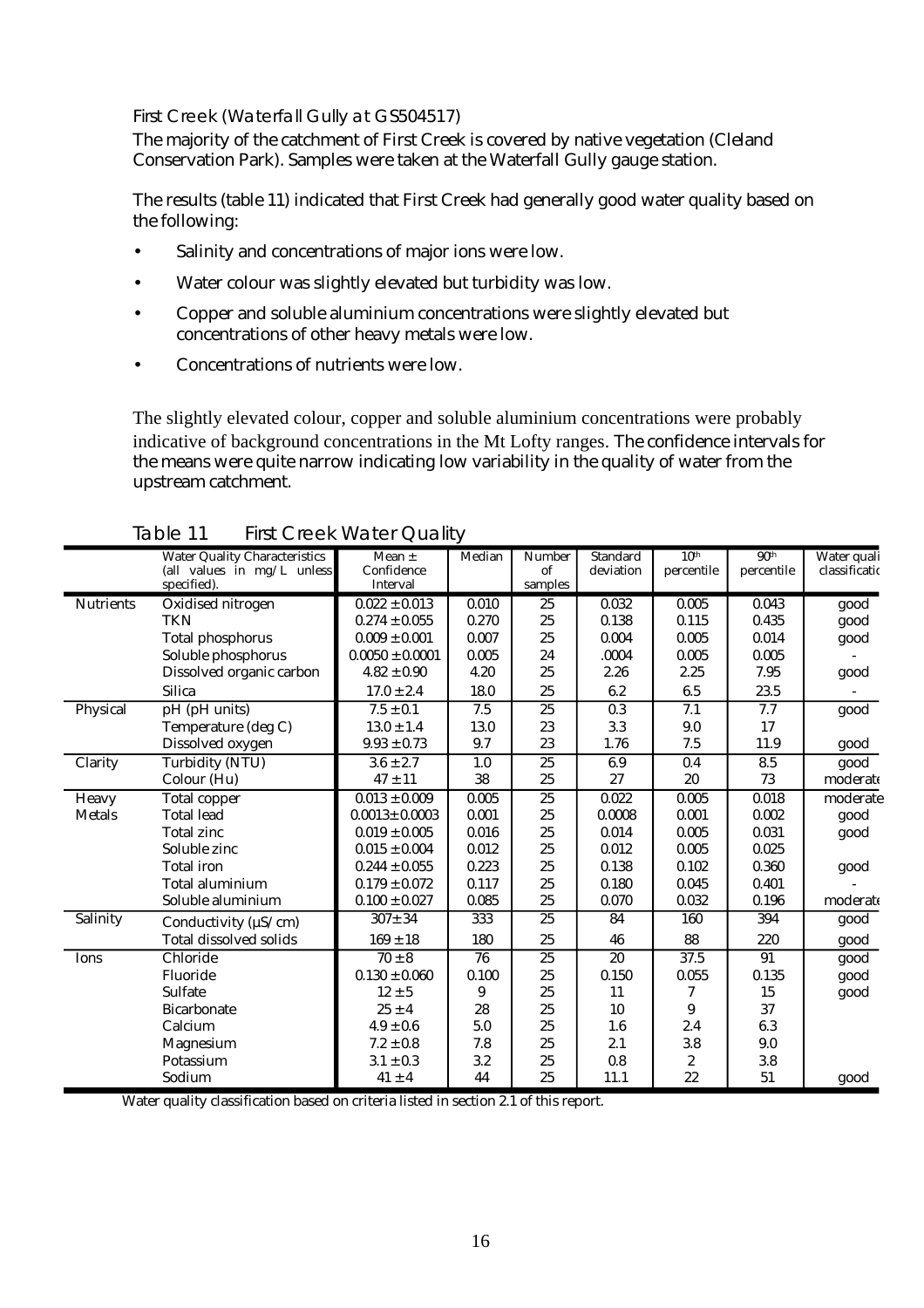#### First Creek (Waterfall Gully at GS504517)

The majority of the catchment of First Creek is covered by native vegetation (Cleland Conservation Park). Samples were taken at the Waterfall Gully gauge station.

The results (table 11) indicated that First Creek had generally good water quality based on the following:

- Salinity and concentrations of major ions were low.
- Water colour was slightly elevated but turbidity was low.
- Copper and soluble aluminium concentrations were slightly elevated but concentrations of other heavy metals were low.
- Concentrations of nutrients were low.

The slightly elevated colour, copper and soluble aluminium concentrations were probably indicative of background concentrations in the Mt Lofty ranges. The confidence intervals for the means were quite narrow indicating low variability in the quality of water from the upstream catchment.

|                  | <b>Water Quality Characteristics</b> | Mean $\pm$          | Median | <b>Number</b>   | <b>Standard</b>  | 10 <sup>th</sup> | 90 <sup>th</sup> | Water quali   |
|------------------|--------------------------------------|---------------------|--------|-----------------|------------------|------------------|------------------|---------------|
|                  | (all values in mg/L unless           | Confidence          |        | of              | deviation        | percentile       | percentile       | classificatio |
|                  | specified).                          | Interval            |        | samples         |                  |                  |                  |               |
| <b>Nutrients</b> | Oxidised nitrogen                    | $0.022 \pm 0.013$   | 0.010  | 25              | 0.032            | 0.005            | 0.043            | good          |
|                  | <b>TKN</b>                           | $0.274 \pm 0.055$   | 0.270  | 25              | 0.138            | 0.115            | 0.435            | good          |
|                  | <b>Total phosphorus</b>              | $0.009 \pm 0.001$   | 0.007  | 25              | 0.004            | 0.005            | 0.014            | good          |
|                  | Soluble phosphorus                   | $0.0050 \pm 0.0001$ | 0.005  | 24              | .0004            | 0.005            | 0.005            |               |
|                  | Dissolved organic carbon             | $4.82 \pm 0.90$     | 4.20   | 25              | 2.26             | 2.25             | 7.95             | good          |
|                  | <b>Silica</b>                        | $17.0 \pm 2.4$      | 18.0   | 25              | 6.2              | 6.5              | 23.5             |               |
| Physical         | pH (pH units)                        | $7.5 \pm 0.1$       | 7.5    | $\overline{25}$ | $\overline{0.3}$ | 7.1              | 7.7              | good          |
|                  | Temperature (deg C)                  | $13.0 \pm 1.4$      | 13.0   | 23              | 3.3              | 9.0              | 17               |               |
|                  | Dissolved oxygen                     | $9.93 \pm 0.73$     | 9.7    | 23              | 1.76             | 7.5              | 11.9             | good          |
| Clarity          | <b>Turbidity (NTU)</b>               | $3.6 \pm 2.7$       | 1.0    | 25              | 6.9              | 0.4              | 8.5              | good          |
|                  | Colour (Hu)                          | $47 \pm 11$         | 38     | 25              | 27               | 20               | 73               | moderate      |
| Heavy            | <b>Total copper</b>                  | $0.013 \pm 0.009$   | 0.005  | 25              | 0.022            | 0.005            | 0.018            | moderate      |
| <b>Metals</b>    | <b>Total lead</b>                    | $0.0013 \pm 0.0003$ | 0.001  | 25              | 0.0008           | 0.001            | 0.002            | good          |
|                  | <b>Total zinc</b>                    | $0.019 \pm 0.005$   | 0.016  | 25              | 0.014            | 0.005            | 0.031            | good          |
|                  | Soluble zinc                         | $0.015 \pm 0.004$   | 0.012  | 25              | 0.012            | 0.005            | 0.025            |               |
|                  | <b>Total</b> iron                    | $0.244 \pm 0.055$   | 0.223  | 25              | 0.138            | 0.102            | 0.360            | good          |
|                  | Total aluminium                      | $0.179 \pm 0.072$   | 0.117  | 25              | 0.180            | 0.045            | 0.401            |               |
|                  | Soluble aluminium                    | $0.100 \pm 0.027$   | 0.085  | 25              | 0.070            | 0.032            | 0.196            | moderate      |
| Salinity         | Conductivity ( $\mu$ S/cm)           | $307 \pm 34$        | 333    | 25              | 84               | 160              | 394              | good          |
|                  | <b>Total dissolved solids</b>        | $169 \pm 18$        | 180    | 25              | 46               | 88               | 220              | good          |
| Ions             | Chloride                             | $70 \pm 8$          | 76     | $\overline{25}$ | 20               | 37.5             | 91               | good          |
|                  | Fluoride                             | $0.130 \pm 0.060$   | 0.100  | 25              | 0.150            | 0.055            | 0.135            | good          |
|                  | Sulfate                              | $12 \pm 5$          | 9      | 25              | 11               | 7                | 15               | good          |
|                  | <b>Bicarbonate</b>                   | $25 \pm 4$          | 28     | 25              | 10               | 9                | 37               |               |
|                  | Calcium                              | $4.9 \pm 0.6$       | 5.0    | 25              | 1.6              | 2.4              | 6.3              |               |
|                  | Magnesium                            | $7.2 \pm 0.8$       | 7.8    | 25              | 2.1              | 3.8              | 9.0              |               |
|                  | Potassium                            | $3.1 \pm 0.3$       | 3.2    | 25              | 0.8              | $\boldsymbol{2}$ | 3.8              |               |
|                  | Sodium                               | $41 \pm 4$          | 44     | 25              | 11.1             | 22               | 51               | good          |

Table 11 First Creek Water Quality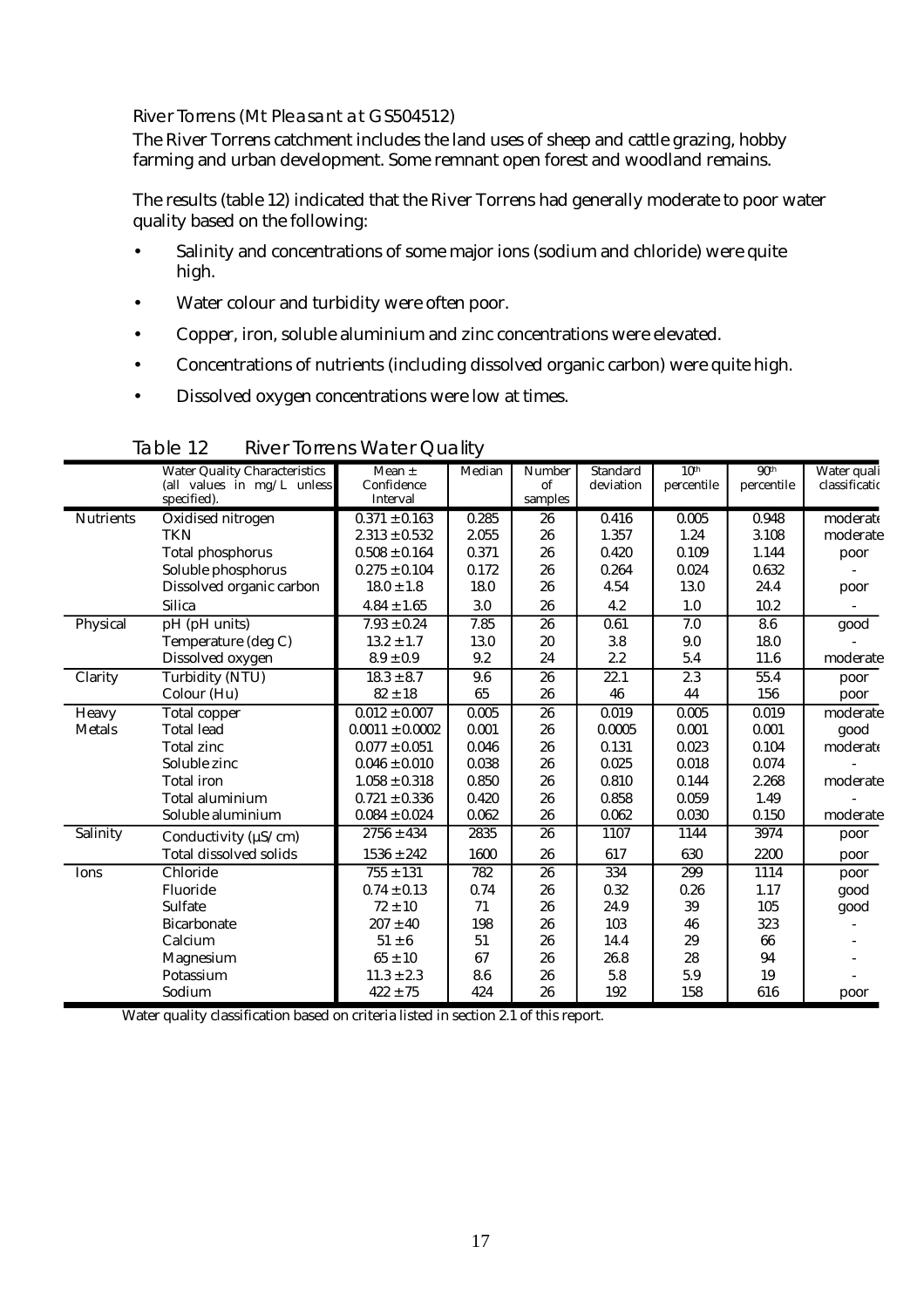#### River Torrens (Mt Pleasant at GS504512)

The River Torrens catchment includes the land uses of sheep and cattle grazing, hobby farming and urban development. Some remnant open forest and woodland remains.

The results (table 12) indicated that the River Torrens had generally moderate to poor water quality based on the following:

- Salinity and concentrations of some major ions (sodium and chloride) were quite high.
- Water colour and turbidity were often poor.
- Copper, iron, soluble aluminium and zinc concentrations were elevated.
- Concentrations of nutrients (including dissolved organic carbon) were quite high.
- Dissolved oxygen concentrations were low at times.

|                  | <b>Water Quality Characteristics</b> | Mean $\pm$                    | Median | <b>Number</b>   | Standard  | 10 <sup>th</sup> | 90 <sup>th</sup> | Water quali   |
|------------------|--------------------------------------|-------------------------------|--------|-----------------|-----------|------------------|------------------|---------------|
|                  | (all values in mg/L unless           | Confidence<br><b>Interval</b> |        | of              | deviation | percentile       | percentile       | classificatio |
|                  | specified).                          |                               |        | samples         |           |                  |                  |               |
| <b>Nutrients</b> | Oxidised nitrogen                    | $0.371 \pm 0.163$             | 0.285  | 26              | 0.416     | 0.005            | 0.948            | moderate      |
|                  | <b>TKN</b>                           | $2.313 \pm 0.532$             | 2.055  | 26              | 1.357     | 1.24             | 3.108            | moderate      |
|                  | <b>Total phosphorus</b>              | $0.508 \pm 0.164$             | 0.371  | 26              | 0.420     | 0.109            | 1.144            | poor          |
|                  | Soluble phosphorus                   | $0.275 \pm 0.104$             | 0.172  | 26              | 0.264     | 0.024            | 0.632            |               |
|                  | Dissolved organic carbon             | $18.0 \pm 1.8$                | 18.0   | 26              | 4.54      | 13.0             | 24.4             | poor          |
|                  | <b>Silica</b>                        | $4.84 \pm 1.65$               | 3.0    | 26              | 4.2       | 1.0              | 10.2             |               |
| Physical         | pH (pH units)                        | $7.93 \pm 0.24$               | 7.85   | 26              | 0.61      | 7.0              | 8.6              | good          |
|                  | Temperature (deg C)                  | $13.2 \pm 1.7$                | 13.0   | 20              | 3.8       | 9.0              | 18.0             |               |
|                  | Dissolved oxygen                     | $8.9 \pm 0.9$                 | 9.2    | 24              | 2.2       | 5.4              | 11.6             | moderate      |
| Clarity          | <b>Turbidity (NTU)</b>               | $18.3 \pm 8.7$                | 9.6    | $\overline{26}$ | 22.1      | $\overline{2.3}$ | 55.4             | poor          |
|                  | Colour (Hu)                          | $82 \pm 18$                   | 65     | 26              | 46        | 44               | 156              | poor          |
| Heavy            | <b>Total copper</b>                  | $0.012 \pm 0.007$             | 0.005  | 26              | 0.019     | 0.005            | 0.019            | moderate      |
| <b>Metals</b>    | <b>Total lead</b>                    | $0.0011 \pm 0.0002$           | 0.001  | 26              | 0.0005    | 0.001            | 0.001            | good          |
|                  | <b>Total zinc</b>                    | $0.077 \pm 0.051$             | 0.046  | 26              | 0.131     | 0.023            | 0.104            | moderate      |
|                  | Soluble zinc                         | $0.046 \pm 0.010$             | 0.038  | 26              | 0.025     | 0.018            | 0.074            |               |
|                  | <b>Total</b> iron                    | $1.058 \pm 0.318$             | 0.850  | 26              | 0.810     | 0.144            | 2.268            | moderate      |
|                  | Total aluminium                      | $0.721 \pm 0.336$             | 0.420  | 26              | 0.858     | 0.059            | 1.49             |               |
|                  | Soluble aluminium                    | $0.084 \pm 0.024$             | 0.062  | 26              | 0.062     | 0.030            | 0.150            | moderate      |
| Salinity         | Conductivity ( $\mu$ S/cm)           | $2756 \pm 434$                | 2835   | 26              | 1107      | 1144             | 3974             | poor          |
|                  | <b>Total dissolved solids</b>        | $1536 \pm 242$                | 1600   | 26              | 617       | 630              | 2200             | poor          |
| Ions             | Chloride                             | $755 \pm 131$                 | 782    | 26              | 334       | 299              | 1114             | poor          |
|                  | Fluoride                             | $0.74 \pm 0.13$               | 0.74   | 26              | 0.32      | 0.26             | 1.17             | good          |
|                  | Sulfate                              | $72 \pm 10$                   | 71     | 26              | 24.9      | 39               | 105              | good          |
|                  | <b>Bicarbonate</b>                   | $207 \pm 40$                  | 198    | 26              | 103       | 46               | 323              |               |
|                  | Calcium                              | $51 \pm 6$                    | 51     | 26              | 14.4      | 29               | 66               |               |
|                  | Magnesium                            | $65 \pm 10$                   | 67     | 26              | 26.8      | 28               | 94               |               |
|                  | Potassium                            | $11.3 \pm 2.3$                | 8.6    | 26              | 5.8       | 5.9              | 19               |               |
|                  | Sodium                               | $422 \pm 75$                  | 424    | 26              | 192       | 158              | 616              | poor          |

Table 12 River Torrens Water Quality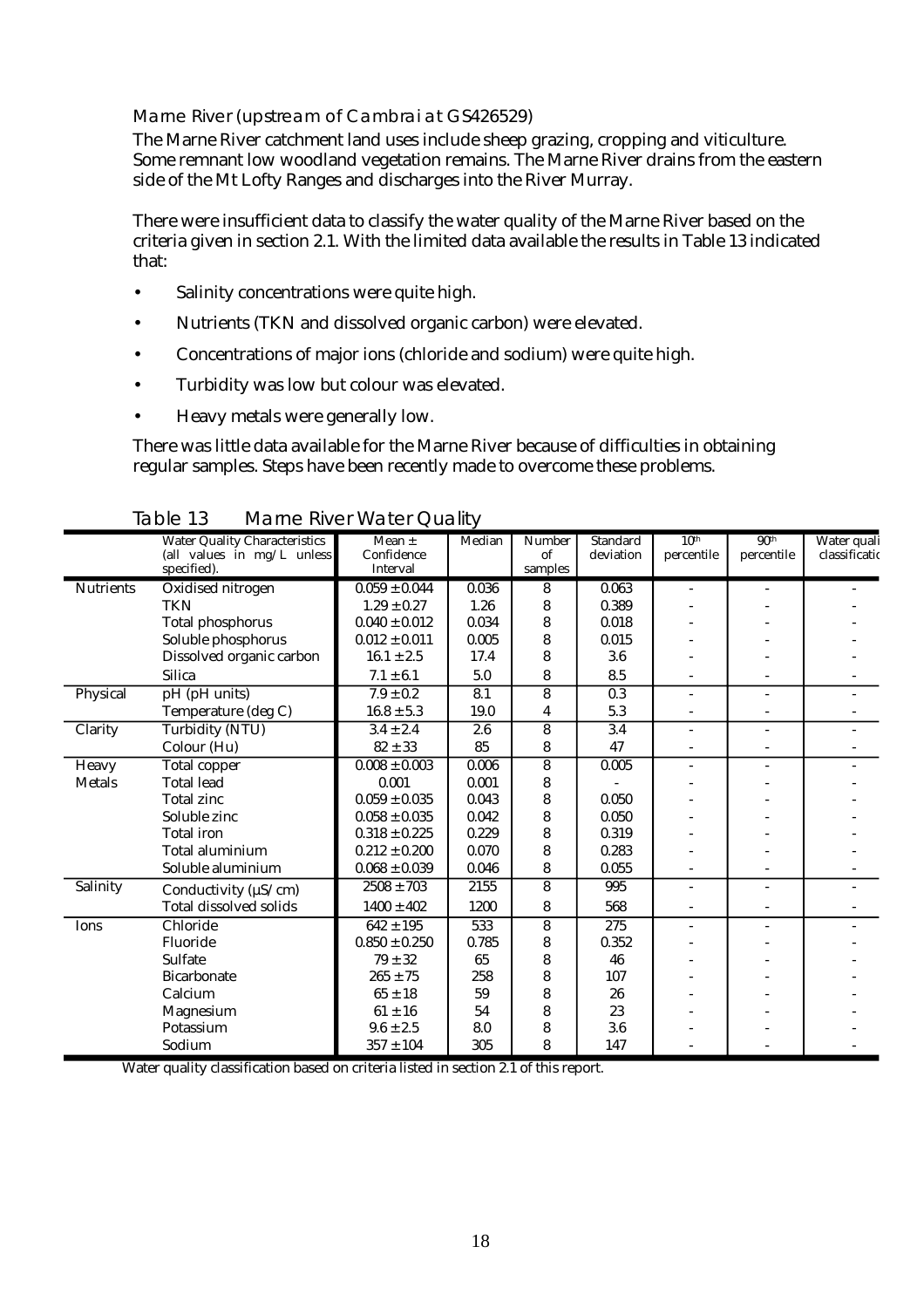#### Marne River (upstream of Cambrai at GS426529)

The Marne River catchment land uses include sheep grazing, cropping and viticulture. Some remnant low woodland vegetation remains. The Marne River drains from the eastern side of the Mt Lofty Ranges and discharges into the River Murray.

There were insufficient data to classify the water quality of the Marne River based on the criteria given in section 2.1. With the limited data available the results in Table 13 indicated that:

- Salinity concentrations were quite high.
- Nutrients (TKN and dissolved organic carbon) were elevated.
- Concentrations of major ions (chloride and sodium) were quite high.
- Turbidity was low but colour was elevated.
- Heavy metals were generally low.

There was little data available for the Marne River because of difficulties in obtaining regular samples. Steps have been recently made to overcome these problems.

|                  | <b>Water Quality Characteristics</b>      | Mean $\pm$                    | Median | <b>Number</b>           | <b>Standard</b>  | 10 <sup>th</sup>         | 90 <sup>th</sup> | Water quali   |
|------------------|-------------------------------------------|-------------------------------|--------|-------------------------|------------------|--------------------------|------------------|---------------|
|                  | (all values in mg/L unless<br>specified). | Confidence<br><b>Interval</b> |        | of<br>samples           | deviation        | percentile               | percentile       | classificatio |
| <b>Nutrients</b> | Oxidised nitrogen                         | $0.059 \pm 0.044$             | 0.036  | 8                       | 0.063            | $\overline{a}$           |                  |               |
|                  | <b>TKN</b>                                | $1.29 \pm 0.27$               | 1.26   | 8                       | 0.389            |                          |                  |               |
|                  | <b>Total phosphorus</b>                   | $0.040 \pm 0.012$             | 0.034  | 8                       | 0.018            |                          |                  |               |
|                  | Soluble phosphorus                        | $0.012 \pm 0.011$             | 0.005  | 8                       | 0.015            |                          |                  |               |
|                  | Dissolved organic carbon                  | $16.1 \pm 2.5$                | 17.4   | 8                       | 3.6              |                          |                  |               |
|                  | <b>Silica</b>                             | $7.1 \pm 6.1$                 | 5.0    | 8                       | 8.5              |                          |                  |               |
| Physical         | pH (pH units)                             | $7.9 \pm 0.2$                 | 8.1    | 8                       | $\overline{0.3}$ | $\overline{\phantom{a}}$ | ÷                |               |
|                  | Temperature (deg C)                       | $16.8 \pm 5.3$                | 19.0   | 4                       | 5.3              |                          |                  |               |
| Clarity          | Turbidity (NTU)                           | $3.4 \pm 2.4$                 | 2.6    | $\overline{\mathbf{8}}$ | 3.4              | ÷.                       | $\overline{a}$   |               |
|                  | Colour (Hu)                               | $82 \pm 33$                   | 85     | 8                       | 47               |                          |                  |               |
| <b>Heavy</b>     | <b>Total copper</b>                       | $0.008 \pm 0.003$             | 0.006  | $\overline{\bf 8}$      | 0.005            | ÷.                       | ÷.               |               |
| <b>Metals</b>    | <b>Total lead</b>                         | 0.001                         | 0.001  | 8                       |                  |                          |                  |               |
|                  | <b>Total zinc</b>                         | $0.059 \pm 0.035$             | 0.043  | 8                       | 0.050            |                          |                  |               |
|                  | Soluble zinc                              | $0.058 \pm 0.035$             | 0.042  | 8                       | 0.050            |                          |                  |               |
|                  | <b>Total</b> iron                         | $0.318 \pm 0.225$             | 0.229  | 8                       | 0.319            |                          |                  |               |
|                  | <b>Total aluminium</b>                    | $0.212 \pm 0.200$             | 0.070  | 8                       | 0.283            |                          |                  |               |
|                  | Soluble aluminium                         | $0.068 \pm 0.039$             | 0.046  | 8                       | 0.055            |                          |                  |               |
| Salinity         | Conductivity ( $\mu$ S/cm)                | $2508 \pm 703$                | 2155   | 8                       | 995              | ÷                        |                  |               |
|                  | <b>Total dissolved solids</b>             | $1400 \pm 402$                | 1200   | 8                       | 568              |                          |                  |               |
| Ions             | Chloride                                  | $642 \pm 195$                 | 533    | 8                       | 275              | ä,                       |                  |               |
|                  | Fluoride                                  | $0.850 \pm 0.250$             | 0.785  | 8                       | 0.352            |                          |                  |               |
|                  | <b>Sulfate</b>                            | $79 \pm 32$                   | 65     | 8                       | 46               |                          |                  |               |
|                  | <b>Bicarbonate</b>                        | $265 \pm 75$                  | 258    | 8                       | 107              |                          |                  |               |
|                  | Calcium                                   | $65 \pm 18$                   | 59     | 8                       | 26               |                          |                  |               |
|                  | Magnesium                                 | $61 \pm 16$                   | 54     | 8                       | 23               |                          |                  |               |
|                  | Potassium                                 | $9.6 \pm 2.5$                 | 8.0    | 8                       | 3.6              |                          |                  |               |
|                  | Sodium                                    | $357 \pm 104$                 | 305    | 8                       | 147              |                          |                  |               |

Table 13 Marne River Water Quality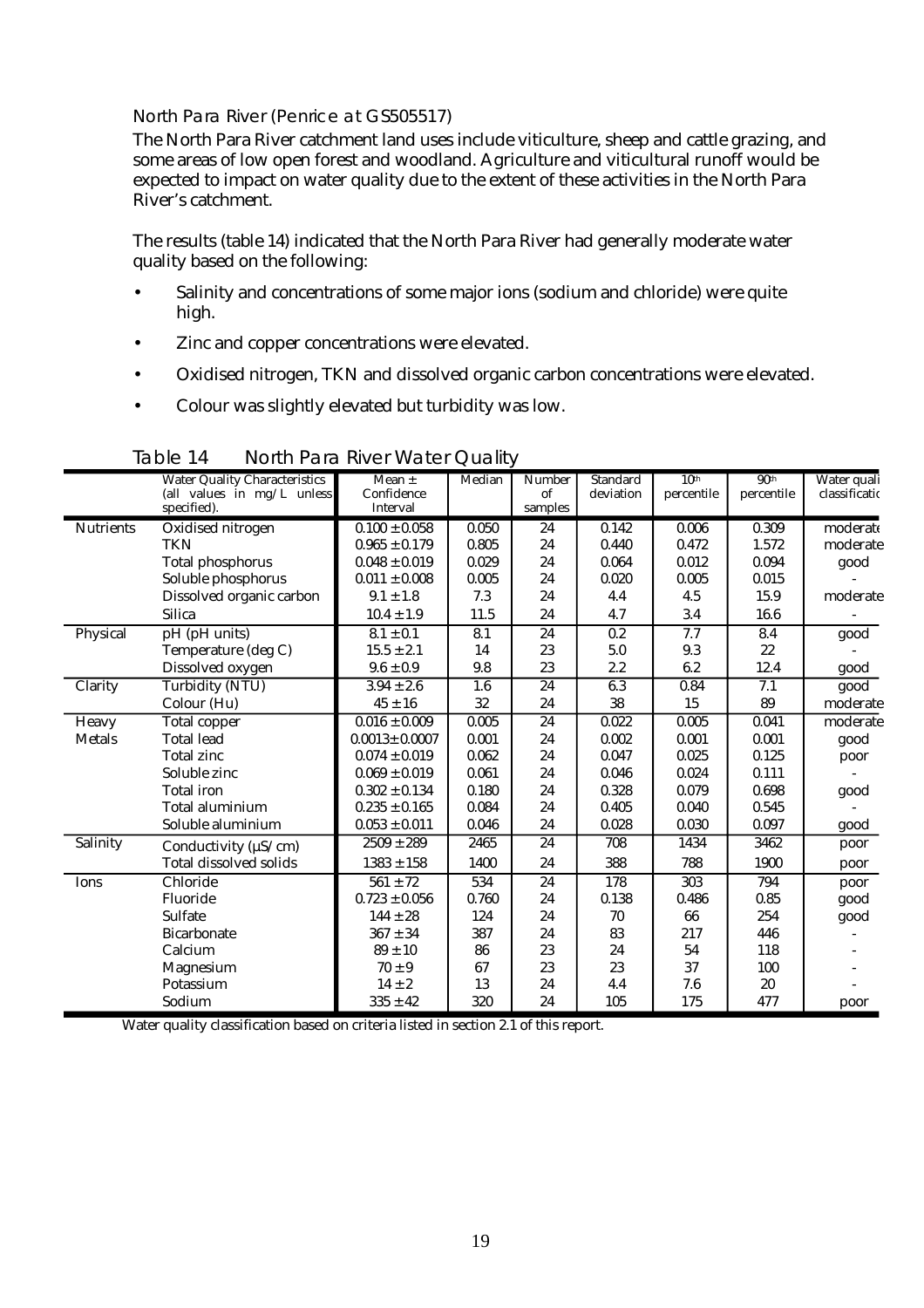#### North Para River (Penrice at GS505517)

The North Para River catchment land uses include viticulture, sheep and cattle grazing, and some areas of low open forest and woodland. Agriculture and viticultural runoff would be expected to impact on water quality due to the extent of these activities in the North Para River's catchment.

The results (table 14) indicated that the North Para River had generally moderate water quality based on the following:

- Salinity and concentrations of some major ions (sodium and chloride) were quite high.
- Zinc and copper concentrations were elevated.
- Oxidised nitrogen, TKN and dissolved organic carbon concentrations were elevated.
- Colour was slightly elevated but turbidity was low.

|                  |                                           | <u>nomin ara mvor wator eadin</u> |        |                 |                       |                  |                  |                              |
|------------------|-------------------------------------------|-----------------------------------|--------|-----------------|-----------------------|------------------|------------------|------------------------------|
|                  | <b>Water Quality Characteristics</b>      | Mean $\pm$<br>Confidence          | Median | Number<br>of    | Standard<br>deviation | 10 <sup>th</sup> | 90 <sup>th</sup> | Water quali<br>classificatio |
|                  | (all values in mg/L unless<br>specified). | Interval                          |        | samples         |                       | percentile       | percentile       |                              |
|                  |                                           |                                   |        |                 |                       |                  |                  |                              |
| <b>Nutrients</b> | Oxidised nitrogen                         | $0.100 \pm 0.058$                 | 0.050  | 24              | 0.142                 | 0.006            | 0.309            | moderate                     |
|                  | <b>TKN</b>                                | $0.965 \pm 0.179$                 | 0.805  | 24              | 0.440                 | 0.472            | 1.572            | moderate                     |
|                  | <b>Total phosphorus</b>                   | $0.048 \pm 0.019$                 | 0.029  | 24              | 0.064                 | 0.012            | 0.094            | good                         |
|                  | Soluble phosphorus                        | $0.011 \pm 0.008$                 | 0.005  | 24              | 0.020                 | 0.005            | 0.015            |                              |
|                  | Dissolved organic carbon                  | $9.1 \pm 1.8$                     | 7.3    | 24              | 4.4                   | 4.5              | 15.9             | moderate                     |
|                  | <b>Silica</b>                             | $10.4 \pm 1.9$                    | 11.5   | 24              | 4.7                   | 3.4              | 16.6             |                              |
| Physical         | pH (pH units)                             | $8.1 \pm 0.1$                     | 8.1    | 24              | 0.2                   | 7.7              | 8.4              | good                         |
|                  | Temperature (deg C)                       | $15.5 \pm 2.1$                    | 14     | 23              | 5.0                   | 9.3              | 22               |                              |
|                  | Dissolved oxygen                          | $9.6 \pm 0.9$                     | 9.8    | 23              | 2.2                   | 6.2              | 12.4             | good                         |
| Clarity          | Turbidity (NTU)                           | $3.94 \pm 2.6$                    | 1.6    | 24              | 6.3                   | 0.84             | 7.1              | good                         |
|                  | Colour (Hu)                               | $45 \pm 16$                       | 32     | 24              | 38                    | 15               | 89               | moderate                     |
| Heavy            | <b>Total copper</b>                       | $0.016 \pm 0.009$                 | 0.005  | $\overline{24}$ | 0.022                 | 0.005            | 0.041            | moderate                     |
| <b>Metals</b>    | <b>Total lead</b>                         | $0.0013 \pm 0.0007$               | 0.001  | 24              | 0.002                 | 0.001            | 0.001            | good                         |
|                  | <b>Total zinc</b>                         | $0.074 \pm 0.019$                 | 0.062  | 24              | 0.047                 | 0.025            | 0.125            | poor                         |
|                  | Soluble zinc                              | $0.069 \pm 0.019$                 | 0.061  | 24              | 0.046                 | 0.024            | 0.111            |                              |
|                  | <b>Total</b> iron                         | $0.302 \pm 0.134$                 | 0.180  | 24              | 0.328                 | 0.079            | 0.698            | good                         |
|                  | <b>Total aluminium</b>                    | $0.235 \pm 0.165$                 | 0.084  | 24              | 0.405                 | 0.040            | 0.545            |                              |
|                  | Soluble aluminium                         | $0.053 \pm 0.011$                 | 0.046  | 24              | 0.028                 | 0.030            | 0.097            | good                         |
| Salinity         | Conductivity ( $\mu$ S/cm)                | $2509 \pm 289$                    | 2465   | 24              | 708                   | 1434             | 3462             | poor                         |
|                  | <b>Total dissolved solids</b>             | $1383 \pm 158$                    | 1400   | 24              | 388                   | 788              | 1900             | poor                         |
| Ions             | Chloride                                  | $561 \pm 72$                      | 534    | 24              | 178                   | 303              | 794              | poor                         |
|                  | Fluoride                                  | $0.723 \pm 0.056$                 | 0.760  | 24              | 0.138                 | 0.486            | 0.85             | good                         |
|                  | <b>Sulfate</b>                            | $144 \pm 28$                      | 124    | 24              | 70                    | 66               | 254              | good                         |
|                  | <b>Bicarbonate</b>                        | $367 \pm 34$                      | 387    | 24              | 83                    | 217              | 446              |                              |
|                  | Calcium                                   | $89 \pm 10$                       | 86     | 23              | 24                    | 54               | 118              |                              |
|                  | Magnesium                                 | $70\pm9$                          | 67     | 23              | 23                    | 37               | 100              |                              |
|                  | Potassium                                 | $14 \pm 2$                        | 13     | 24              | 4.4                   | 7.6              | 20               |                              |
|                  | Sodium                                    | $335 \pm 42$                      | 320    | 24              | 105                   | 175              | 477              | poor                         |

Table 14 North Para River Water Quality

×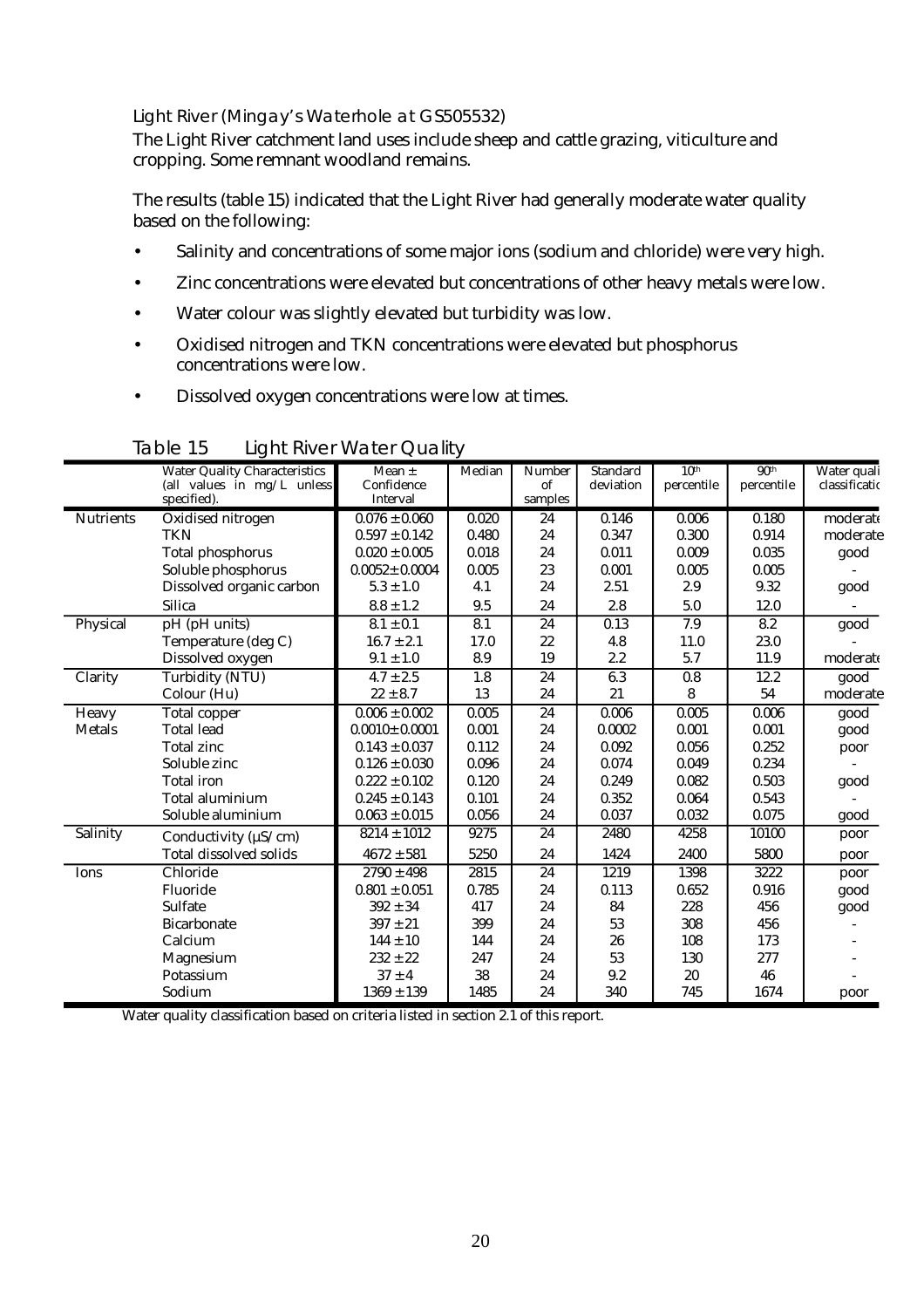#### Light River (Mingay's Waterhole at GS505532)

The Light River catchment land uses include sheep and cattle grazing, viticulture and cropping. Some remnant woodland remains.

The results (table 15) indicated that the Light River had generally moderate water quality based on the following:

- Salinity and concentrations of some major ions (sodium and chloride) were very high.
- Zinc concentrations were elevated but concentrations of other heavy metals were low.
- Water colour was slightly elevated but turbidity was low.
- Oxidised nitrogen and TKN concentrations were elevated but phosphorus concentrations were low.
- Dissolved oxygen concentrations were low at times.

|                  | <b>Water Quality Characteristics</b> | Mean $\pm$             | Median           | <b>Number</b> | <b>Standard</b> | 10 <sup>th</sup> | 90 <sup>th</sup> | Water quali   |
|------------------|--------------------------------------|------------------------|------------------|---------------|-----------------|------------------|------------------|---------------|
|                  | (all values in mg/L unless           | Confidence<br>Interval |                  | of            | deviation       | percentile       | percentile       | classificatio |
|                  | specified).                          |                        |                  | samples       |                 |                  |                  |               |
| <b>Nutrients</b> | Oxidised nitrogen                    | $0.076 \pm 0.060$      | 0.020            | 24            | 0.146           | 0.006            | 0.180            | moderate      |
|                  | TKN                                  | $0.597 \pm 0.142$      | 0.480            | 24            | 0.347           | 0.300            | 0.914            | moderate      |
|                  | <b>Total phosphorus</b>              | $0.020 \pm 0.005$      | 0.018            | 24            | 0.011           | 0.009            | 0.035            | good          |
|                  | Soluble phosphorus                   | $0.0052 \pm 0.0004$    | 0.005            | 23            | 0.001           | 0.005            | 0.005            |               |
|                  | Dissolved organic carbon             | $5.3 \pm 1.0$          | 4.1              | 24            | 2.51            | 2.9              | 9.32             | good          |
|                  | <b>Silica</b>                        | $8.8 \pm 1.2$          | 9.5              | 24            | 2.8             | 5.0              | 12.0             |               |
| Physical         | pH (pH units)                        | $8.1 \pm 0.1$          | 8.1              | 24            | 0.13            | 7.9              | 8.2              | good          |
|                  | Temperature (deg C)                  | $16.7 \pm 2.1$         | 17.0             | 22            | 4.8             | 11.0             | 23.0             |               |
|                  | Dissolved oxygen                     | $9.1 \pm 1.0$          | 8.9              | 19            | 2.2             | 5.7              | 11.9             | moderate      |
| Clarity          | <b>Turbidity (NTU)</b>               | $4.7 \pm 2.5$          | $\overline{1.8}$ | 24            | 6.3             | 0.8              | 12.2             | $g$ ood       |
|                  | Colour (Hu)                          | $22 \pm 8.7$           | 13               | 24            | 21              | 8                | 54               | moderate      |
| Heavy            | Total copper                         | $0.006 \pm 0.002$      | 0.005            | 24            | 0.006           | 0.005            | 0.006            | good          |
| <b>Metals</b>    | <b>Total lead</b>                    | $0.0010 \pm 0.0001$    | 0.001            | 24            | 0.0002          | 0.001            | 0.001            | good          |
|                  | <b>Total zinc</b>                    | $0.143 \pm 0.037$      | 0.112            | 24            | 0.092           | 0.056            | 0.252            | poor          |
|                  | Soluble zinc                         | $0.126 \pm 0.030$      | 0.096            | 24            | 0.074           | 0.049            | 0.234            |               |
|                  | <b>Total iron</b>                    | $0.222 \pm 0.102$      | 0.120            | 24            | 0.249           | 0.082            | 0.503            | good          |
|                  | Total aluminium                      | $0.245 \pm 0.143$      | 0.101            | 24            | 0.352           | 0.064            | 0.543            |               |
|                  | Soluble aluminium                    | $0.063 \pm 0.015$      | 0.056            | 24            | 0.037           | 0.032            | 0.075            | good          |
| Salinity         | Conductivity ( $\mu$ S/cm)           | $8214 \pm 1012$        | 9275             | 24            | 2480            | 4258             | 10100            | poor          |
|                  | <b>Total dissolved solids</b>        | $4672 \pm 581$         | 5250             | 24            | 1424            | 2400             | 5800             | poor          |
| Ions             | Chloride                             | $2790 \pm 498$         | 2815             | 24            | 1219            | 1398             | 3222             | poor          |
|                  | Fluoride                             | $0.801\pm0.051$        | 0.785            | 24            | 0.113           | 0.652            | 0.916            | good          |
|                  | Sulfate                              | $392 \pm 34$           | 417              | 24            | 84              | 228              | 456              | good          |
|                  | <b>Bicarbonate</b>                   | $397 \pm 21$           | 399              | 24            | 53              | 308              | 456              |               |
|                  | Calcium                              | $144 \pm 10$           | 144              | 24            | 26              | 108              | 173              |               |
|                  | Magnesium                            | $232 \pm 22$           | 247              | 24            | 53              | 130              | 277              |               |
|                  | Potassium                            | $37 \pm 4$             | 38               | 24            | 9.2             | 20               | 46               |               |
|                  | Sodium                               | $1369 \pm 139$         | 1485             | 24            | 340             | 745              | 1674             | poor          |

Table 15 Light River Water Quality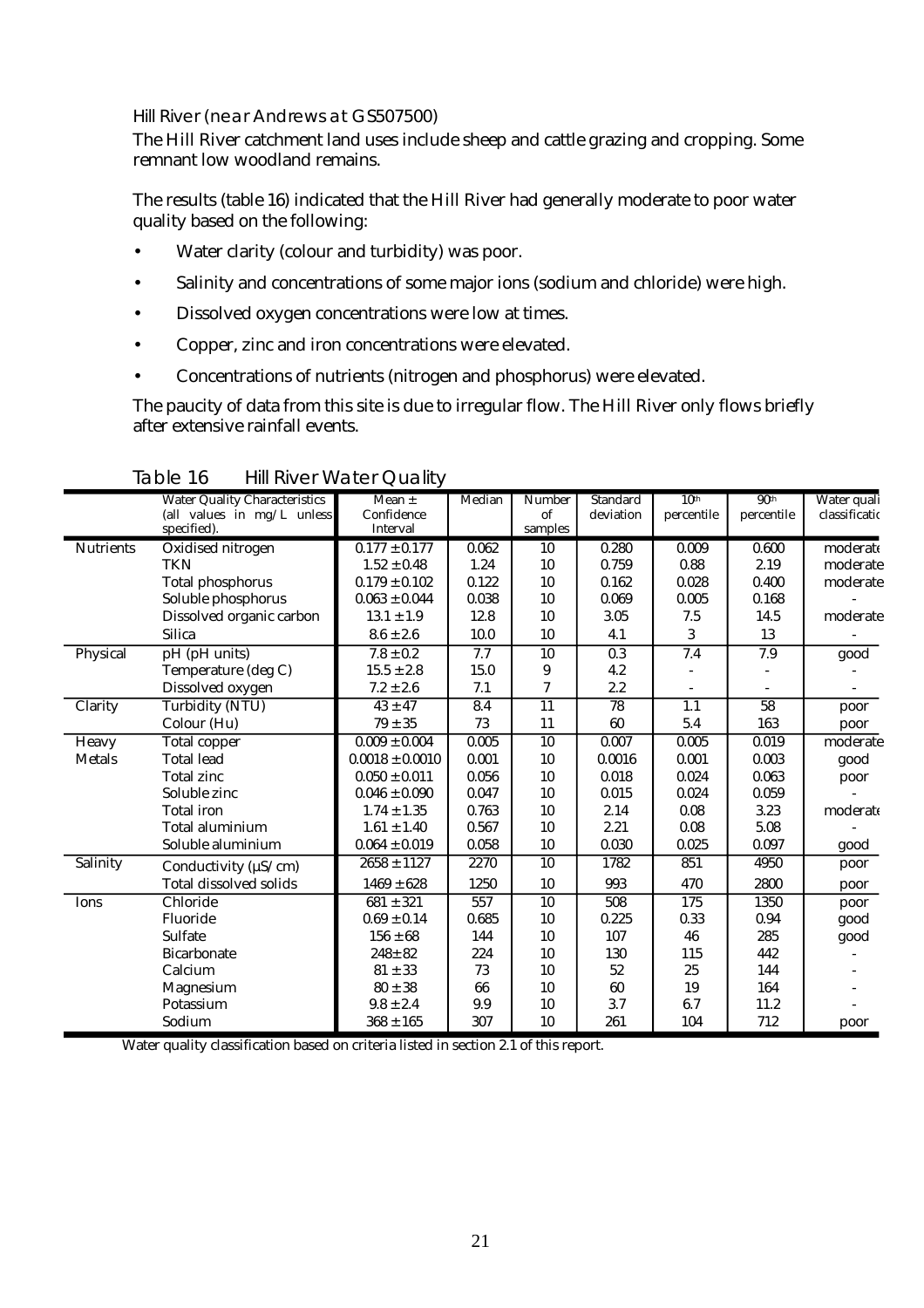#### Hill River (near Andrews at GS507500)

The Hill River catchment land uses include sheep and cattle grazing and cropping. Some remnant low woodland remains.

The results (table 16) indicated that the Hill River had generally moderate to poor water quality based on the following:

- Water clarity (colour and turbidity) was poor.
- Salinity and concentrations of some major ions (sodium and chloride) were high.
- Dissolved oxygen concentrations were low at times.
- Copper, zinc and iron concentrations were elevated.
- Concentrations of nutrients (nitrogen and phosphorus) were elevated.

The paucity of data from this site is due to irregular flow. The Hill River only flows briefly after extensive rainfall events.

|                  | <b>Water Quality Characteristics</b>        | Mean $\pm$                    | Median | Number          | <b>Standard</b> | 10 <sup>th</sup> | 90 <sup>th</sup> | Water quali   |
|------------------|---------------------------------------------|-------------------------------|--------|-----------------|-----------------|------------------|------------------|---------------|
|                  | (all values in $mg/L$ unless<br>specified). | Confidence<br><b>Interval</b> |        | of<br>samples   | deviation       | percentile       | percentile       | classificatio |
| <b>Nutrients</b> | Oxidised nitrogen                           | $0.177 \pm 0.177$             | 0.062  | 10              | 0.280           | 0.009            | 0.600            | moderate      |
|                  | <b>TKN</b>                                  | $1.52 \pm 0.48$               | 1.24   | 10              | 0.759           | 0.88             | 2.19             | moderate      |
|                  | <b>Total phosphorus</b>                     | $0.179 \pm 0.102$             | 0.122  | 10              | 0.162           | 0.028            | 0.400            | moderate      |
|                  | Soluble phosphorus                          | $0.063 \pm 0.044$             | 0.038  | 10              | 0.069           | 0.005            | 0.168            |               |
|                  | Dissolved organic carbon                    | $13.1 \pm 1.9$                | 12.8   | 10              | 3.05            | 7.5              | 14.5             | moderate      |
|                  | <b>Silica</b>                               | $8.6 \pm 2.6$                 | 10.0   | 10              | 4.1             | 3                | 13               |               |
| Physical         | pH (pH units)                               | $7.8 \pm 0.2$                 | 7.7    | 10              | 0.3             | 7.4              | 7.9              | good          |
|                  | Temperature (deg C)                         | $15.5 \pm 2.8$                | 15.0   | 9               | 4.2             |                  |                  |               |
|                  | Dissolved oxygen                            | $7.2 \pm 2.6$                 | 7.1    | 7               | 2.2             |                  |                  |               |
| Clarity          | <b>Turbidity (NTU)</b>                      | $43 \pm 47$                   | 8.4    | $\overline{11}$ | $\overline{78}$ | 1.1              | $\overline{58}$  | poor          |
|                  | Colour (Hu)                                 | $79 \pm 35$                   | 73     | 11              | 60              | 5.4              | 163              | poor          |
| Heavy            | Total copper                                | $0.009 \pm 0.004$             | 0.005  | $\overline{10}$ | 0.007           | 0.005            | 0.019            | moderate      |
| <b>Metals</b>    | <b>Total lead</b>                           | $0.0018 \pm 0.0010$           | 0.001  | 10              | 0.0016          | 0.001            | 0.003            | good          |
|                  | <b>Total zinc</b>                           | $0.050 \pm 0.011$             | 0.056  | 10              | 0.018           | 0.024            | 0.063            | poor          |
|                  | Soluble zinc                                | $0.046 \pm 0.090$             | 0.047  | 10              | 0.015           | 0.024            | 0.059            |               |
|                  | <b>Total iron</b>                           | $1.74 \pm 1.35$               | 0.763  | 10              | 2.14            | 0.08             | 3.23             | moderate      |
|                  | Total aluminium                             | $1.61 \pm 1.40$               | 0.567  | 10              | 2.21            | 0.08             | 5.08             |               |
|                  | Soluble aluminium                           | $0.064 \pm 0.019$             | 0.058  | 10              | 0.030           | 0.025            | 0.097            | good          |
| Salinity         | Conductivity ( $\mu$ S/cm)                  | $2658 \pm 1127$               | 2270   | 10              | 1782            | 851              | 4950             | poor          |
|                  | <b>Total dissolved solids</b>               | $1469 \pm 628$                | 1250   | 10              | 993             | 470              | 2800             | poor          |
| Ions             | Chloride                                    | $681 \pm 321$                 | 557    | 10              | 508             | 175              | 1350             | poor          |
|                  | Fluoride                                    | $0.69 \pm 0.14$               | 0.685  | 10              | 0.225           | 0.33             | 0.94             | good          |
|                  | Sulfate                                     | $156 \pm 68$                  | 144    | 10              | 107             | 46               | 285              | good          |
|                  | <b>Bicarbonate</b>                          | $248 \pm 82$                  | 224    | 10              | 130             | 115              | 442              |               |
|                  | Calcium                                     | $81 \pm 33$                   | 73     | 10              | 52              | 25               | 144              |               |
|                  | Magnesium                                   | $80 \pm 38$                   | 66     | 10              | 60              | 19               | 164              |               |
|                  | Potassium                                   | $9.8 \pm 2.4$                 | 9.9    | 10              | 3.7             | 6.7              | 11.2             |               |
|                  | Sodium                                      | $368 \pm 165$                 | 307    | 10              | 261             | 104              | 712              | poor          |

Table 16 Hill River Water Quality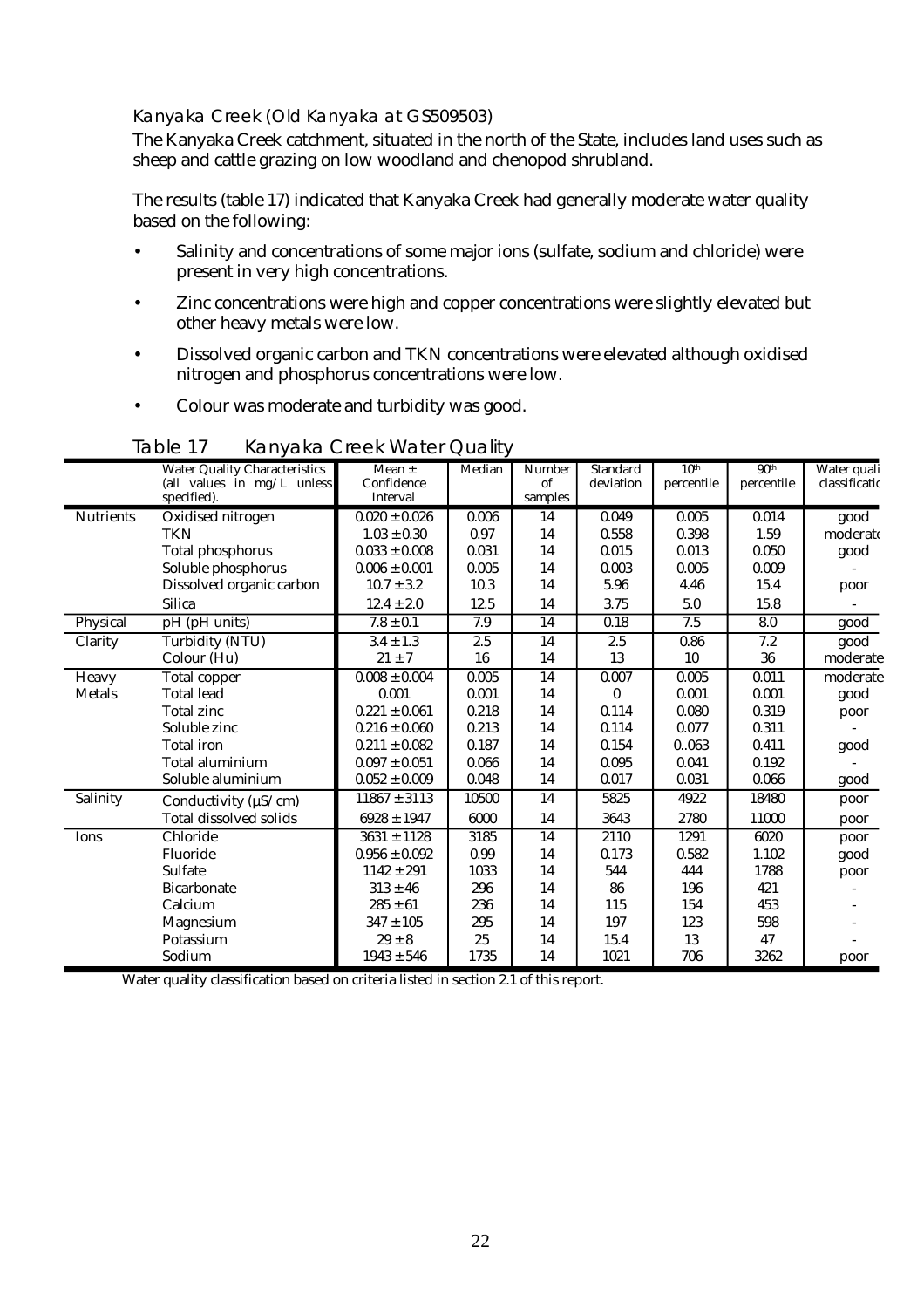#### Kanyaka Creek (Old Kanyaka at GS509503)

The Kanyaka Creek catchment, situated in the north of the State, includes land uses such as sheep and cattle grazing on low woodland and chenopod shrubland.

The results (table 17) indicated that Kanyaka Creek had generally moderate water quality based on the following:

- Salinity and concentrations of some major ions (sulfate, sodium and chloride) were present in very high concentrations.
- Zinc concentrations were high and copper concentrations were slightly elevated but other heavy metals were low.
- Dissolved organic carbon and TKN concentrations were elevated although oxidised nitrogen and phosphorus concentrations were low.
- Colour was moderate and turbidity was good.

|                  | <b>Water Quality Characteristics</b> | Mean $\pm$        | Median | <b>Number</b>   | <b>Standard</b> | 10 <sup>th</sup> | 90 <sup>th</sup> | Water quali   |
|------------------|--------------------------------------|-------------------|--------|-----------------|-----------------|------------------|------------------|---------------|
|                  | (all values in mg/L unless           | Confidence        |        | of              | deviation       | percentile       | percentile       | classificatio |
|                  | specified).                          | Interval          |        | samples         |                 |                  |                  |               |
| <b>Nutrients</b> | Oxidised nitrogen                    | $0.020 \pm 0.026$ | 0.006  | 14              | 0.049           | 0.005            | 0.014            | good          |
|                  | TKN                                  | $1.03 \pm 0.30$   | 0.97   | 14              | 0.558           | 0.398            | 1.59             | moderate      |
|                  | <b>Total phosphorus</b>              | $0.033 \pm 0.008$ | 0.031  | 14              | 0.015           | 0.013            | 0.050            | good          |
|                  | Soluble phosphorus                   | $0.006 \pm 0.001$ | 0.005  | 14              | 0.003           | 0.005            | 0.009            |               |
|                  | Dissolved organic carbon             | $10.7 \pm 3.2$    | 10.3   | 14              | 5.96            | 4.46             | 15.4             | poor          |
|                  | <b>Silica</b>                        | $12.4 \pm 2.0$    | 12.5   | 14              | 3.75            | 5.0              | 15.8             |               |
| Physical         | pH (pH units)                        | $7.8 \pm 0.1$     | 7.9    | 14              | 0.18            | 7.5              | 8.0              | good          |
| Clarity          | Turbidity (NTU)                      | $3.4 \pm 1.3$     | 2.5    | 14              | 2.5             | 0.86             | 7.2              | good          |
|                  | Colour (Hu)                          | $21 \pm 7$        | 16     | 14              | 13              | 10               | 36               | moderate      |
| Heavy            | <b>Total copper</b>                  | $0.008 \pm 0.004$ | 0.005  | $\overline{14}$ | 0.007           | 0.005            | 0.011            | moderate      |
| <b>Metals</b>    | <b>Total lead</b>                    | 0.001             | 0.001  | 14              | 0               | 0.001            | 0.001            | good          |
|                  | <b>Total zinc</b>                    | $0.221 \pm 0.061$ | 0.218  | 14              | 0.114           | 0.080            | 0.319            | poor          |
|                  | Soluble zinc                         | $0.216 \pm 0.060$ | 0.213  | 14              | 0.114           | 0.077            | 0.311            |               |
|                  | <b>Total</b> iron                    | $0.211 \pm 0.082$ | 0.187  | 14              | 0.154           | 0063             | 0.411            | good          |
|                  | Total aluminium                      | $0.097 \pm 0.051$ | 0.066  | 14              | 0.095           | 0.041            | 0.192            |               |
|                  | Soluble aluminium                    | $0.052 \pm 0.009$ | 0.048  | 14              | 0.017           | 0.031            | 0.066            | good          |
| Salinity         | Conductivity ( $\mu$ S/cm)           | $11867 \pm 3113$  | 10500  | 14              | 5825            | 4922             | 18480            | poor          |
|                  | <b>Total dissolved solids</b>        | $6928 \pm 1947$   | 6000   | 14              | 3643            | 2780             | 11000            | poor          |
| Ions             | Chloride                             | $3631 \pm 1128$   | 3185   | 14              | 2110            | 1291             | 6020             | poor          |
|                  | Fluoride                             | $0.956 \pm 0.092$ | 0.99   | 14              | 0.173           | 0.582            | 1.102            | good          |
|                  | <b>Sulfate</b>                       | $1142 \pm 291$    | 1033   | 14              | 544             | 444              | 1788             | poor          |
|                  | <b>Bicarbonate</b>                   | $313 \pm 46$      | 296    | 14              | 86              | 196              | 421              |               |
|                  | Calcium                              | $285 \pm 61$      | 236    | 14              | 115             | 154              | 453              |               |
|                  | Magnesium                            | $347 \pm 105$     | 295    | 14              | 197             | 123              | 598              |               |
|                  | Potassium                            | $29 \pm 8$        | 25     | 14              | 15.4            | 13               | 47               |               |
|                  | Sodium                               | $1943 \pm 546$    | 1735   | 14              | 1021            | 706              | 3262             | poor          |

Table 17 Kanyaka Creek Water Quality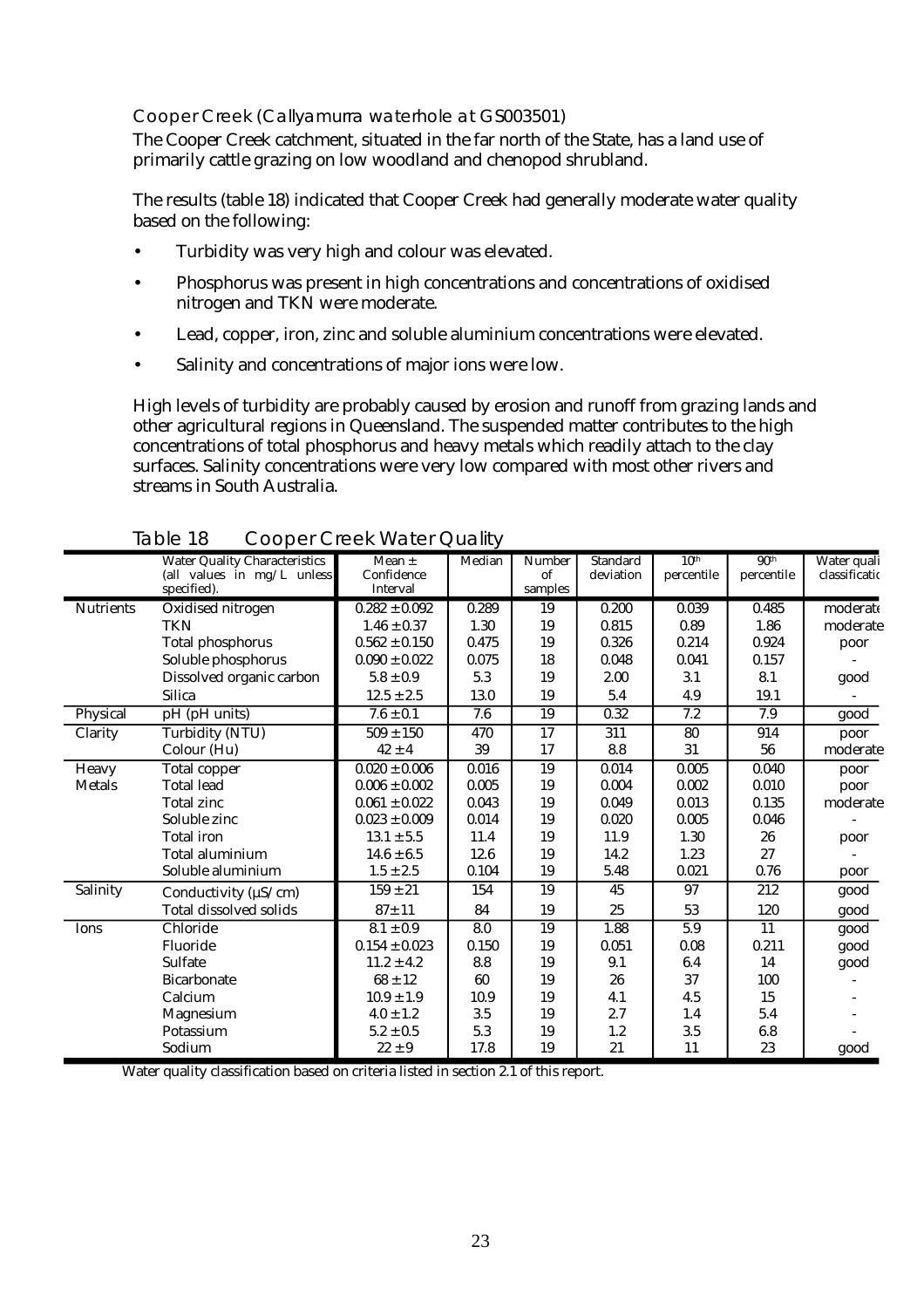#### Cooper Creek (Callyamurra waterhole at GS003501)

The Cooper Creek catchment, situated in the far north of the State, has a land use of primarily cattle grazing on low woodland and chenopod shrubland.

The results (table 18) indicated that Cooper Creek had generally moderate water quality based on the following:

- Turbidity was very high and colour was elevated.
- Phosphorus was present in high concentrations and concentrations of oxidised nitrogen and TKN were moderate.
- Lead, copper, iron, zinc and soluble aluminium concentrations were elevated.
- Salinity and concentrations of major ions were low.

High levels of turbidity are probably caused by erosion and runoff from grazing lands and other agricultural regions in Queensland. The suspended matter contributes to the high concentrations of total phosphorus and heavy metals which readily attach to the clay surfaces. Salinity concentrations were very low compared with most other rivers and streams in South Australia.

|                  | <b>Water Quality Characteristics</b><br>(all values in mg/L unless | $\overline{\text{Mean}}$ $\pm$<br>Confidence | Median | <b>Number</b><br>of | <b>Standard</b><br>deviation | 10 <sup>th</sup><br>percentile | 90 <sup>th</sup><br>percentile | Water quali<br>classificatio |
|------------------|--------------------------------------------------------------------|----------------------------------------------|--------|---------------------|------------------------------|--------------------------------|--------------------------------|------------------------------|
|                  | specified).                                                        | Interval                                     |        | samples             |                              |                                |                                |                              |
| <b>Nutrients</b> | Oxidised nitrogen                                                  | $0.282 \pm 0.092$                            | 0.289  | 19                  | 0.200                        | 0.039                          | 0.485                          | moderate                     |
|                  | <b>TKN</b>                                                         | $1.46 \pm 0.37$                              | 1.30   | 19                  | 0.815                        | 0.89                           | 1.86                           | moderate                     |
|                  | <b>Total phosphorus</b>                                            | $0.562 \pm 0.150$                            | 0.475  | 19                  | 0.326                        | 0.214                          | 0.924                          | poor                         |
|                  | Soluble phosphorus                                                 | $0.090 \pm 0.022$                            | 0.075  | 18                  | 0.048                        | 0.041                          | 0.157                          |                              |
|                  | Dissolved organic carbon                                           | $5.8 \pm 0.9$                                | 5.3    | 19                  | 2.00                         | 3.1                            | 8.1                            | good                         |
|                  | <b>Silica</b>                                                      | $12.5 \pm 2.5$                               | 13.0   | 19                  | 5.4                          | 4.9                            | 19.1                           |                              |
| Physical         | pH (pH units)                                                      | $7.6 \pm 0.1$                                | 7.6    | 19                  | 0.32                         | 7.2                            | 7.9                            | good                         |
| Clarity          | <b>Turbidity (NTU)</b>                                             | $509 \pm 150$                                | 470    | 17                  | 311                          | 80                             | 914                            | poor                         |
|                  | Colour (Hu)                                                        | $42 \pm 4$                                   | 39     | 17                  | 8.8                          | 31                             | 56                             | moderate                     |
| Heavy            | <b>Total copper</b>                                                | $0.020 \pm 0.006$                            | 0.016  | 19                  | 0.014                        | 0.005                          | 0.040                          | poor                         |
| <b>Metals</b>    | <b>Total lead</b>                                                  | $0.006 \pm 0.002$                            | 0.005  | 19                  | 0.004                        | 0.002                          | 0.010                          | poor                         |
|                  | <b>Total zinc</b>                                                  | $0.061 \pm 0.022$                            | 0.043  | 19                  | 0.049                        | 0.013                          | 0.135                          | moderate                     |
|                  | Soluble zinc                                                       | $0.023 \pm 0.009$                            | 0.014  | 19                  | 0.020                        | 0.005                          | 0.046                          |                              |
|                  | <b>Total</b> iron                                                  | $13.1 \pm 5.5$                               | 11.4   | 19                  | 11.9                         | 1.30                           | 26                             | poor                         |
|                  | Total aluminium                                                    | $14.6 \pm 6.5$                               | 12.6   | 19                  | 14.2                         | 1.23                           | 27                             |                              |
|                  | Soluble aluminium                                                  | $1.5 \pm 2.5$                                | 0.104  | 19                  | 5.48                         | 0.021                          | 0.76                           | poor                         |
| Salinity         | Conductivity ( $\mu$ S/cm)                                         | $159 \pm 21$                                 | 154    | $\overline{19}$     | 45                           | 97                             | $\overline{212}$               | good                         |
|                  | <b>Total dissolved solids</b>                                      | $87 + 11$                                    | 84     | 19                  | 25                           | 53                             | 120                            | good                         |
| Ions             | Chloride                                                           | $8.1 \pm 0.9$                                | 8.0    | 19                  | 1.88                         | $\overline{5.9}$               | $\overline{11}$                | good                         |
|                  | Fluoride                                                           | $0.154 \pm 0.023$                            | 0.150  | 19                  | 0.051                        | 0.08                           | 0.211                          | good                         |
|                  | <b>Sulfate</b>                                                     | $11.2 \pm 4.2$                               | 8.8    | 19                  | 9.1                          | 6.4                            | 14                             | good                         |
|                  | <b>Bicarbonate</b>                                                 | $68 \pm 12$                                  | 60     | 19                  | 26                           | 37                             | 100                            |                              |
|                  | Calcium                                                            | $10.9 \pm 1.9$                               | 10.9   | 19                  | 4.1                          | 4.5                            | 15                             |                              |
|                  | Magnesium                                                          | $4.0 \pm 1.2$                                | 3.5    | 19                  | 2.7                          | 1.4                            | 5.4                            |                              |
|                  | Potassium                                                          | $5.2 \pm 0.5$                                | 5.3    | 19                  | 1.2                          | 3.5                            | 6.8                            |                              |
|                  | Sodium                                                             | $22 \pm 9$                                   | 17.8   | 19                  | 21                           | 11                             | 23                             | good                         |

Table 18 Cooper Creek Water Quality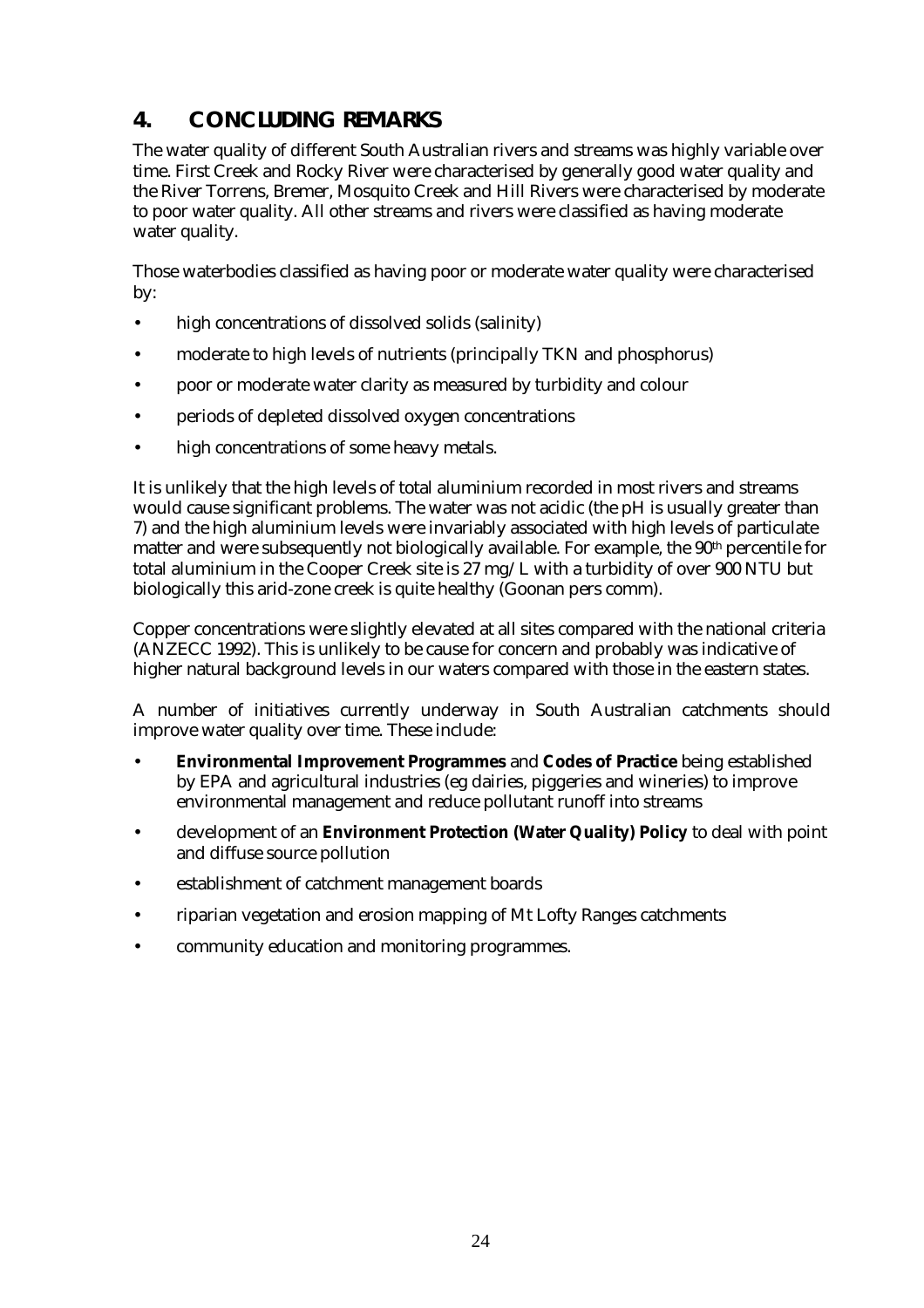# <span id="page-28-0"></span>**4. CONCLUDING REMARKS**

The water quality of different South Australian rivers and streams was highly variable over time. First Creek and Rocky River were characterised by generally good water quality and the River Torrens, Bremer, Mosquito Creek and Hill Rivers were characterised by moderate to poor water quality. All other streams and rivers were classified as having moderate water quality.

Those waterbodies classified as having poor or moderate water quality were characterised by:

- high concentrations of dissolved solids (salinity)
- moderate to high levels of nutrients (principally TKN and phosphorus)
- poor or moderate water clarity as measured by turbidity and colour
- periods of depleted dissolved oxygen concentrations
- high concentrations of some heavy metals.

It is unlikely that the high levels of total aluminium recorded in most rivers and streams would cause significant problems. The water was not acidic (the pH is usually greater than 7) and the high aluminium levels were invariably associated with high levels of particulate matter and were subsequently not biologically available. For example, the  $90<sup>th</sup>$  percentile for total aluminium in the Cooper Creek site is 27 mg/L with a turbidity of over 900 NTU but biologically this arid-zone creek is quite healthy (Goonan pers comm).

Copper concentrations were slightly elevated at all sites compared with the national criteria (ANZECC 1992). This is unlikely to be cause for concern and probably was indicative of higher natural background levels in our waters compared with those in the eastern states.

A number of initiatives currently underway in South Australian catchments should improve water quality over time. These include:

- **Environmental Improvement Programmes** and **Codes of Practice** being established by EPA and agricultural industries (eg dairies, piggeries and wineries) to improve environmental management and reduce pollutant runoff into streams
- development of an **Environment Protection (Water Quality) Policy** to deal with point and diffuse source pollution
- establishment of catchment management boards
- riparian vegetation and erosion mapping of Mt Lofty Ranges catchments
- community education and monitoring programmes.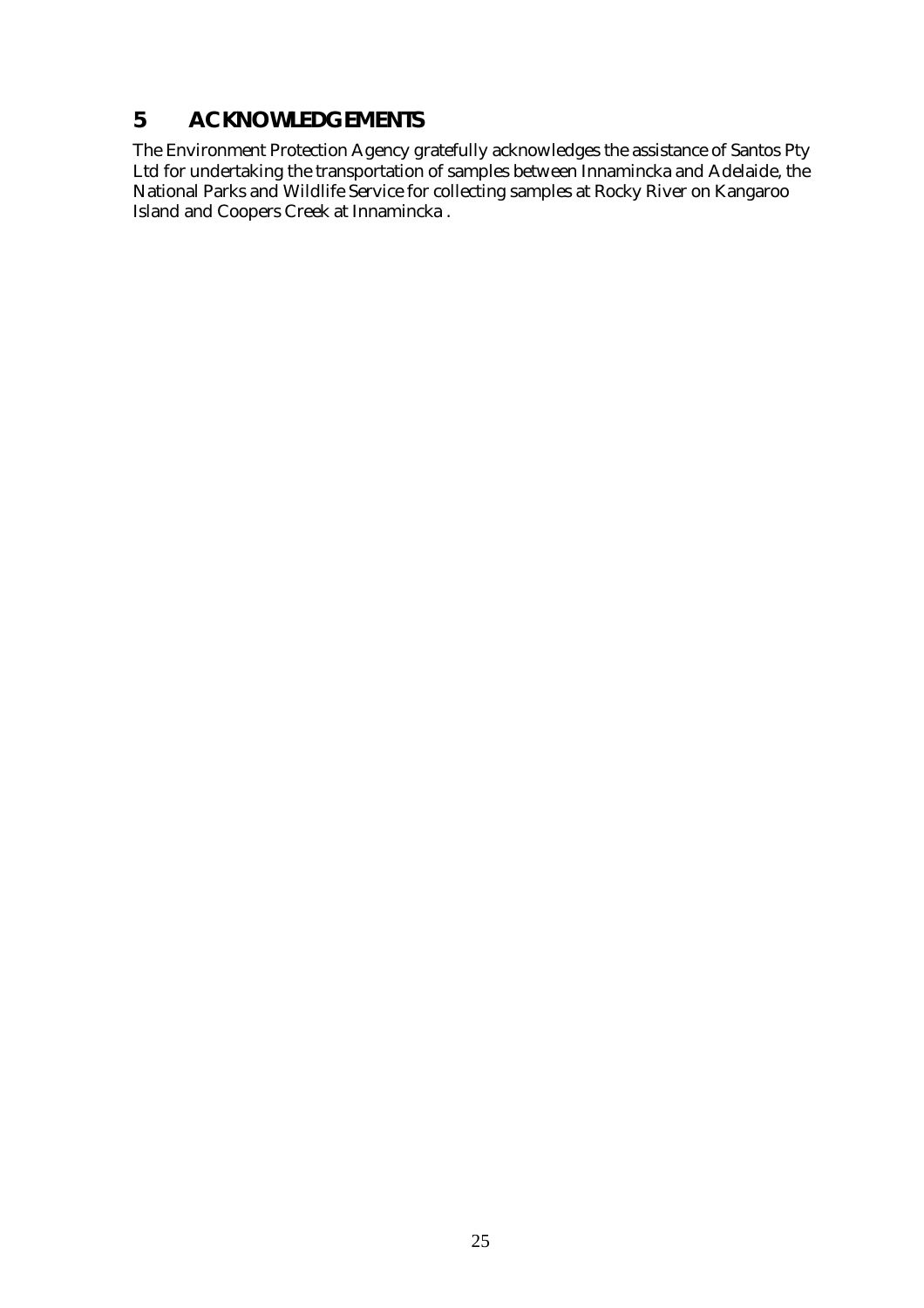## <span id="page-29-0"></span>**5 ACKNOWLEDGEMENTS**

The Environment Protection Agency gratefully acknowledges the assistance of Santos Pty Ltd for undertaking the transportation of samples between Innamincka and Adelaide, the National Parks and Wildlife Service for collecting samples at Rocky River on Kangaroo Island and Coopers Creek at Innamincka .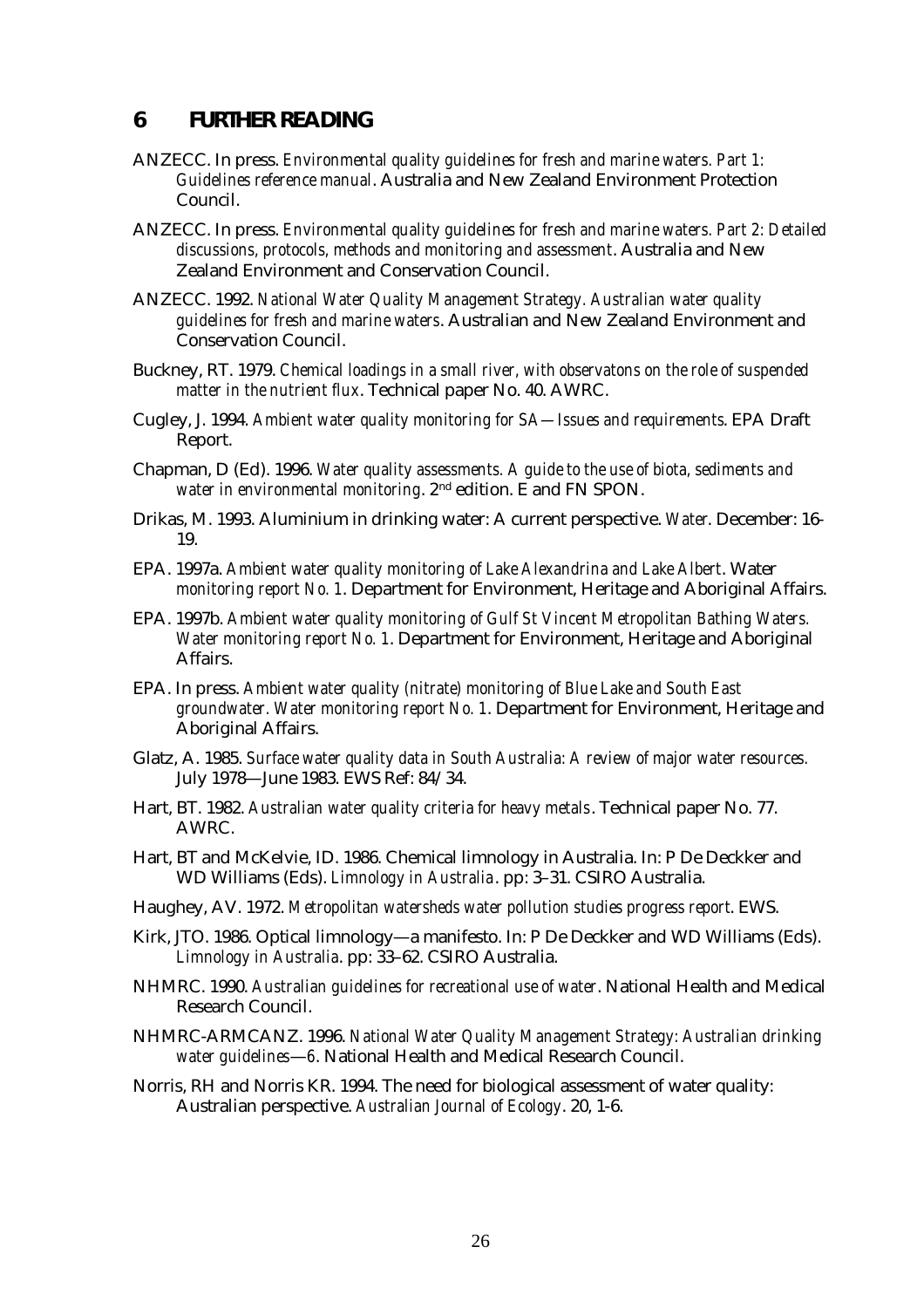#### <span id="page-30-0"></span>**6 FURTHER READING**

- ANZECC. In press. *Environmental quality guidelines for fresh and marine waters. Part 1: Guidelines reference manual*. Australia and New Zealand Environment Protection Council.
- ANZECC. In press. *Environmental quality guidelines for fresh and marine waters. Part 2: Detailed discussions, protocols, methods and monitoring and assessment*. Australia and New Zealand Environment and Conservation Council.
- ANZECC. 1992. *National Water Quality Management Strategy. Australian water quality guidelines for fresh and marine waters*. Australian and New Zealand Environment and Conservation Council.
- Buckney, RT. 1979. *Chemical loadings in a small river, with observatons on the role of suspended matter in the nutrient flux*. Technical paper No. 40. AWRC.
- Cugley, J. 1994. *Ambient water quality monitoring for SA—Issues and requirements*. EPA Draft Report.
- Chapman, D (Ed). 1996. *Water quality assessments. A guide to the use of biota, sediments and water in environmental monitoring*. 2nd edition. E and FN SPON.
- Drikas, M. 1993. Aluminium in drinking water: A current perspective. *Water*. December: 16- 19.
- EPA. 1997a. *Ambient water quality monitoring of Lake Alexandrina and Lake Albert*. Water *monitoring report No. 1*. Department for Environment, Heritage and Aboriginal Affairs.
- EPA. 1997b. *Ambient water quality monitoring of Gulf St Vincent Metropolitan Bathing Waters. Water monitoring report No. 1*. Department for Environment, Heritage and Aboriginal Affairs.
- EPA. In press. *Ambient water quality (nitrate) monitoring of Blue Lake and South East groundwater. Water monitoring report No. 1*. Department for Environment, Heritage and Aboriginal Affairs.
- Glatz, A. 1985. *Surface water quality data in South Australia: A review of major water resources.*  July 1978—June 1983. EWS Ref: 84/34.
- Hart, BT. 1982. *Australian water quality criteria for heavy metals*. Technical paper No. 77. AWRC.
- Hart, BT and McKelvie, ID. 1986. Chemical limnology in Australia. In: P De Deckker and WD Williams (Eds). *Limnology in Australia*. pp: 3–31. CSIRO Australia.
- Haughey, AV. 1972. *Metropolitan watersheds water pollution studies progress report*. EWS.
- Kirk, JTO. 1986. Optical limnology—a manifesto. In: P De Deckker and WD Williams (Eds). *Limnology in Australia*. pp: 33–62. CSIRO Australia.
- NHMRC. 1990. *Australian guidelines for recreational use of water*. National Health and Medical Research Council.
- NHMRC-ARMCANZ. 1996. *National Water Quality Management Strategy: Australian drinking water guidelines*—*6*. National Health and Medical Research Council.
- Norris, RH and Norris KR. 1994. The need for biological assessment of water quality: Australian perspective. *Australian Journal of Ecology*. 20, 1-6.